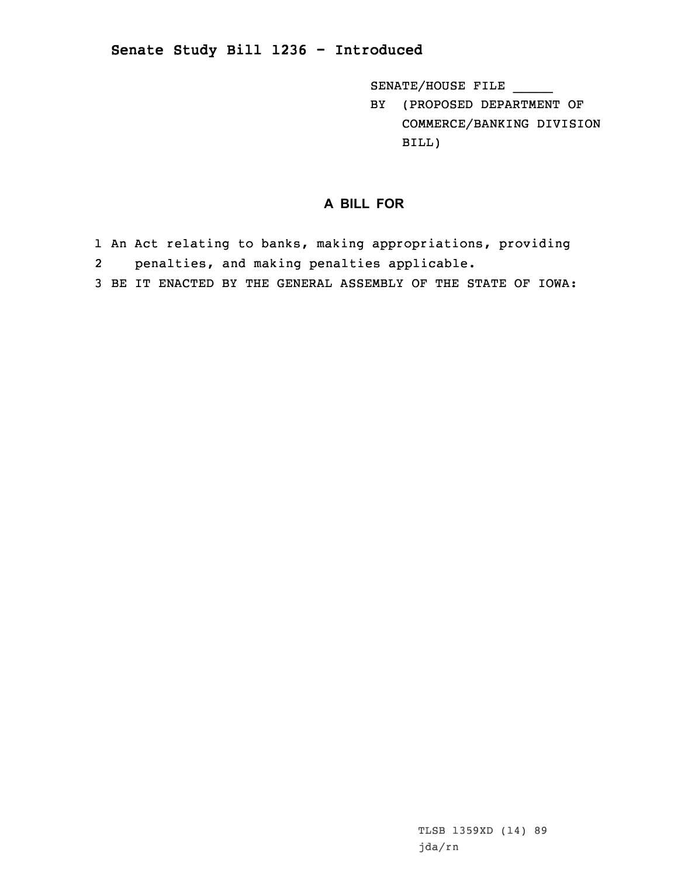## **Senate Study Bill 1236 - Introduced**

SENATE/HOUSE FILE \_\_\_\_\_

BY (PROPOSED DEPARTMENT OF COMMERCE/BANKING DIVISION BILL)

## **A BILL FOR**

- 1 An Act relating to banks, making appropriations, providing 2penalties, and making penalties applicable.
- 3 BE IT ENACTED BY THE GENERAL ASSEMBLY OF THE STATE OF IOWA: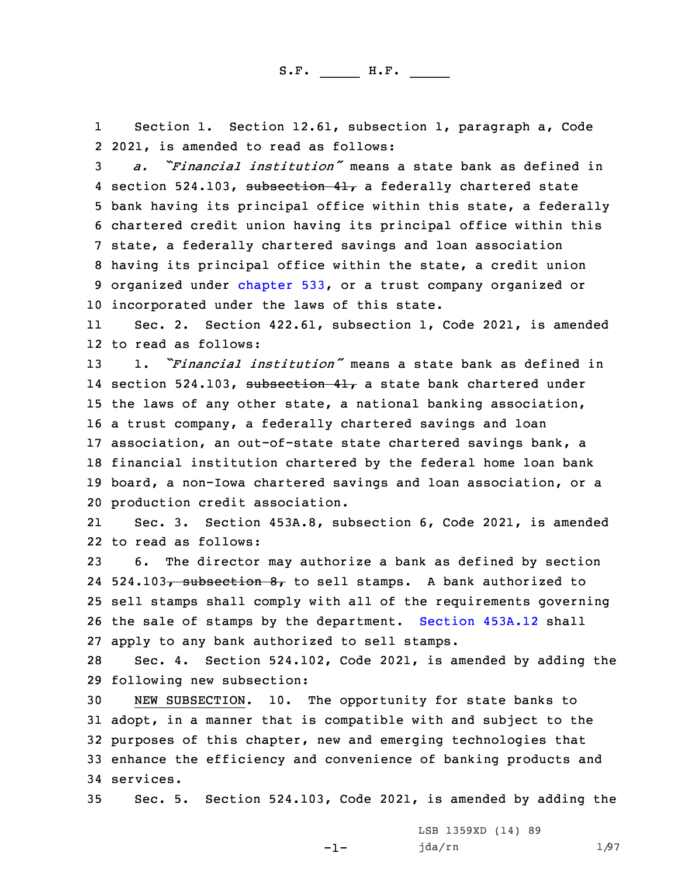1 Section 1. Section 12.61, subsection 1, paragraph a, Code 2 2021, is amended to read as follows:

 *a. "Financial institution"* means <sup>a</sup> state bank as defined in 4 section 524.103, subsection 41, a federally chartered state bank having its principal office within this state, <sup>a</sup> federally chartered credit union having its principal office within this state, <sup>a</sup> federally chartered savings and loan association having its principal office within the state, <sup>a</sup> credit union organized under [chapter](https://www.legis.iowa.gov/docs/code/2021/533.pdf) 533, or <sup>a</sup> trust company organized or incorporated under the laws of this state.

11 Sec. 2. Section 422.61, subsection 1, Code 2021, is amended 12 to read as follows:

 1. *"Financial institution"* means <sup>a</sup> state bank as defined in 14 section 524.103, <del>subsection 41,</del> a state bank chartered under the laws of any other state, <sup>a</sup> national banking association, <sup>a</sup> trust company, <sup>a</sup> federally chartered savings and loan association, an out-of-state state chartered savings bank, <sup>a</sup> financial institution chartered by the federal home loan bank board, <sup>a</sup> non-Iowa chartered savings and loan association, or <sup>a</sup> production credit association.

21 Sec. 3. Section 453A.8, subsection 6, Code 2021, is amended 22 to read as follows:

 6. The director may authorize <sup>a</sup> bank as defined by section 24 524.103<del>, subsection 8,</del> to sell stamps. A bank authorized to sell stamps shall comply with all of the requirements governing the sale of stamps by the department. [Section](https://www.legis.iowa.gov/docs/code/2021/453A.12.pdf) 453A.12 shall apply to any bank authorized to sell stamps.

28 Sec. 4. Section 524.102, Code 2021, is amended by adding the 29 following new subsection:

 NEW SUBSECTION. 10. The opportunity for state banks to adopt, in <sup>a</sup> manner that is compatible with and subject to the purposes of this chapter, new and emerging technologies that enhance the efficiency and convenience of banking products and services.

35 Sec. 5. Section 524.103, Code 2021, is amended by adding the

 $-1-$ 

LSB 1359XD (14) 89 jda/rn 1/97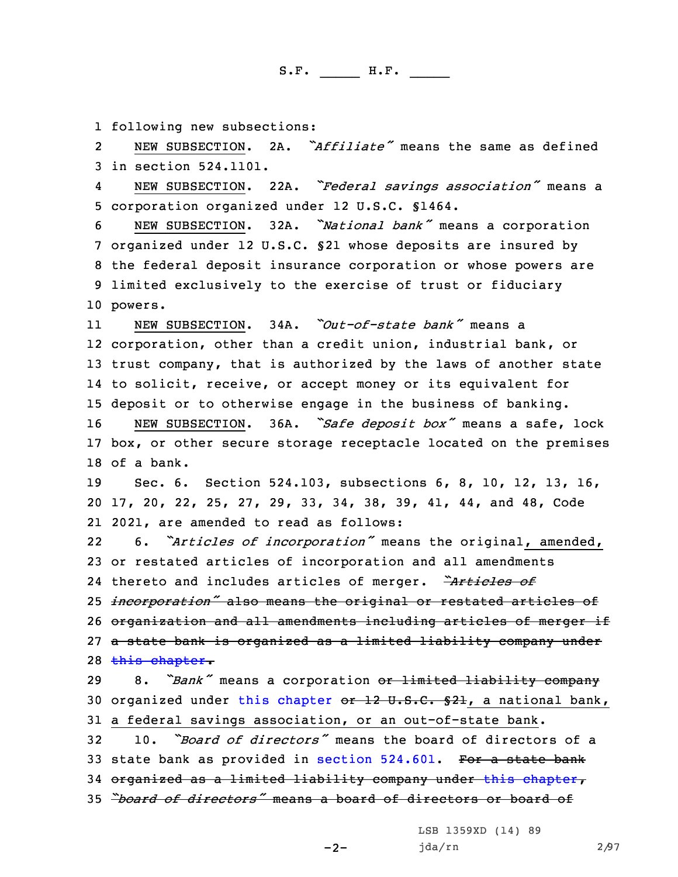1 following new subsections:

2 NEW SUBSECTION. 2A. *"Affiliate"* means the same as defined 3 in section 524.1101.

4 NEW SUBSECTION. 22A. *"Federal savings association"* means <sup>a</sup> 5 corporation organized under 12 U.S.C. §1464.

 NEW SUBSECTION. 32A. *"National bank"* means <sup>a</sup> corporation organized under 12 U.S.C. §21 whose deposits are insured by the federal deposit insurance corporation or whose powers are limited exclusively to the exercise of trust or fiduciary 10 powers.

11 NEW SUBSECTION. 34A. *"Out-of-state bank"* means <sup>a</sup> corporation, other than <sup>a</sup> credit union, industrial bank, or trust company, that is authorized by the laws of another state to solicit, receive, or accept money or its equivalent for deposit or to otherwise engage in the business of banking.

<sup>16</sup> NEW SUBSECTION. 36A. *"Safe deposit box"* means <sup>a</sup> safe, lock 17 box, or other secure storage receptacle located on the premises 18 of a bank.

19 Sec. 6. Section 524.103, subsections 6, 8, 10, 12, 13, 16, 20 17, 20, 22, 25, 27, 29, 33, 34, 38, 39, 41, 44, and 48, Code 21 2021, are amended to read as follows:

22 6. *"Articles of incorporation"* means the original, amended, or restated articles of incorporation and all amendments thereto and includes articles of merger. *"Articles of incorporation"* also means the original or restated articles of organization and all amendments including articles of merger if <sup>a</sup> state bank is organized as <sup>a</sup> limited liability company under 28 this [chapter](https://www.legis.iowa.gov/docs/code/2021/524.pdf).

<sup>29</sup> 8. *"Bank"* means <sup>a</sup> corporation or limited liability company 30 organized under this [chapter](https://www.legis.iowa.gov/docs/code/2021/524.pdf) or 12 U.S.C. §21, a national bank, 31 <sup>a</sup> federal savings association, or an out-of-state bank.

 10. *"Board of directors"* means the board of directors of <sup>a</sup> 33 state bank as provided in section [524.601](https://www.legis.iowa.gov/docs/code/2021/524.601.pdf). For a state bank organized as <sup>a</sup> limited liability company under this [chapter](https://www.legis.iowa.gov/docs/code/2021/524.pdf), *"board of directors"* means <sup>a</sup> board of directors or board of

 $-2-$ 

LSB 1359XD (14) 89 jda/rn 2/97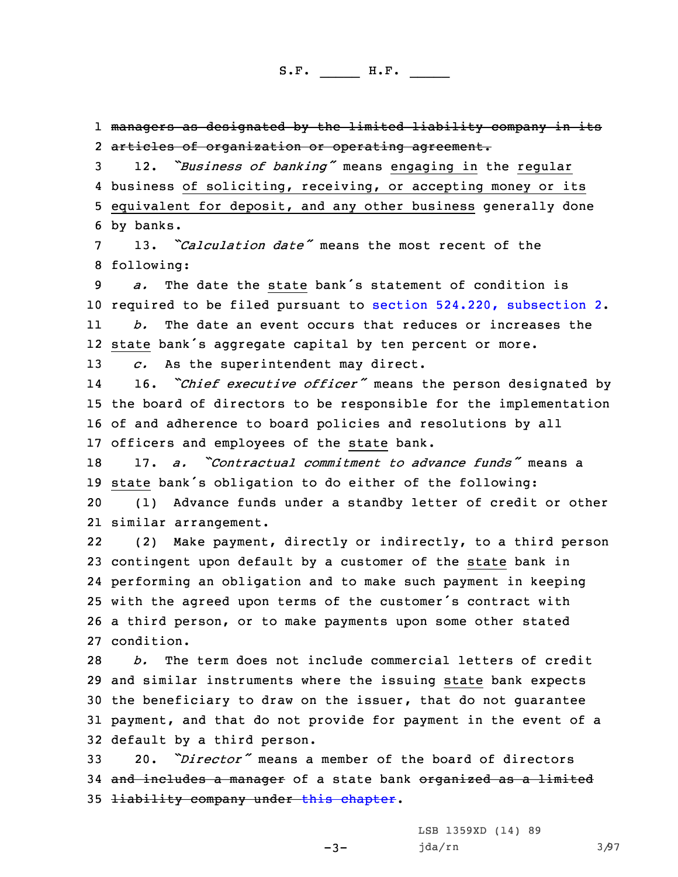1 managers as designated by the limited liability company in its 2 articles of organization or operating agreement.

 12. *"Business of banking"* means engaging in the regular business of soliciting, receiving, or accepting money or its equivalent for deposit, and any other business generally done by banks.

7 13. *"Calculation date"* means the most recent of the 8 following:

9 *a.* The date the state bank's statement of condition is 10 required to be filed pursuant to section 524.220, [subsection](https://www.legis.iowa.gov/docs/code/2021/524.220.pdf) 2. 11*b.* The date an event occurs that reduces or increases the

12 state bank's aggregate capital by ten percent or more.

13 *c.* As the superintendent may direct.

14 16. *"Chief executive officer"* means the person designated by 15 the board of directors to be responsible for the implementation 16 of and adherence to board policies and resolutions by all 17 officers and employees of the state bank.

18 17. *a. "Contractual commitment to advance funds"* means <sup>a</sup> <sup>19</sup> state bank's obligation to do either of the following:

20 (1) Advance funds under <sup>a</sup> standby letter of credit or other 21 similar arrangement.

22 (2) Make payment, directly or indirectly, to <sup>a</sup> third person contingent upon default by <sup>a</sup> customer of the state bank in performing an obligation and to make such payment in keeping with the agreed upon terms of the customer's contract with <sup>a</sup> third person, or to make payments upon some other stated condition.

 *b.* The term does not include commercial letters of credit and similar instruments where the issuing state bank expects the beneficiary to draw on the issuer, that do not guarantee payment, and that do not provide for payment in the event of <sup>a</sup> default by <sup>a</sup> third person.

33 20. *"Director"* means <sup>a</sup> member of the board of directors 34 and includes a manager of a state bank organized as a limited 35 <del>liability company under this [chapter](https://www.legis.iowa.gov/docs/code/2021/524.pdf)</del>.

-3-

LSB 1359XD (14) 89 jda/rn 3/97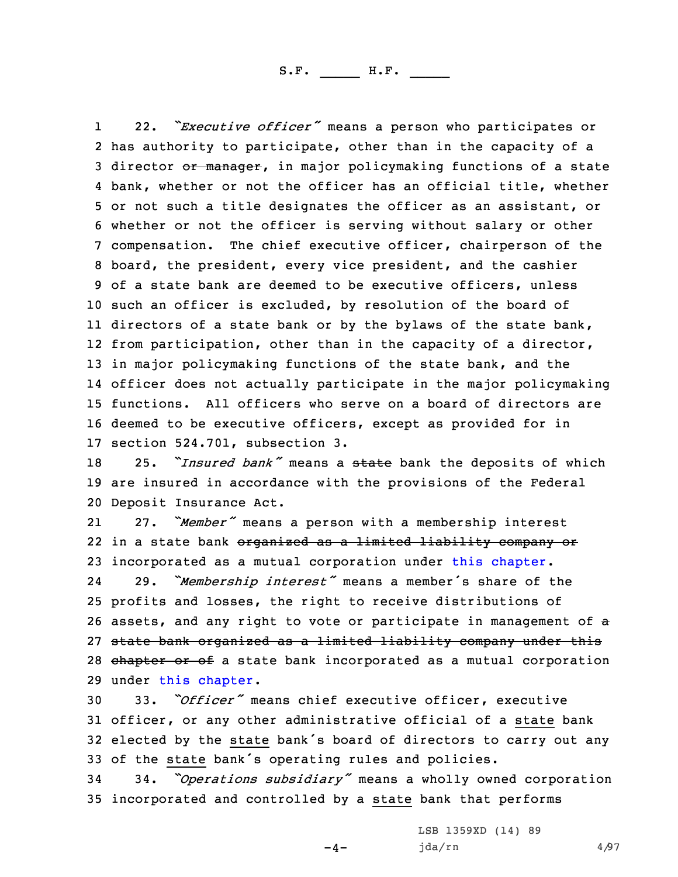1 22. *"Executive officer"* means <sup>a</sup> person who participates or has authority to participate, other than in the capacity of <sup>a</sup> 3 director or manager, in major policymaking functions of a state bank, whether or not the officer has an official title, whether or not such <sup>a</sup> title designates the officer as an assistant, or whether or not the officer is serving without salary or other compensation. The chief executive officer, chairperson of the board, the president, every vice president, and the cashier of <sup>a</sup> state bank are deemed to be executive officers, unless such an officer is excluded, by resolution of the board of 11 directors of a state bank or by the bylaws of the state bank, from participation, other than in the capacity of <sup>a</sup> director, 13 in major policymaking functions of the state bank, and the officer does not actually participate in the major policymaking functions. All officers who serve on <sup>a</sup> board of directors are deemed to be executive officers, except as provided for in section 524.701, subsection 3.

<sup>18</sup> 25. *"Insured bank"* means <sup>a</sup> state bank the deposits of which 19 are insured in accordance with the provisions of the Federal 20 Deposit Insurance Act.

21 27. *"Member"* means <sup>a</sup> person with <sup>a</sup> membership interest 22 in a state bank <del>organized as a limited liability company or</del> 23 incorporated as <sup>a</sup> mutual corporation under this [chapter](https://www.legis.iowa.gov/docs/code/2021/524.pdf).

24 29. *"Membership interest"* means <sup>a</sup> member's share of the 25 profits and losses, the right to receive distributions of 26 assets, and any right to vote or participate in management of <sup>a</sup> 27 state bank organized as <sup>a</sup> limited liability company under this 28 chapter or of a state bank incorporated as a mutual corporation 29 under this [chapter](https://www.legis.iowa.gov/docs/code/2021/524.pdf).

 33. *"Officer"* means chief executive officer, executive officer, or any other administrative official of <sup>a</sup> state bank elected by the state bank's board of directors to carry out any of the state bank's operating rules and policies.

<sup>34</sup> 34. *"Operations subsidiary"* means <sup>a</sup> wholly owned corporation 35 incorporated and controlled by <sup>a</sup> state bank that performs

 $-4-$ 

LSB 1359XD (14) 89  $jda/rn$  4/97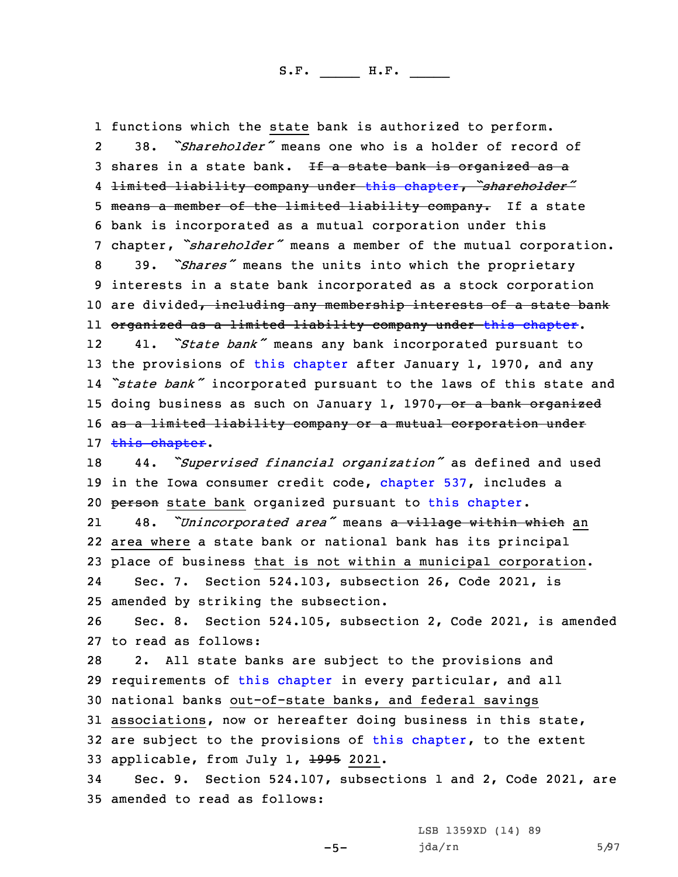1 functions which the state bank is authorized to perform. 2 38. *"Shareholder"* means one who is <sup>a</sup> holder of record of 3 shares in a state bank. If a state bank is organized as a 4 limited liability company under this [chapter](https://www.legis.iowa.gov/docs/code/2021/524.pdf), *"shareholder"* 5 means a member of the limited liability company. If a state 6 bank is incorporated as <sup>a</sup> mutual corporation under this <sup>7</sup> chapter, *"shareholder"* means <sup>a</sup> member of the mutual corporation. <sup>8</sup> 39. *"Shares"* means the units into which the proprietary 9 interests in <sup>a</sup> state bank incorporated as <sup>a</sup> stock corporation 10 are divided, including any membership interests of a state bank 11 organized as <sup>a</sup> limited liability company under this [chapter](https://www.legis.iowa.gov/docs/code/2021/524.pdf). 12 41. *"State bank"* means any bank incorporated pursuant to 13 the provisions of this [chapter](https://www.legis.iowa.gov/docs/code/2021/524.pdf) after January 1, 1970, and any 14 *"state bank"* incorporated pursuant to the laws of this state and 15 doing business as such on January 1, 1970, or a bank organized 16 as a limited liability company or a mutual corporation under 17 this [chapter](https://www.legis.iowa.gov/docs/code/2021/524.pdf). <sup>18</sup> 44. *"Supervised financial organization"* as defined and used 19 in the Iowa consumer credit code, [chapter](https://www.legis.iowa.gov/docs/code/2021/537.pdf) 537, includes <sup>a</sup> 20 person state bank organized pursuant to this [chapter](https://www.legis.iowa.gov/docs/code/2021/524.pdf). 21 48. *"Unincorporated area"* means <sup>a</sup> village within which an 22 area where <sup>a</sup> state bank or national bank has its principal 23 place of business that is not within <sup>a</sup> municipal corporation. 24 Sec. 7. Section 524.103, subsection 26, Code 2021, is 25 amended by striking the subsection. 26 Sec. 8. Section 524.105, subsection 2, Code 2021, is amended 27 to read as follows: 28 2. All state banks are subject to the provisions and 29 requirements of this [chapter](https://www.legis.iowa.gov/docs/code/2021/524.pdf) in every particular, and all 30 national banks out-of-state banks, and federal savings 31 associations, now or hereafter doing business in this state, 32 are subject to the provisions of this [chapter](https://www.legis.iowa.gov/docs/code/2021/524.pdf), to the extent 33 applicable, from July 1, 1995 2021. 34 Sec. 9. Section 524.107, subsections 1 and 2, Code 2021, are 35 amended to read as follows:

-5-

LSB 1359XD (14) 89 jda/rn 5/97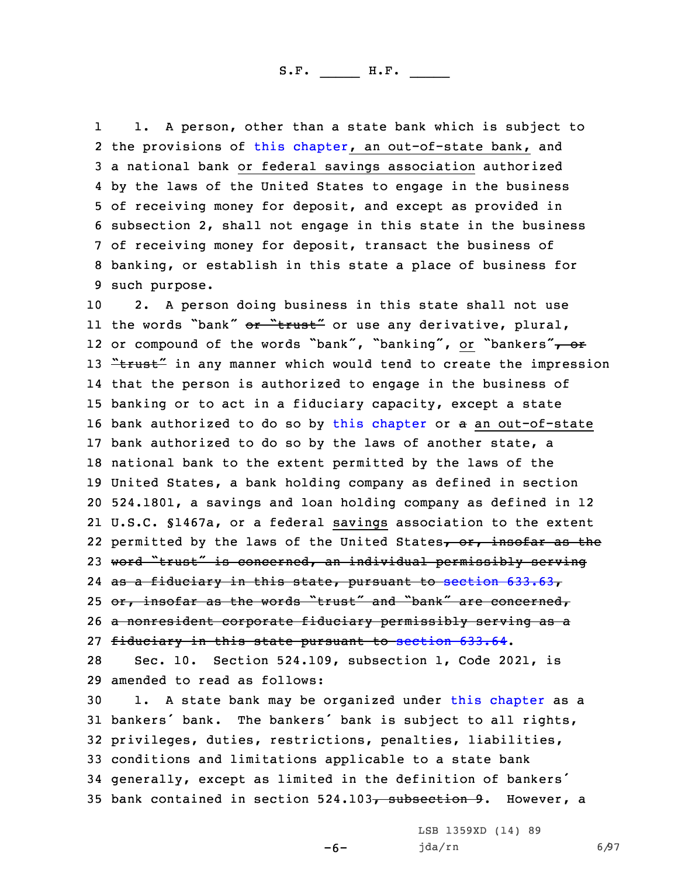1 1. <sup>A</sup> person, other than <sup>a</sup> state bank which is subject to 2 the provisions of this [chapter](https://www.legis.iowa.gov/docs/code/2021/524.pdf), an out-of-state bank, and <sup>a</sup> national bank or federal savings association authorized by the laws of the United States to engage in the business of receiving money for deposit, and except as provided in subsection 2, shall not engage in this state in the business of receiving money for deposit, transact the business of banking, or establish in this state <sup>a</sup> place of business for such purpose.

 2. <sup>A</sup> person doing business in this state shall not use 11 the words "bank" <del>or "trust"</del> or use any derivative, plural, 12 or compound of the words "bank", "banking", or "bankers"<del>, or</del> 13 "trust" in any manner which would tend to create the impression that the person is authorized to engage in the business of banking or to act in <sup>a</sup> fiduciary capacity, except <sup>a</sup> state bank authorized to do so by this [chapter](https://www.legis.iowa.gov/docs/code/2021/524.pdf) or <sup>a</sup> an out-of-state bank authorized to do so by the laws of another state, <sup>a</sup> national bank to the extent permitted by the laws of the United States, <sup>a</sup> bank holding company as defined in section 524.1801, <sup>a</sup> savings and loan holding company as defined in 12 U.S.C. §1467a, or <sup>a</sup> federal savings association to the extent 22 permitted by the laws of the United States<del>, or, insofar as the</del> 23 word "trust" is concerned, an individual permissibly serving as <sup>a</sup> fiduciary in this state, pursuant to section [633.63](https://www.legis.iowa.gov/docs/code/2021/633.63.pdf), 25 or, insofar as the words "trust" and "bank" are concerned, <sup>a</sup> nonresident corporate fiduciary permissibly serving as <sup>a</sup> fiduciary in this state pursuant to [section](https://www.legis.iowa.gov/docs/code/2021/633.64.pdf) 633.64. Sec. 10. Section 524.109, subsection 1, Code 2021, is

29 amended to read as follows:

 1. <sup>A</sup> state bank may be organized under this [chapter](https://www.legis.iowa.gov/docs/code/2021/524.pdf) as <sup>a</sup> bankers' bank. The bankers' bank is subject to all rights, privileges, duties, restrictions, penalties, liabilities, conditions and limitations applicable to <sup>a</sup> state bank generally, except as limited in the definition of bankers' 35 bank contained in section 524.103, subsection 9. However, a

-6-

LSB 1359XD (14) 89 jda/rn 6/97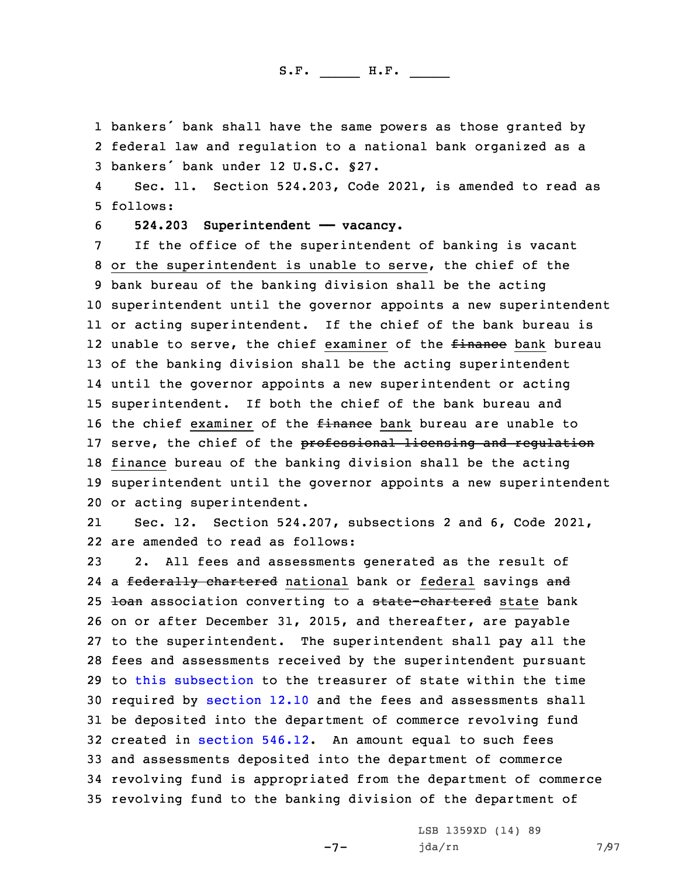1 bankers' bank shall have the same powers as those granted by 2 federal law and regulation to <sup>a</sup> national bank organized as <sup>a</sup> 3 bankers' bank under 12 U.S.C. §27.

4 Sec. 11. Section 524.203, Code 2021, is amended to read as 5 follows:

6 **524.203 Superintendent —— vacancy.**

 If the office of the superintendent of banking is vacant or the superintendent is unable to serve, the chief of the bank bureau of the banking division shall be the acting superintendent until the governor appoints <sup>a</sup> new superintendent or acting superintendent. If the chief of the bank bureau is 12 unable to serve, the chief examiner of the <del>finance</del> bank bureau of the banking division shall be the acting superintendent until the governor appoints <sup>a</sup> new superintendent or acting superintendent. If both the chief of the bank bureau and 16 the chief examiner of the *finance* bank bureau are unable to 17 serve, the chief of the professional licensing and regulation finance bureau of the banking division shall be the acting superintendent until the governor appoints <sup>a</sup> new superintendent or acting superintendent.

21 Sec. 12. Section 524.207, subsections 2 and 6, Code 2021, 22 are amended to read as follows:

 2. All fees and assessments generated as the result of 24 a <del>federally chartered</del> national bank or federal savings <del>and</del> 25 <del>loan</del> association converting to a state-chartered state bank on or after December 31, 2015, and thereafter, are payable to the superintendent. The superintendent shall pay all the fees and assessments received by the superintendent pursuant to this [subsection](https://www.legis.iowa.gov/docs/code/2021/524.207.pdf) to the treasurer of state within the time 30 required by [section](https://www.legis.iowa.gov/docs/code/2021/12.10.pdf) 12.10 and the fees and assessments shall be deposited into the department of commerce revolving fund created in [section](https://www.legis.iowa.gov/docs/code/2021/546.12.pdf) 546.12. An amount equal to such fees and assessments deposited into the department of commerce revolving fund is appropriated from the department of commerce revolving fund to the banking division of the department of

 $-7-$ 

LSB 1359XD (14) 89 jda/rn 7/97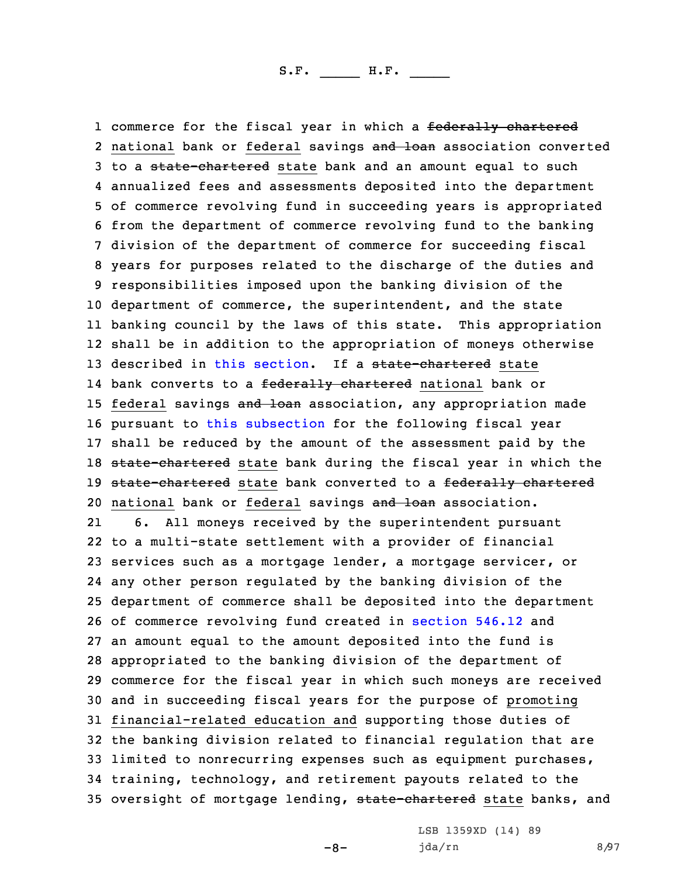1 commerce for the fiscal year in which a <del>federally chartered</del> 2 national bank or federal savings and loan association converted 3 to a state-chartered state bank and an amount equal to such annualized fees and assessments deposited into the department of commerce revolving fund in succeeding years is appropriated from the department of commerce revolving fund to the banking division of the department of commerce for succeeding fiscal years for purposes related to the discharge of the duties and responsibilities imposed upon the banking division of the department of commerce, the superintendent, and the state banking council by the laws of this state. This appropriation shall be in addition to the appropriation of moneys otherwise 13 described in this [section](https://www.legis.iowa.gov/docs/code/2021/524.207.pdf). If a state-chartered state 14 bank converts to a <del>federally chartered</del> national bank or 15 federal savings and loan association, any appropriation made pursuant to this [subsection](https://www.legis.iowa.gov/docs/code/2021/524.207.pdf) for the following fiscal year shall be reduced by the amount of the assessment paid by the 18 state-chartered state bank during the fiscal year in which the 19 state-chartered state bank converted to a federally chartered 20 national bank or federal savings and loan association. 21 6. All moneys received by the superintendent pursuant to <sup>a</sup> multi-state settlement with <sup>a</sup> provider of financial services such as <sup>a</sup> mortgage lender, <sup>a</sup> mortgage servicer, or any other person regulated by the banking division of the department of commerce shall be deposited into the department of commerce revolving fund created in [section](https://www.legis.iowa.gov/docs/code/2021/546.12.pdf) 546.12 and an amount equal to the amount deposited into the fund is appropriated to the banking division of the department of commerce for the fiscal year in which such moneys are received and in succeeding fiscal years for the purpose of promoting financial-related education and supporting those duties of the banking division related to financial regulation that are limited to nonrecurring expenses such as equipment purchases, training, technology, and retirement payouts related to the 35 oversight of mortgage lending, state-chartered state banks, and

-8-

LSB 1359XD (14) 89 jda/rn 8/97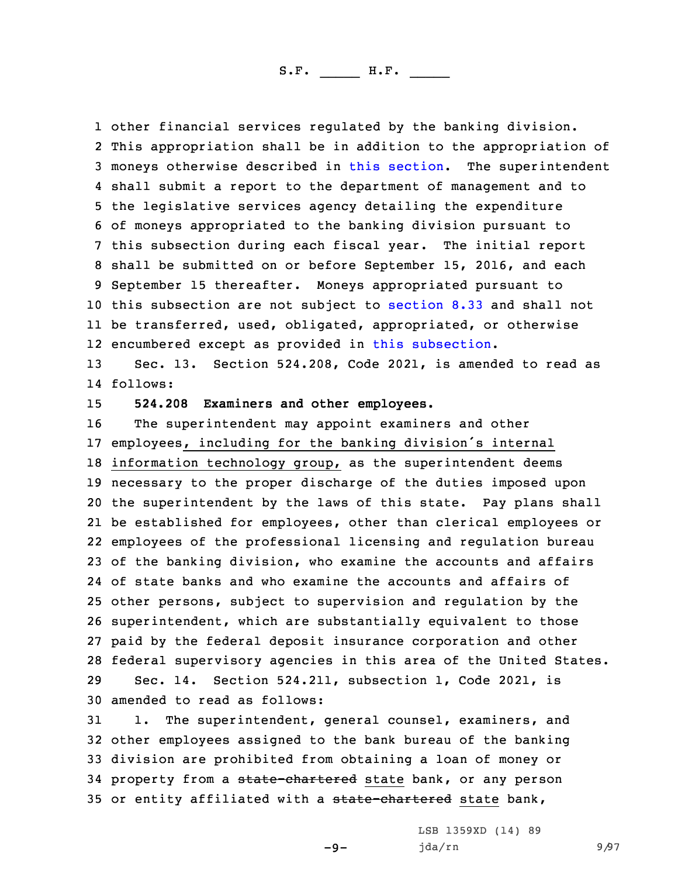other financial services regulated by the banking division. This appropriation shall be in addition to the appropriation of moneys otherwise described in this [section](https://www.legis.iowa.gov/docs/code/2021/524.207.pdf). The superintendent shall submit <sup>a</sup> report to the department of management and to the legislative services agency detailing the expenditure of moneys appropriated to the banking division pursuant to this subsection during each fiscal year. The initial report shall be submitted on or before September 15, 2016, and each September 15 thereafter. Moneys appropriated pursuant to this subsection are not subject to [section](https://www.legis.iowa.gov/docs/code/2021/8.33.pdf) 8.33 and shall not be transferred, used, obligated, appropriated, or otherwise encumbered except as provided in this [subsection](https://www.legis.iowa.gov/docs/code/2021/524.207.pdf).

13 Sec. 13. Section 524.208, Code 2021, is amended to read as 14 follows:

15 **524.208 Examiners and other employees.**

 The superintendent may appoint examiners and other employees, including for the banking division's internal information technology group, as the superintendent deems necessary to the proper discharge of the duties imposed upon the superintendent by the laws of this state. Pay plans shall be established for employees, other than clerical employees or employees of the professional licensing and regulation bureau of the banking division, who examine the accounts and affairs of state banks and who examine the accounts and affairs of other persons, subject to supervision and regulation by the superintendent, which are substantially equivalent to those paid by the federal deposit insurance corporation and other federal supervisory agencies in this area of the United States. Sec. 14. Section 524.211, subsection 1, Code 2021, is amended to read as follows:

31 1. The superintendent, general counsel, examiners, and 32 other employees assigned to the bank bureau of the banking 33 division are prohibited from obtaining <sup>a</sup> loan of money or 34 property from a state-chartered state bank, or any person 35 or entity affiliated with a state-chartered state bank,

 $-9-$ 

LSB 1359XD (14) 89 jda/rn 9/97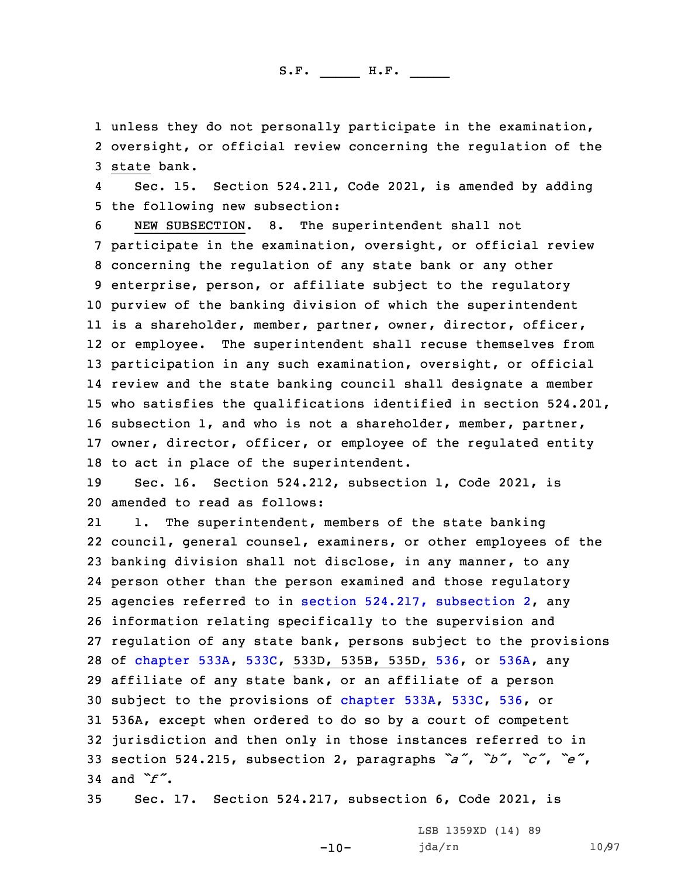1 unless they do not personally participate in the examination, 2 oversight, or official review concerning the regulation of the 3 state bank.

4 Sec. 15. Section 524.211, Code 2021, is amended by adding 5 the following new subsection:

 NEW SUBSECTION. 8. The superintendent shall not participate in the examination, oversight, or official review concerning the regulation of any state bank or any other enterprise, person, or affiliate subject to the regulatory purview of the banking division of which the superintendent is <sup>a</sup> shareholder, member, partner, owner, director, officer, or employee. The superintendent shall recuse themselves from participation in any such examination, oversight, or official review and the state banking council shall designate <sup>a</sup> member who satisfies the qualifications identified in section 524.201, subsection 1, and who is not <sup>a</sup> shareholder, member, partner, owner, director, officer, or employee of the regulated entity to act in place of the superintendent.

19 Sec. 16. Section 524.212, subsection 1, Code 2021, is 20 amended to read as follows:

21 1. The superintendent, members of the state banking council, general counsel, examiners, or other employees of the banking division shall not disclose, in any manner, to any person other than the person examined and those regulatory agencies referred to in section 524.217, [subsection](https://www.legis.iowa.gov/docs/code/2021/524.217.pdf) 2, any information relating specifically to the supervision and regulation of any state bank, persons subject to the provisions of [chapter](https://www.legis.iowa.gov/docs/code/2021/533A.pdf) 533A, [533C](https://www.legis.iowa.gov/docs/code/2021/533C.pdf), 533D, 535B, 535D, [536](https://www.legis.iowa.gov/docs/code/2021/536.pdf), or [536A](https://www.legis.iowa.gov/docs/code/2021/536A.pdf), any affiliate of any state bank, or an affiliate of <sup>a</sup> person subject to the provisions of [chapter](https://www.legis.iowa.gov/docs/code/2021/533A.pdf) 533A, [533C](https://www.legis.iowa.gov/docs/code/2021/533C.pdf), [536](https://www.legis.iowa.gov/docs/code/2021/536.pdf), or 536A, except when ordered to do so by <sup>a</sup> court of competent jurisdiction and then only in those instances referred to in section 524.215, subsection 2, paragraphs *"a"*, *"b"*, *"c"*, *"e"*, 34 and *"f"*.

35 Sec. 17. Section 524.217, subsection 6, Code 2021, is

-10-

LSB 1359XD (14) 89 jda/rn 10/97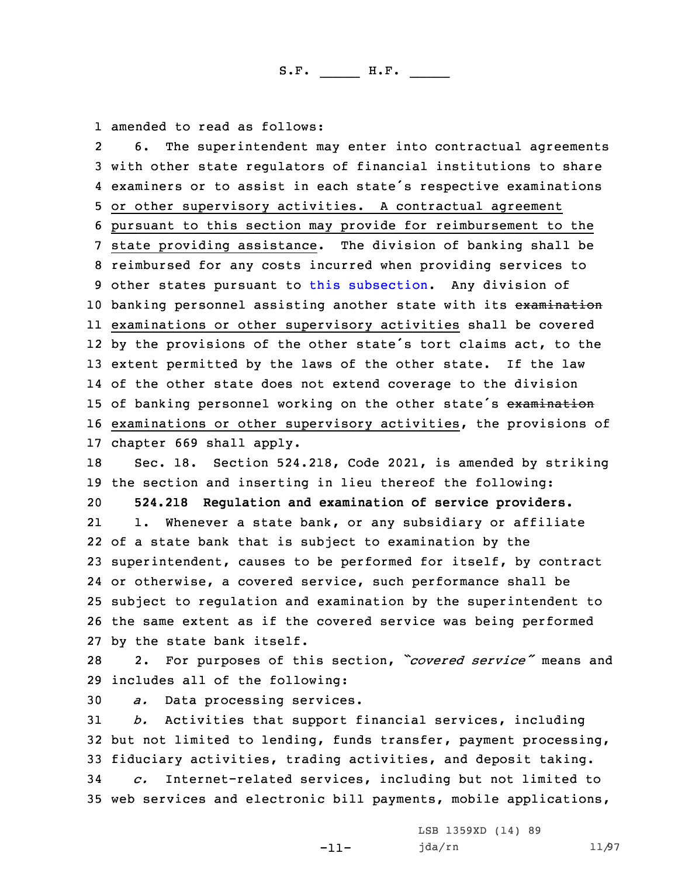1 amended to read as follows:

2 6. The superintendent may enter into contractual agreements with other state regulators of financial institutions to share examiners or to assist in each state's respective examinations or other supervisory activities. <sup>A</sup> contractual agreement pursuant to this section may provide for reimbursement to the state providing assistance. The division of banking shall be reimbursed for any costs incurred when providing services to other states pursuant to this [subsection](https://www.legis.iowa.gov/docs/code/2021/524.217.pdf). Any division of 10 banking personnel assisting another state with its examination examinations or other supervisory activities shall be covered 12 by the provisions of the other state's tort claims act, to the extent permitted by the laws of the other state. If the law of the other state does not extend coverage to the division 15 of banking personnel working on the other state's examination examinations or other supervisory activities, the provisions of chapter 669 shall apply. Sec. 18. Section 524.218, Code 2021, is amended by striking the section and inserting in lieu thereof the following: **524.218 Regulation and examination of service providers.** 21 1. Whenever <sup>a</sup> state bank, or any subsidiary or affiliate of <sup>a</sup> state bank that is subject to examination by the superintendent, causes to be performed for itself, by contract or otherwise, <sup>a</sup> covered service, such performance shall be subject to regulation and examination by the superintendent to the same extent as if the covered service was being performed by the state bank itself. 2. For purposes of this section, *"covered service"* means and includes all of the following:

30 *a.* Data processing services.

31 *b.* Activities that support financial services, including 32 but not limited to lending, funds transfer, payment processing, 33 fiduciary activities, trading activities, and deposit taking.

34 *c.* Internet-related services, including but not limited to 35 web services and electronic bill payments, mobile applications,

-11-

LSB 1359XD (14) 89 jda/rn 11/97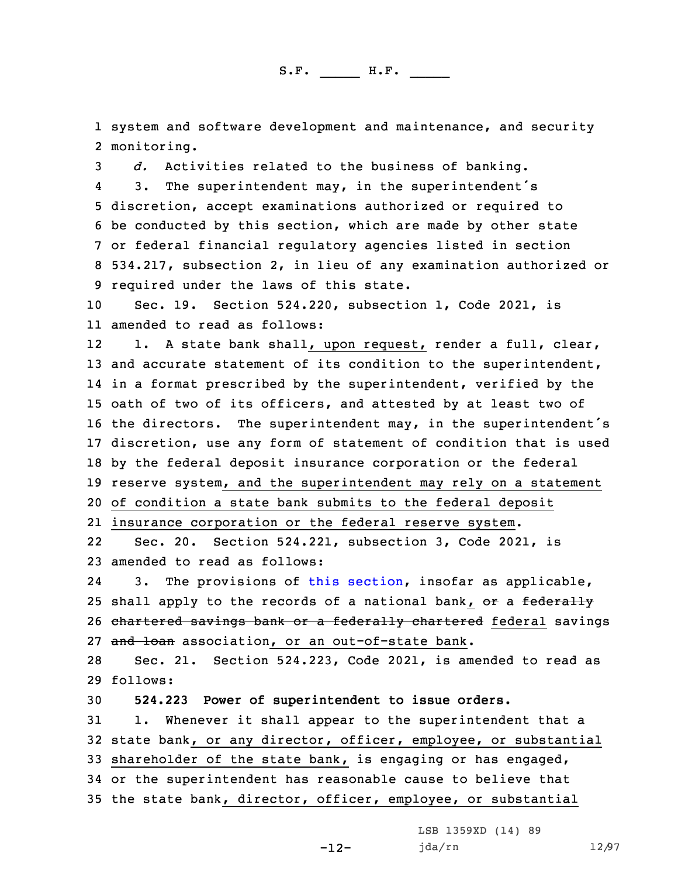1 system and software development and maintenance, and security 2 monitoring.

 *d.* Activities related to the business of banking. 4 3. The superintendent may, in the superintendent's discretion, accept examinations authorized or required to be conducted by this section, which are made by other state or federal financial regulatory agencies listed in section 534.217, subsection 2, in lieu of any examination authorized or required under the laws of this state.

10 Sec. 19. Section 524.220, subsection 1, Code 2021, is 11 amended to read as follows:

12 1. <sup>A</sup> state bank shall, upon request, render <sup>a</sup> full, clear, 13 and accurate statement of its condition to the superintendent, in <sup>a</sup> format prescribed by the superintendent, verified by the oath of two of its officers, and attested by at least two of the directors. The superintendent may, in the superintendent's discretion, use any form of statement of condition that is used by the federal deposit insurance corporation or the federal reserve system, and the superintendent may rely on <sup>a</sup> statement of condition <sup>a</sup> state bank submits to the federal deposit

21 insurance corporation or the federal reserve system.

22 Sec. 20. Section 524.221, subsection 3, Code 2021, is 23 amended to read as follows:

24 3. The provisions of this [section](https://www.legis.iowa.gov/docs/code/2021/524.221.pdf), insofar as applicable, 25 shall apply to the records of a national bank, or a federally 26 chartered savings bank or a federally chartered federal savings 27 and loan association, or an out-of-state bank.

28 Sec. 21. Section 524.223, Code 2021, is amended to read as 29 follows:

30 **524.223 Power of superintendent to issue orders.**

 1. Whenever it shall appear to the superintendent that <sup>a</sup> state bank, or any director, officer, employee, or substantial shareholder of the state bank, is engaging or has engaged, or the superintendent has reasonable cause to believe that the state bank, director, officer, employee, or substantial

LSB 1359XD (14) 89

-12-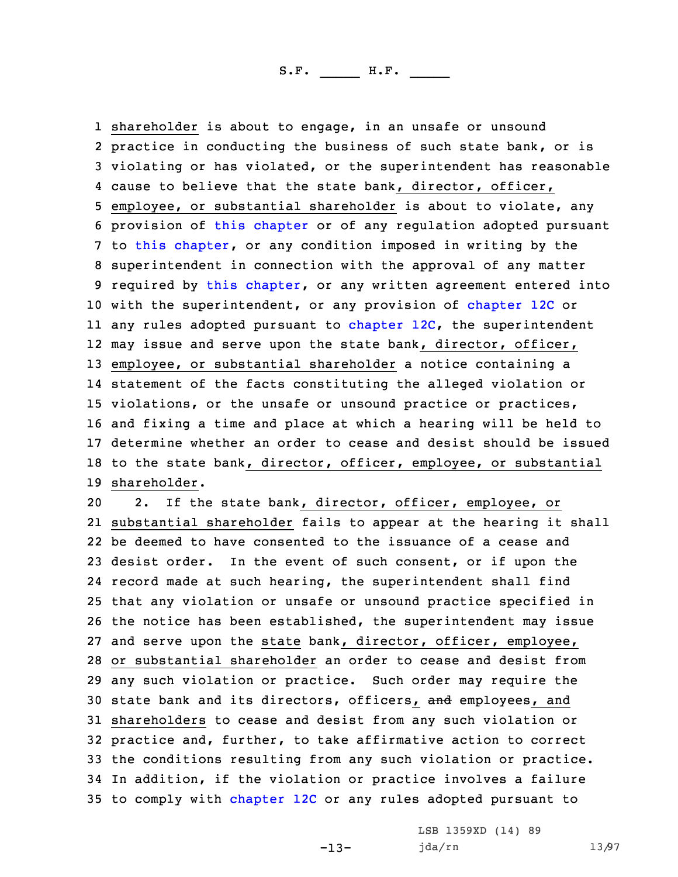shareholder is about to engage, in an unsafe or unsound practice in conducting the business of such state bank, or is violating or has violated, or the superintendent has reasonable cause to believe that the state bank, director, officer, employee, or substantial shareholder is about to violate, any provision of this [chapter](https://www.legis.iowa.gov/docs/code/2021/524.pdf) or of any regulation adopted pursuant to this [chapter](https://www.legis.iowa.gov/docs/code/2021/524.pdf), or any condition imposed in writing by the superintendent in connection with the approval of any matter 9 required by this [chapter](https://www.legis.iowa.gov/docs/code/2021/524.pdf), or any written agreement entered into 10 with the superintendent, or any provision of [chapter](https://www.legis.iowa.gov/docs/code/2021/12C.pdf) 12C or any rules adopted pursuant to [chapter](https://www.legis.iowa.gov/docs/code/2021/12C.pdf) 12C, the superintendent may issue and serve upon the state bank, director, officer, employee, or substantial shareholder <sup>a</sup> notice containing <sup>a</sup> statement of the facts constituting the alleged violation or violations, or the unsafe or unsound practice or practices, and fixing <sup>a</sup> time and place at which <sup>a</sup> hearing will be held to determine whether an order to cease and desist should be issued to the state bank, director, officer, employee, or substantial shareholder.

 2. If the state bank, director, officer, employee, or substantial shareholder fails to appear at the hearing it shall be deemed to have consented to the issuance of <sup>a</sup> cease and desist order. In the event of such consent, or if upon the record made at such hearing, the superintendent shall find that any violation or unsafe or unsound practice specified in the notice has been established, the superintendent may issue and serve upon the state bank, director, officer, employee, or substantial shareholder an order to cease and desist from any such violation or practice. Such order may require the 30 state bank and its directors, officers, and employees, and shareholders to cease and desist from any such violation or practice and, further, to take affirmative action to correct the conditions resulting from any such violation or practice. In addition, if the violation or practice involves <sup>a</sup> failure to comply with [chapter](https://www.legis.iowa.gov/docs/code/2021/12C.pdf) 12C or any rules adopted pursuant to

-13-

LSB 1359XD (14) 89 jda/rn 13/97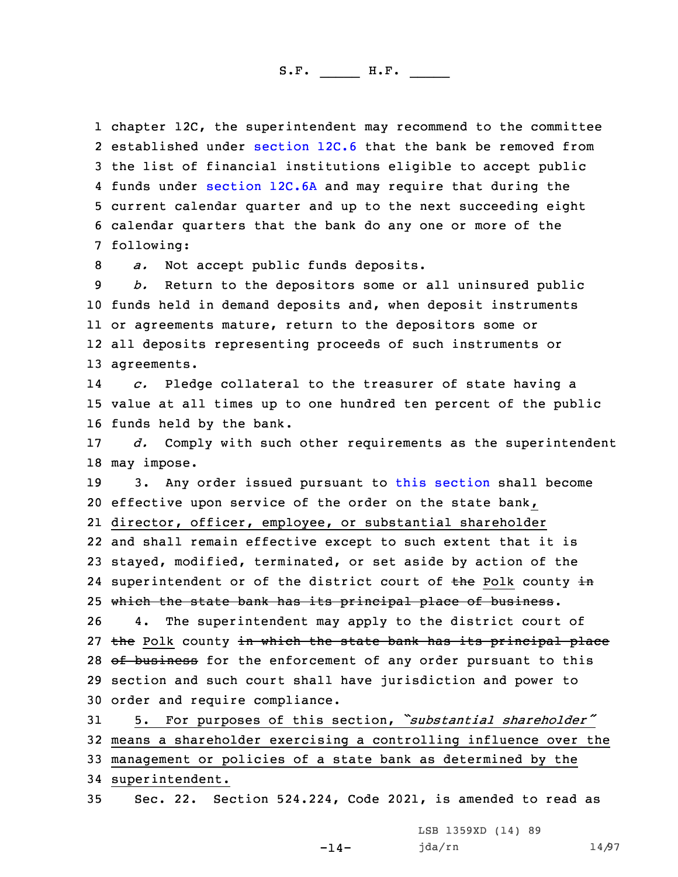chapter 12C, the superintendent may recommend to the committee 2 established under [section](https://www.legis.iowa.gov/docs/code/2021/12C.6.pdf) 12C.6 that the bank be removed from the list of financial institutions eligible to accept public funds under [section](https://www.legis.iowa.gov/docs/code/2021/12C.6A.pdf) 12C.6A and may require that during the current calendar quarter and up to the next succeeding eight calendar quarters that the bank do any one or more of the following:

8 *a.* Not accept public funds deposits.

 *b.* Return to the depositors some or all uninsured public funds held in demand deposits and, when deposit instruments or agreements mature, return to the depositors some or all deposits representing proceeds of such instruments or agreements.

14 *c.* Pledge collateral to the treasurer of state having <sup>a</sup> 15 value at all times up to one hundred ten percent of the public 16 funds held by the bank.

17 *d.* Comply with such other requirements as the superintendent 18 may impose.

19 3. Any order issued pursuant to this [section](https://www.legis.iowa.gov/docs/code/2021/524.223.pdf) shall become 20 effective upon service of the order on the state bank, 21 director, officer, employee, or substantial shareholder 22 and shall remain effective except to such extent that it is 23 stayed, modified, terminated, or set aside by action of the 24 superintendent or of the district court of <del>the</del> Polk county in 25 which the state bank has its principal place of business. 26 4. The superintendent may apply to the district court of 27 the Polk county in which the state bank has its principal place 28 of business for the enforcement of any order pursuant to this

29 section and such court shall have jurisdiction and power to 30 order and require compliance.

 5. For purposes of this section, *"substantial shareholder"* means <sup>a</sup> shareholder exercising <sup>a</sup> controlling influence over the management or policies of <sup>a</sup> state bank as determined by the superintendent.

35 Sec. 22. Section 524.224, Code 2021, is amended to read as

-14-

LSB 1359XD (14) 89 jda/rn 14/97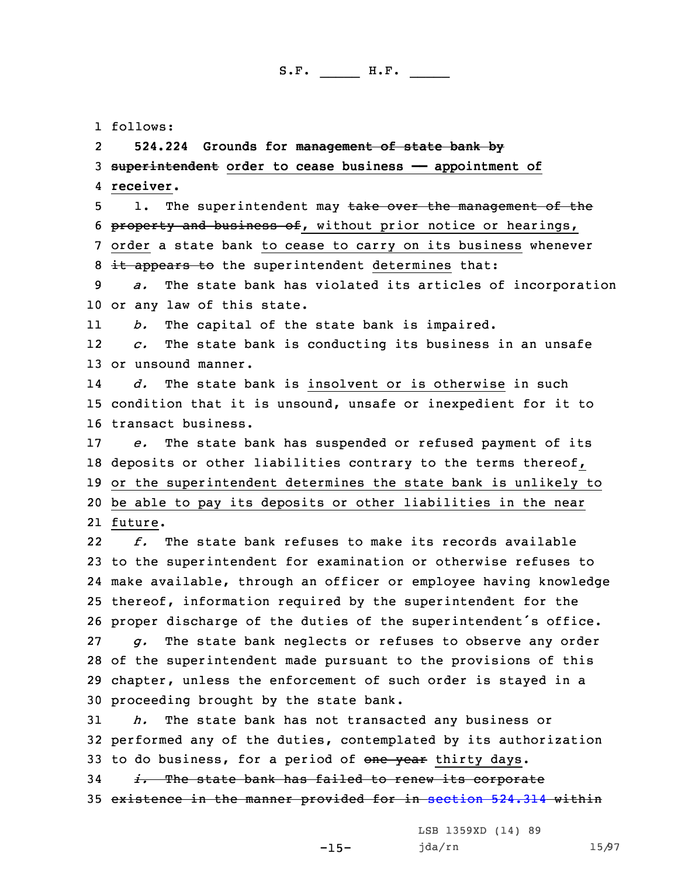1 follows:

2**524.224 Grounds for management of state bank by**

3 **superintendent order to cease business —— appointment of** 4 **receiver.**

5 1. The superintendent may take over the management of the 6 property and business of, without prior notice or hearings, 7 order <sup>a</sup> state bank to cease to carry on its business whenever 8 it appears to the superintendent determines that:

9 *a.* The state bank has violated its articles of incorporation 10 or any law of this state.

11*b.* The capital of the state bank is impaired.

12 *c.* The state bank is conducting its business in an unsafe 13 or unsound manner.

14 *d.* The state bank is insolvent or is otherwise in such 15 condition that it is unsound, unsafe or inexpedient for it to 16 transact business.

17 *e.* The state bank has suspended or refused payment of its 18 deposits or other liabilities contrary to the terms thereof, 19 or the superintendent determines the state bank is unlikely to 20 be able to pay its deposits or other liabilities in the near 21 future.

22 *f.* The state bank refuses to make its records available to the superintendent for examination or otherwise refuses to make available, through an officer or employee having knowledge thereof, information required by the superintendent for the proper discharge of the duties of the superintendent's office. *g.* The state bank neglects or refuses to observe any order of the superintendent made pursuant to the provisions of this chapter, unless the enforcement of such order is stayed in <sup>a</sup> proceeding brought by the state bank.

31 *h.* The state bank has not transacted any business or 32 performed any of the duties, contemplated by its authorization 33 to do business, for a period of one year thirty days.

34 *i.* The state bank has failed to renew its corporate 35 existence in the manner provided for in [section](https://www.legis.iowa.gov/docs/code/2021/524.314.pdf) 524.314 within

-15-

LSB 1359XD (14) 89 jda/rn 15/97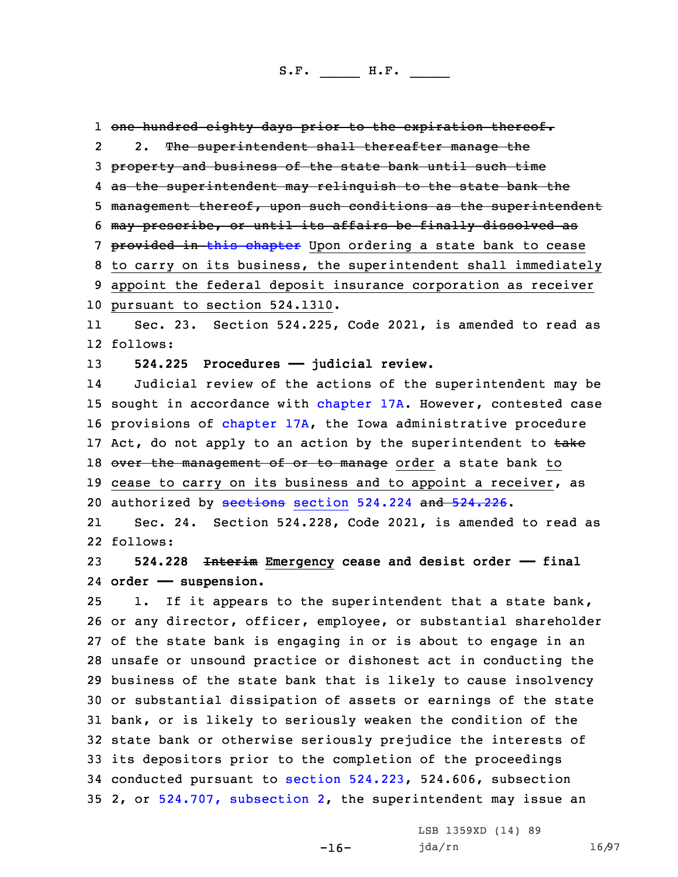1 one hundred eighty days prior to the expiration thereof. 2 2. The superintendent shall thereafter manage the 3 property and business of the state bank until such time 4 as the superintendent may relinquish to the state bank the 5 management thereof, upon such conditions as the superintendent 6 may prescribe, or until its affairs be finally dissolved as 7 provided in this [chapter](https://www.legis.iowa.gov/docs/code/2021/524.pdf) Upon ordering a state bank to cease 8 to carry on its business, the superintendent shall immediately 9 appoint the federal deposit insurance corporation as receiver 10 pursuant to section 524.1310. 11 Sec. 23. Section 524.225, Code 2021, is amended to read as 12 follows:

13 **524.225 Procedures —— judicial review.**

14 Judicial review of the actions of the superintendent may be 15 sought in accordance with [chapter](https://www.legis.iowa.gov/docs/code/2021/17A.pdf) 17A. However, contested case 16 provisions of [chapter](https://www.legis.iowa.gov/docs/code/2021/17A.pdf) 17A, the Iowa administrative procedure 17 Act, do not apply to an action by the superintendent to  $\frac{1}{k}$ 18 over the management of or to manage order a state bank to 19 cease to carry on its business and to appoint a receiver, as 20 authorized by [sections](https://www.legis.iowa.gov/docs/code/2021/524.224.pdf) section 524.224 and [524.226](https://www.legis.iowa.gov/docs/code/2021/524.226.pdf).

21 Sec. 24. Section 524.228, Code 2021, is amended to read as 22 follows:

23 **524.228 Interim Emergency cease and desist order —— final** 24 **order —— suspension.**

 1. If it appears to the superintendent that <sup>a</sup> state bank, or any director, officer, employee, or substantial shareholder of the state bank is engaging in or is about to engage in an unsafe or unsound practice or dishonest act in conducting the business of the state bank that is likely to cause insolvency or substantial dissipation of assets or earnings of the state bank, or is likely to seriously weaken the condition of the state bank or otherwise seriously prejudice the interests of its depositors prior to the completion of the proceedings conducted pursuant to section [524.223](https://www.legis.iowa.gov/docs/code/2021/524.223.pdf), 524.606, subsection 2, or 524.707, [subsection](https://www.legis.iowa.gov/docs/code/2021/524.707.pdf) 2, the superintendent may issue an

-16-

LSB 1359XD (14) 89 jda/rn 16/97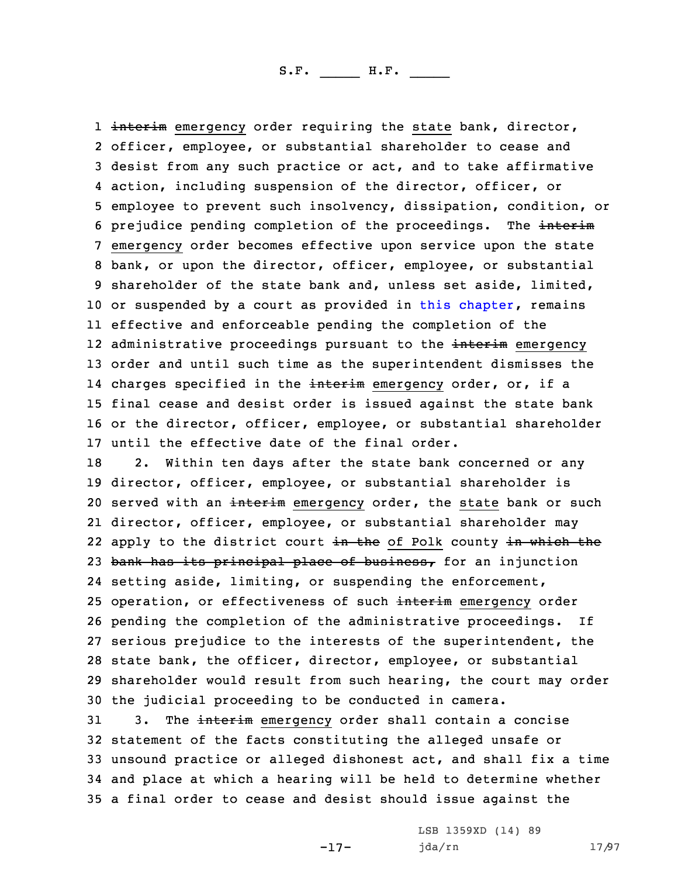1 <del>interim</del> emergency order requiring the state bank, director, officer, employee, or substantial shareholder to cease and desist from any such practice or act, and to take affirmative action, including suspension of the director, officer, or employee to prevent such insolvency, dissipation, condition, or 6 prejudice pending completion of the proceedings. The interim emergency order becomes effective upon service upon the state bank, or upon the director, officer, employee, or substantial shareholder of the state bank and, unless set aside, limited, 10 or suspended by a court as provided in this [chapter](https://www.legis.iowa.gov/docs/code/2021/524.pdf), remains effective and enforceable pending the completion of the 12 administrative proceedings pursuant to the <del>interim</del> emergency order and until such time as the superintendent dismisses the 14 charges specified in the <del>interim</del> emergency order, or, if a final cease and desist order is issued against the state bank or the director, officer, employee, or substantial shareholder until the effective date of the final order.

 2. Within ten days after the state bank concerned or any director, officer, employee, or substantial shareholder is 20 served with an interim emergency order, the state bank or such director, officer, employee, or substantial shareholder may 22 apply to the district court <del>in the</del> of Polk county <del>in which the</del> 23 bank has its principal place of business, for an injunction setting aside, limiting, or suspending the enforcement, 25 operation, or effectiveness of such interim emergency order pending the completion of the administrative proceedings. If serious prejudice to the interests of the superintendent, the state bank, the officer, director, employee, or substantial shareholder would result from such hearing, the court may order the judicial proceeding to be conducted in camera.

31 3. The interim emergency order shall contain a concise statement of the facts constituting the alleged unsafe or unsound practice or alleged dishonest act, and shall fix <sup>a</sup> time and place at which <sup>a</sup> hearing will be held to determine whether <sup>a</sup> final order to cease and desist should issue against the

-17-

LSB 1359XD (14) 89 jda/rn 17/97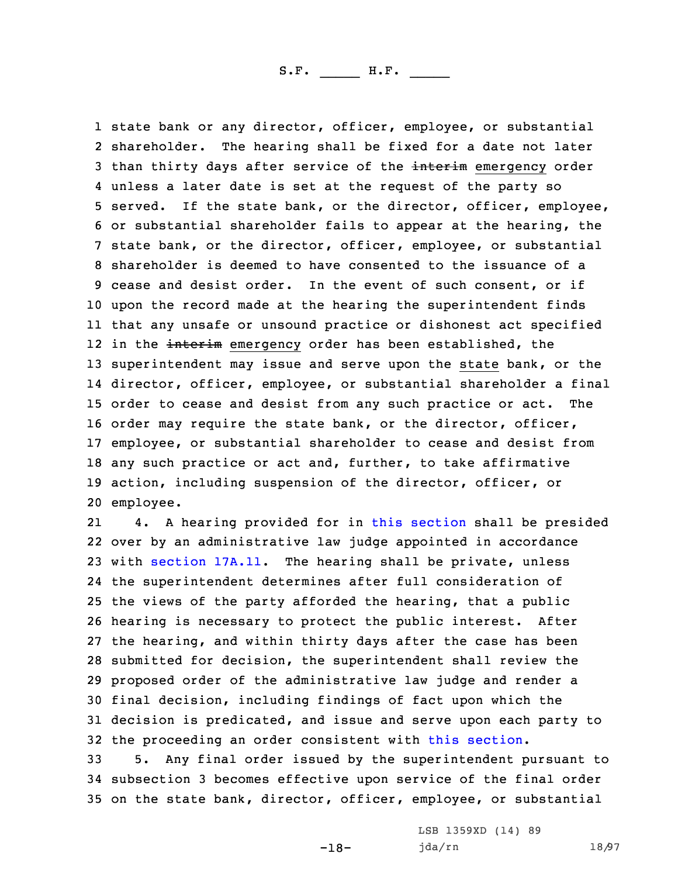state bank or any director, officer, employee, or substantial shareholder. The hearing shall be fixed for <sup>a</sup> date not later 3 than thirty days after service of the interim emergency order unless <sup>a</sup> later date is set at the request of the party so served. If the state bank, or the director, officer, employee, or substantial shareholder fails to appear at the hearing, the state bank, or the director, officer, employee, or substantial shareholder is deemed to have consented to the issuance of <sup>a</sup> cease and desist order. In the event of such consent, or if upon the record made at the hearing the superintendent finds that any unsafe or unsound practice or dishonest act specified 12 in the <del>interim</del> emergency order has been established, the superintendent may issue and serve upon the state bank, or the director, officer, employee, or substantial shareholder <sup>a</sup> final order to cease and desist from any such practice or act. The order may require the state bank, or the director, officer, employee, or substantial shareholder to cease and desist from any such practice or act and, further, to take affirmative action, including suspension of the director, officer, or employee.

21 4. <sup>A</sup> hearing provided for in this [section](https://www.legis.iowa.gov/docs/code/2021/524.228.pdf) shall be presided over by an administrative law judge appointed in accordance with [section](https://www.legis.iowa.gov/docs/code/2021/17A.11.pdf) 17A.11. The hearing shall be private, unless the superintendent determines after full consideration of the views of the party afforded the hearing, that <sup>a</sup> public hearing is necessary to protect the public interest. After the hearing, and within thirty days after the case has been submitted for decision, the superintendent shall review the proposed order of the administrative law judge and render <sup>a</sup> final decision, including findings of fact upon which the decision is predicated, and issue and serve upon each party to the proceeding an order consistent with this [section](https://www.legis.iowa.gov/docs/code/2021/524.228.pdf).

33 5. Any final order issued by the superintendent pursuant to 34 subsection 3 becomes effective upon service of the final order 35 on the state bank, director, officer, employee, or substantial

-18-

LSB 1359XD (14) 89 jda/rn 18/97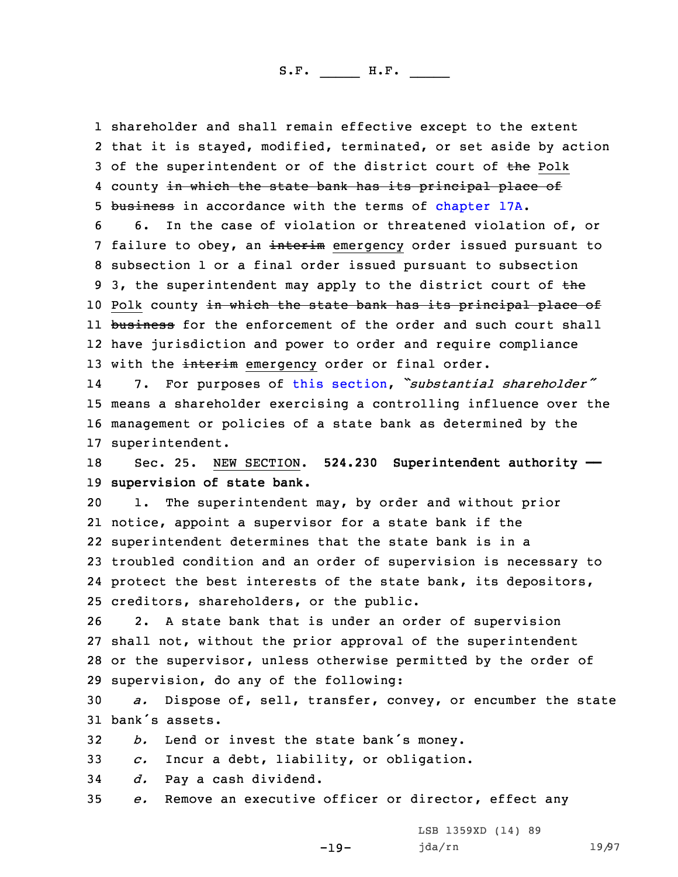1 shareholder and shall remain effective except to the extent 2 that it is stayed, modified, terminated, or set aside by action 3 of the superintendent or of the district court of the Polk 4 county <del>in which the state bank has its principal place of</del> 5 business in accordance with the terms of [chapter](https://www.legis.iowa.gov/docs/code/2021/17A.pdf) 17A.

6 6. In the case of violation or threatened violation of, or 7 failure to obey, an interim emergency order issued pursuant to 8 subsection 1 or <sup>a</sup> final order issued pursuant to subsection 9 3, the superintendent may apply to the district court of the 10 Polk county in which the state bank has its principal place of 11 <del>business</del> for the enforcement of the order and such court shall 12 have jurisdiction and power to order and require compliance 13 with the interim emergency order or final order.

14 7. For purposes of this [section](https://www.legis.iowa.gov/docs/code/2021/524.228.pdf), *"substantial shareholder"* 15 means <sup>a</sup> shareholder exercising <sup>a</sup> controlling influence over the 16 management or policies of <sup>a</sup> state bank as determined by the 17 superintendent.

18 Sec. 25. NEW SECTION. **524.230 Superintendent authority ——** 19 **supervision of state bank.**

 1. The superintendent may, by order and without prior notice, appoint <sup>a</sup> supervisor for <sup>a</sup> state bank if the superintendent determines that the state bank is in <sup>a</sup> troubled condition and an order of supervision is necessary to protect the best interests of the state bank, its depositors, creditors, shareholders, or the public.

 2. <sup>A</sup> state bank that is under an order of supervision shall not, without the prior approval of the superintendent or the supervisor, unless otherwise permitted by the order of supervision, do any of the following:

30 *a.* Dispose of, sell, transfer, convey, or encumber the state 31 bank's assets.

<sup>32</sup> *b.* Lend or invest the state bank's money.

33 *c.* Incur <sup>a</sup> debt, liability, or obligation.

34 *d.* Pay <sup>a</sup> cash dividend.

35 *e.* Remove an executive officer or director, effect any

-19-

LSB 1359XD (14) 89 jda/rn 19/97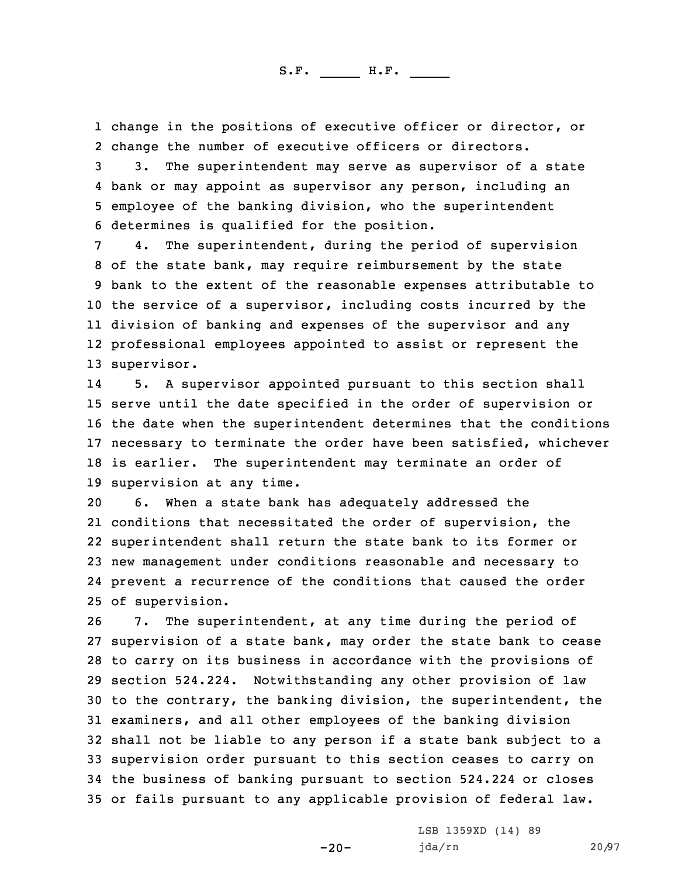1 change in the positions of executive officer or director, or 2 change the number of executive officers or directors.

 3. The superintendent may serve as supervisor of <sup>a</sup> state bank or may appoint as supervisor any person, including an employee of the banking division, who the superintendent determines is qualified for the position.

 4. The superintendent, during the period of supervision of the state bank, may require reimbursement by the state bank to the extent of the reasonable expenses attributable to the service of <sup>a</sup> supervisor, including costs incurred by the division of banking and expenses of the supervisor and any professional employees appointed to assist or represent the supervisor.

14 5. <sup>A</sup> supervisor appointed pursuant to this section shall serve until the date specified in the order of supervision or the date when the superintendent determines that the conditions necessary to terminate the order have been satisfied, whichever is earlier. The superintendent may terminate an order of supervision at any time.

 6. When <sup>a</sup> state bank has adequately addressed the conditions that necessitated the order of supervision, the superintendent shall return the state bank to its former or new management under conditions reasonable and necessary to prevent <sup>a</sup> recurrence of the conditions that caused the order of supervision.

 7. The superintendent, at any time during the period of supervision of <sup>a</sup> state bank, may order the state bank to cease to carry on its business in accordance with the provisions of section 524.224. Notwithstanding any other provision of law to the contrary, the banking division, the superintendent, the examiners, and all other employees of the banking division shall not be liable to any person if <sup>a</sup> state bank subject to <sup>a</sup> supervision order pursuant to this section ceases to carry on the business of banking pursuant to section 524.224 or closes or fails pursuant to any applicable provision of federal law.

-20-

LSB 1359XD (14) 89 jda/rn 20/97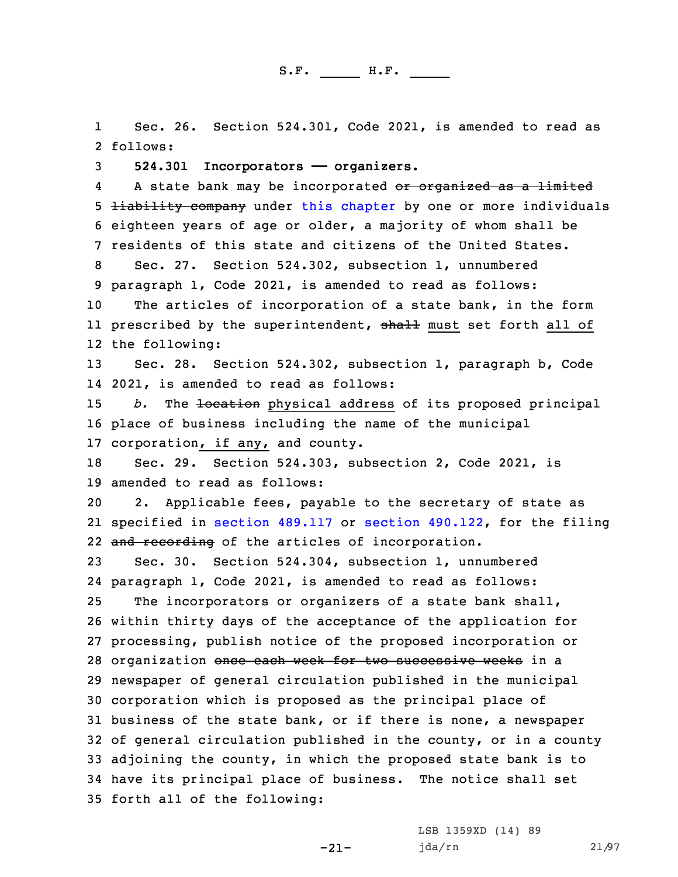1 Sec. 26. Section 524.301, Code 2021, is amended to read as 2 follows:

3 **524.301 Incorporators —— organizers.**

4A state bank may be incorporated or organized as a limited 5 **liability company** under this [chapter](https://www.legis.iowa.gov/docs/code/2021/524.pdf) by one or more individuals 6 eighteen years of age or older, <sup>a</sup> majority of whom shall be 7 residents of this state and citizens of the United States.

 Sec. 27. Section 524.302, subsection 1, unnumbered paragraph 1, Code 2021, is amended to read as follows: The articles of incorporation of <sup>a</sup> state bank, in the form ll prescribed by the superintendent, <del>shall</del> must set forth all of

12 the following:

13 Sec. 28. Section 524.302, subsection 1, paragraph b, Code 14 2021, is amended to read as follows:

15 *b.* The <del>location</del> physical address of its proposed principal 16 place of business including the name of the municipal 17 corporation, if any, and county.

18 Sec. 29. Section 524.303, subsection 2, Code 2021, is 19 amended to read as follows:

20 2. Applicable fees, payable to the secretary of state as 21 specified in section [489.117](https://www.legis.iowa.gov/docs/code/2021/489.117.pdf) or section [490.122](https://www.legis.iowa.gov/docs/code/2021/490.122.pdf), for the filing 22 and recording of the articles of incorporation.

 Sec. 30. Section 524.304, subsection 1, unnumbered paragraph 1, Code 2021, is amended to read as follows: The incorporators or organizers of <sup>a</sup> state bank shall, within thirty days of the acceptance of the application for processing, publish notice of the proposed incorporation or 28 organization once each week for two successive weeks in a newspaper of general circulation published in the municipal

 corporation which is proposed as the principal place of business of the state bank, or if there is none, <sup>a</sup> newspaper of general circulation published in the county, or in <sup>a</sup> county adjoining the county, in which the proposed state bank is to have its principal place of business. The notice shall set forth all of the following:

-21-

LSB 1359XD (14) 89 jda/rn 21/97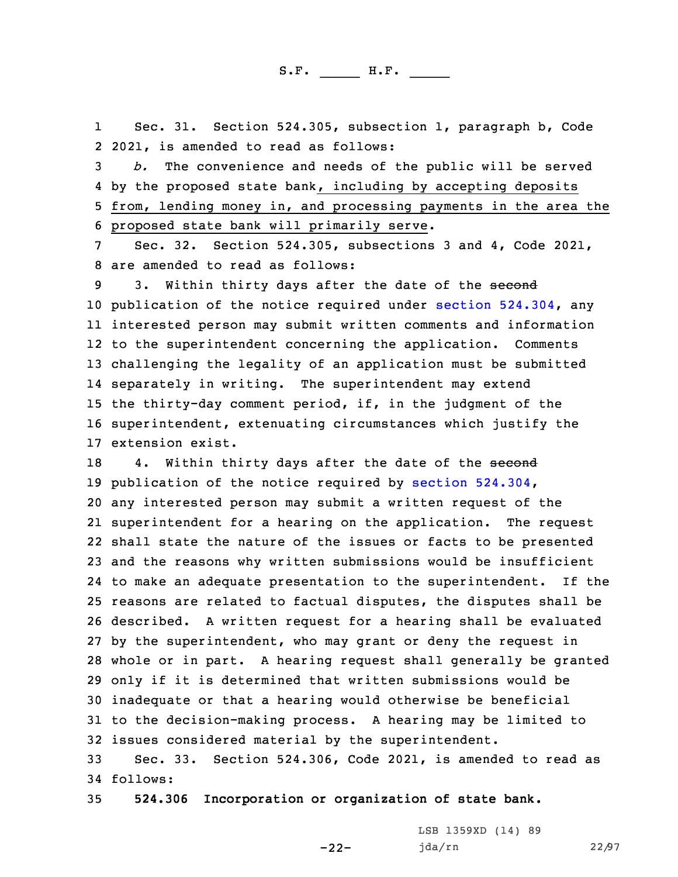1 Sec. 31. Section 524.305, subsection 1, paragraph b, Code 2 2021, is amended to read as follows:

 *b.* The convenience and needs of the public will be served by the proposed state bank, including by accepting deposits from, lending money in, and processing payments in the area the proposed state bank will primarily serve.

7 Sec. 32. Section 524.305, subsections 3 and 4, Code 2021, 8 are amended to read as follows:

9 3. Within thirty days after the date of the second publication of the notice required under section [524.304](https://www.legis.iowa.gov/docs/code/2021/524.304.pdf), any interested person may submit written comments and information to the superintendent concerning the application. Comments challenging the legality of an application must be submitted separately in writing. The superintendent may extend the thirty-day comment period, if, in the judgment of the superintendent, extenuating circumstances which justify the extension exist.

18 4. Within thirty days after the date of the second publication of the notice required by section [524.304](https://www.legis.iowa.gov/docs/code/2021/524.304.pdf), any interested person may submit <sup>a</sup> written request of the superintendent for <sup>a</sup> hearing on the application. The request shall state the nature of the issues or facts to be presented and the reasons why written submissions would be insufficient to make an adequate presentation to the superintendent. If the reasons are related to factual disputes, the disputes shall be described. <sup>A</sup> written request for <sup>a</sup> hearing shall be evaluated by the superintendent, who may grant or deny the request in whole or in part. <sup>A</sup> hearing request shall generally be granted only if it is determined that written submissions would be inadequate or that <sup>a</sup> hearing would otherwise be beneficial to the decision-making process. <sup>A</sup> hearing may be limited to issues considered material by the superintendent.

33 Sec. 33. Section 524.306, Code 2021, is amended to read as 34 follows:

-22-

35 **524.306 Incorporation or organization of state bank.**

LSB 1359XD (14) 89 jda/rn 22/97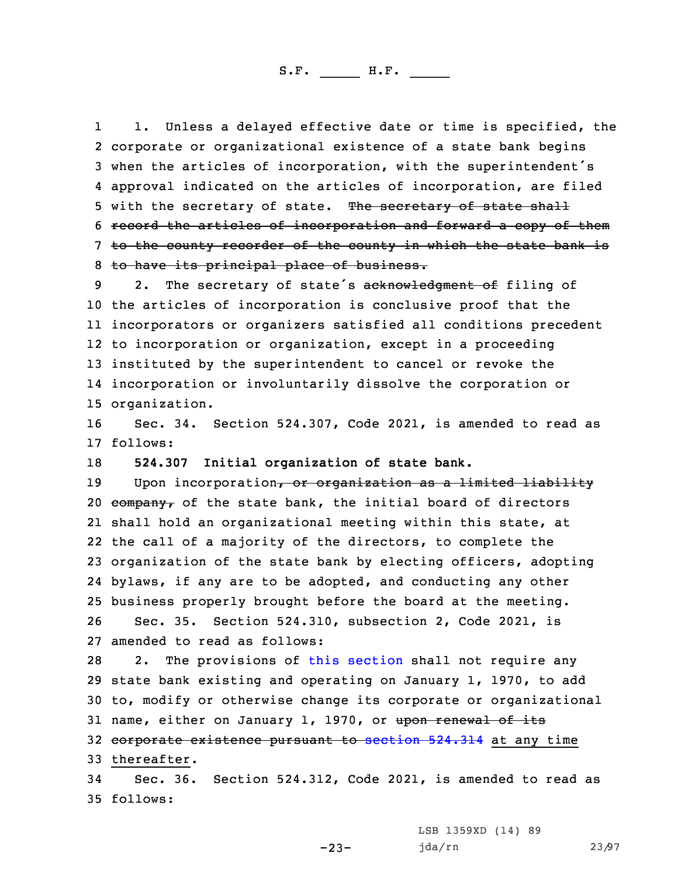1 1. Unless <sup>a</sup> delayed effective date or time is specified, the corporate or organizational existence of <sup>a</sup> state bank begins when the articles of incorporation, with the superintendent's approval indicated on the articles of incorporation, are filed 5 with the secretary of state. The secretary of state shall record the articles of incorporation and forward <sup>a</sup> copy of them to the county recorder of the county in which the state bank is to have its principal place of business.

9 2. The secretary of state's acknowledgment of filing of the articles of incorporation is conclusive proof that the incorporators or organizers satisfied all conditions precedent to incorporation or organization, except in <sup>a</sup> proceeding instituted by the superintendent to cancel or revoke the incorporation or involuntarily dissolve the corporation or organization.

16 Sec. 34. Section 524.307, Code 2021, is amended to read as 17 follows:

18 **524.307 Initial organization of state bank.**

19 Upon incorporation, or organization as a limited liability  $\epsilon$ ompany, of the state bank, the initial board of directors shall hold an organizational meeting within this state, at the call of <sup>a</sup> majority of the directors, to complete the organization of the state bank by electing officers, adopting bylaws, if any are to be adopted, and conducting any other business properly brought before the board at the meeting. Sec. 35. Section 524.310, subsection 2, Code 2021, is amended to read as follows:

 2. The provisions of this [section](https://www.legis.iowa.gov/docs/code/2021/524.310.pdf) shall not require any state bank existing and operating on January 1, 1970, to add to, modify or otherwise change its corporate or organizational 31 name, either on January 1, 1970, or upon renewal of its 32 corporate existence pursuant to [section](https://www.legis.iowa.gov/docs/code/2021/524.314.pdf) 524.314 at any time thereafter.

34 Sec. 36. Section 524.312, Code 2021, is amended to read as 35 follows:

 $-23-$ 

LSB 1359XD (14) 89 jda/rn 23/97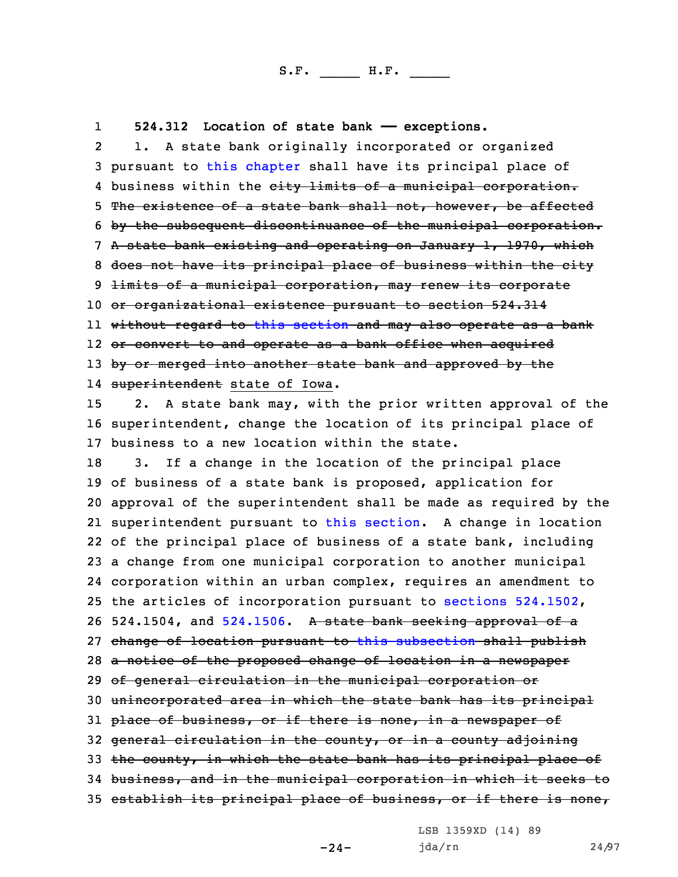1**524.312 Location of state bank —— exceptions.**

2 1. <sup>A</sup> state bank originally incorporated or organized pursuant to this [chapter](https://www.legis.iowa.gov/docs/code/2021/524.pdf) shall have its principal place of 4 business within the <del>city limits of a municipal corporation.</del> The existence of <sup>a</sup> state bank shall not, however, be affected by the subsequent discontinuance of the municipal corporation. <sup>A</sup> state bank existing and operating on January 1, 1970, which does not have its principal place of business within the city 9 <del>limits of a municipal corporation, may renew its corporate</del> or organizational existence pursuant to section 524.314 without regard to this [section](https://www.legis.iowa.gov/docs/code/2021/524.312.pdf) and may also operate as <sup>a</sup> bank or convert to and operate as <sup>a</sup> bank office when acquired 13 by or merged into another state bank and approved by the 14 <del>superintendent</del> state of Iowa. 2. <sup>A</sup> state bank may, with the prior written approval of the superintendent, change the location of its principal place of business to <sup>a</sup> new location within the state. 3. If <sup>a</sup> change in the location of the principal place of business of <sup>a</sup> state bank is proposed, application for approval of the superintendent shall be made as required by the superintendent pursuant to this [section](https://www.legis.iowa.gov/docs/code/2021/524.312.pdf). <sup>A</sup> change in location of the principal place of business of <sup>a</sup> state bank, including <sup>a</sup> change from one municipal corporation to another municipal corporation within an urban complex, requires an amendment to the articles of incorporation pursuant to sections [524.1502](https://www.legis.iowa.gov/docs/code/2021/524.1502.pdf), 26 524.1504, and [524.1506](https://www.legis.iowa.gov/docs/code/2021/524.1506.pdf). A state bank seeking approval of a change of location pursuant to this [subsection](https://www.legis.iowa.gov/docs/code/2021/524.312.pdf) shall publish 28 a notice of the proposed change of location in a newspaper of general circulation in the municipal corporation or unincorporated area in which the state bank has its principal 31 place of business, or if there is none, in a newspaper of 32 general circulation in the county, or in a county adjoining 33 the county, in which the state bank has its principal place of business, and in the municipal corporation in which it seeks to 35 establish its principal place of business, or if there is none,

LSB 1359XD (14) 89

-24-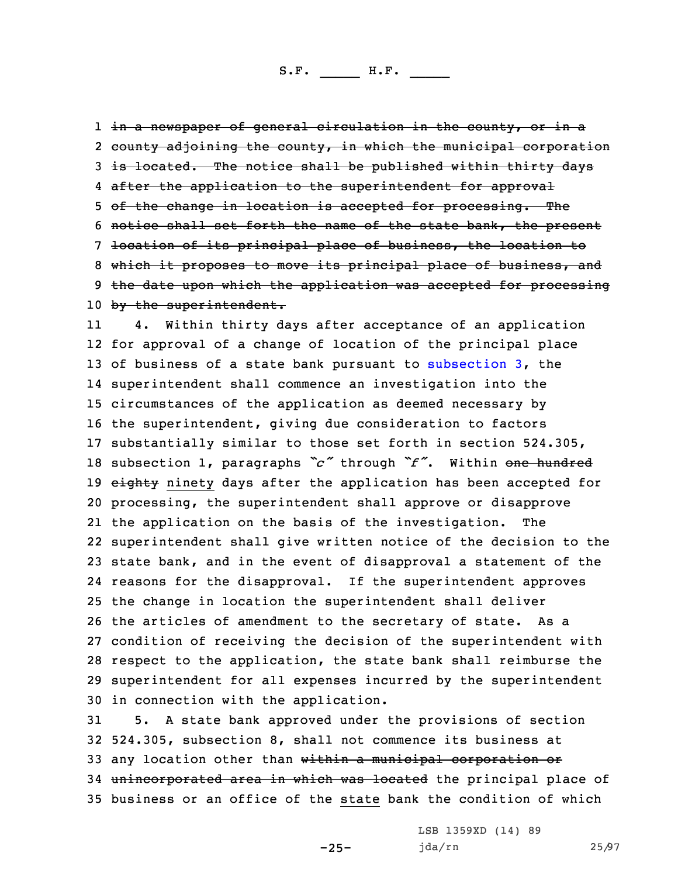1 <del>in a newspaper of general circulation in the county, or in a</del> 2 county adjoining the county, in which the municipal corporation 3 is located. The notice shall be published within thirty days 4 after the application to the superintendent for approval 5 of the change in location is accepted for processing. The 6 notice shall set forth the name of the state bank, the present 7 location of its principal place of business, the location to 8 which it proposes to move its principal place of business, and 9 the date upon which the application was accepted for processing 10 by the superintendent.

11 4. Within thirty days after acceptance of an application for approval of <sup>a</sup> change of location of the principal place of business of <sup>a</sup> state bank pursuant to [subsection](https://www.legis.iowa.gov/docs/code/2021/524.312.pdf) 3, the superintendent shall commence an investigation into the circumstances of the application as deemed necessary by the superintendent, giving due consideration to factors substantially similar to those set forth in section 524.305, subsection 1, paragraphs *"c"* through *"f"*. Within one hundred 19 eighty ninety days after the application has been accepted for processing, the superintendent shall approve or disapprove the application on the basis of the investigation. The superintendent shall give written notice of the decision to the state bank, and in the event of disapproval <sup>a</sup> statement of the reasons for the disapproval. If the superintendent approves the change in location the superintendent shall deliver the articles of amendment to the secretary of state. As <sup>a</sup> condition of receiving the decision of the superintendent with respect to the application, the state bank shall reimburse the superintendent for all expenses incurred by the superintendent in connection with the application.

31 5. <sup>A</sup> state bank approved under the provisions of section 32 524.305, subsection 8, shall not commence its business at 33 any location other than within a municipal corporation or 34 unincorporated area in which was located the principal place of 35 business or an office of the state bank the condition of which

-25-

LSB 1359XD (14) 89 jda/rn 25/97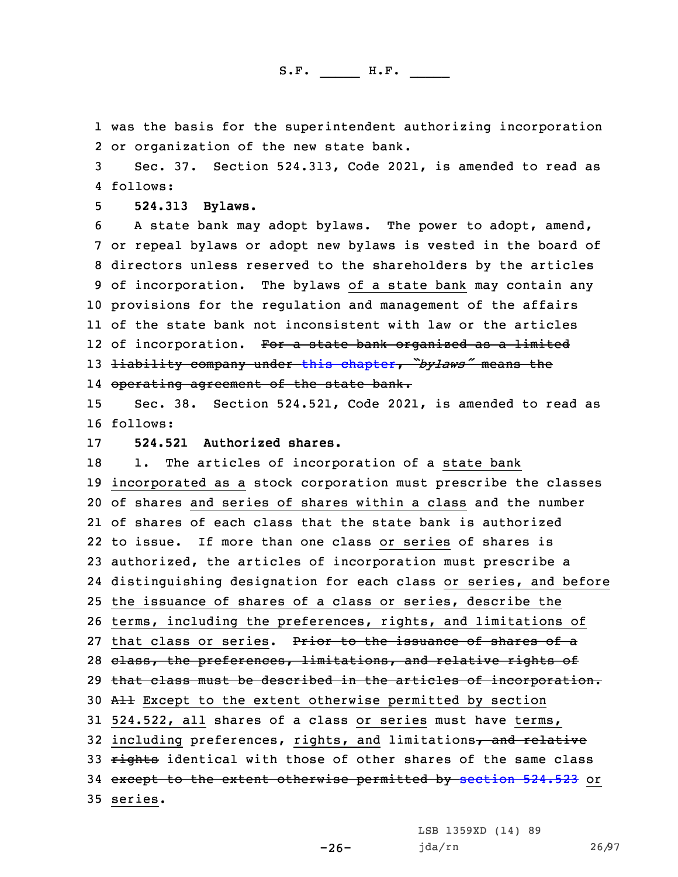1 was the basis for the superintendent authorizing incorporation 2 or organization of the new state bank.

3 Sec. 37. Section 524.313, Code 2021, is amended to read as 4 follows:

5 **524.313 Bylaws.**

 <sup>A</sup> state bank may adopt bylaws. The power to adopt, amend, or repeal bylaws or adopt new bylaws is vested in the board of directors unless reserved to the shareholders by the articles of incorporation. The bylaws of <sup>a</sup> state bank may contain any provisions for the regulation and management of the affairs of the state bank not inconsistent with law or the articles 12 of incorporation. <del>For a state bank organized as a limited</del> liability company under this [chapter](https://www.legis.iowa.gov/docs/code/2021/524.pdf), *"bylaws"* means the operating agreement of the state bank.

15 Sec. 38. Section 524.521, Code 2021, is amended to read as 16 follows:

17 **524.521 Authorized shares.**

18 1. The articles of incorporation of a state bank 19 incorporated as <sup>a</sup> stock corporation must prescribe the classes 20 of shares and series of shares within <sup>a</sup> class and the number 21 of shares of each class that the state bank is authorized 22 to issue. If more than one class or series of shares is 23 authorized, the articles of incorporation must prescribe <sup>a</sup> 24 distinguishing designation for each class or series, and before 25 the issuance of shares of <sup>a</sup> class or series, describe the 26 terms, including the preferences, rights, and limitations of 27 that class or series. Prior to the issuance of shares of a 28 class, the preferences, limitations, and relative rights of 29 that class must be described in the articles of incorporation. 30 All Except to the extent otherwise permitted by section 31 524.522, all shares of <sup>a</sup> class or series must have terms, 32 including preferences, rights, and limitations, and relative 33 rights identical with those of other shares of the same class 34 except to the extent otherwise permitted by [section](https://www.legis.iowa.gov/docs/code/2021/524.523.pdf) 524.523 or 35 series.

LSB 1359XD (14) 89

jda/rn 26/97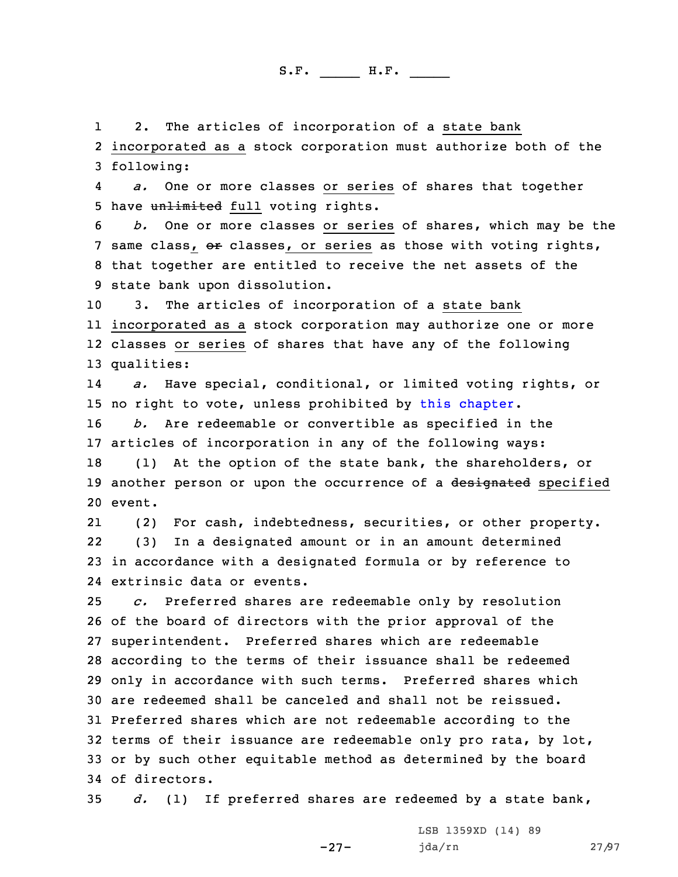1 2. The articles of incorporation of <sup>a</sup> state bank 2 incorporated as <sup>a</sup> stock corporation must authorize both of the 3 following:

4 *a.* One or more classes or series of shares that together 5 have unlimited full voting rights.

 *b.* One or more classes or series of shares, which may be the 7 same class, or classes, or series as those with voting rights, that together are entitled to receive the net assets of the state bank upon dissolution.

 3. The articles of incorporation of <sup>a</sup> state bank incorporated as <sup>a</sup> stock corporation may authorize one or more classes or series of shares that have any of the following qualities:

14 *a.* Have special, conditional, or limited voting rights, or 15 no right to vote, unless prohibited by this [chapter](https://www.legis.iowa.gov/docs/code/2021/524.pdf).

16 *b.* Are redeemable or convertible as specified in the 17 articles of incorporation in any of the following ways:

18 (1) At the option of the state bank, the shareholders, or 19 another person or upon the occurrence of a designated specified 20 event.

21 (2) For cash, indebtedness, securities, or other property. 22 (3) In <sup>a</sup> designated amount or in an amount determined 23 in accordance with <sup>a</sup> designated formula or by reference to 24 extrinsic data or events.

 *c.* Preferred shares are redeemable only by resolution of the board of directors with the prior approval of the superintendent. Preferred shares which are redeemable according to the terms of their issuance shall be redeemed only in accordance with such terms. Preferred shares which are redeemed shall be canceled and shall not be reissued. Preferred shares which are not redeemable according to the terms of their issuance are redeemable only pro rata, by lot, or by such other equitable method as determined by the board of directors.

35 *d.* (1) If preferred shares are redeemed by <sup>a</sup> state bank,

-27-

LSB 1359XD (14) 89 jda/rn 27/97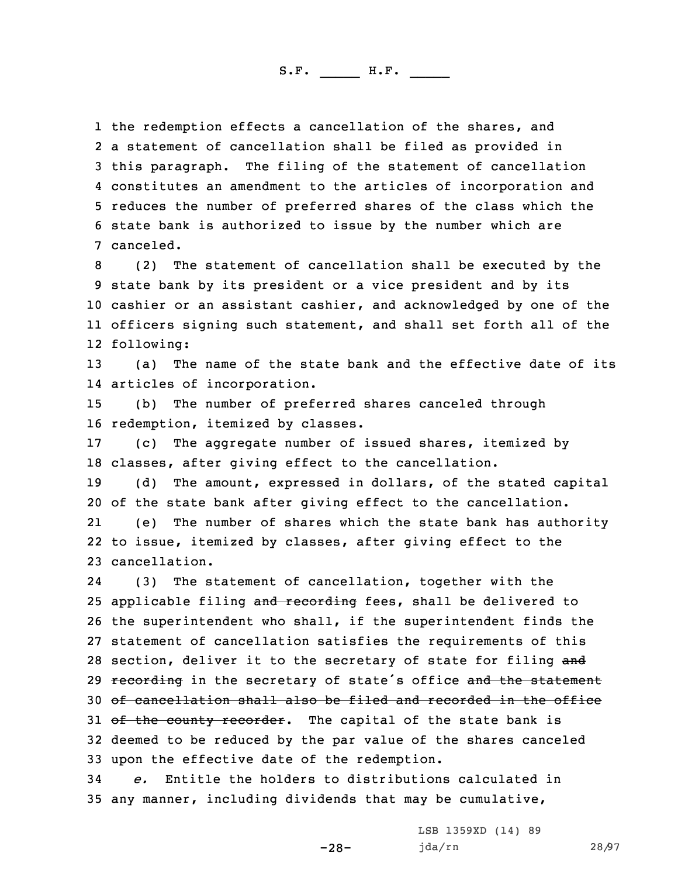the redemption effects <sup>a</sup> cancellation of the shares, and <sup>a</sup> statement of cancellation shall be filed as provided in this paragraph. The filing of the statement of cancellation constitutes an amendment to the articles of incorporation and reduces the number of preferred shares of the class which the state bank is authorized to issue by the number which are canceled.

 (2) The statement of cancellation shall be executed by the state bank by its president or <sup>a</sup> vice president and by its cashier or an assistant cashier, and acknowledged by one of the officers signing such statement, and shall set forth all of the following:

13 (a) The name of the state bank and the effective date of its 14 articles of incorporation.

15 (b) The number of preferred shares canceled through 16 redemption, itemized by classes.

17 (c) The aggregate number of issued shares, itemized by 18 classes, after giving effect to the cancellation.

19 (d) The amount, expressed in dollars, of the stated capital 20 of the state bank after giving effect to the cancellation.

21 (e) The number of shares which the state bank has authority 22 to issue, itemized by classes, after giving effect to the 23 cancellation.

24 (3) The statement of cancellation, together with the 25 applicable filing and recording fees, shall be delivered to 26 the superintendent who shall, if the superintendent finds the 27 statement of cancellation satisfies the requirements of this 28 section, deliver it to the secretary of state for filing and 29 recording in the secretary of state's office and the statement 30 of cancellation shall also be filed and recorded in the office 31 of the county recorder. The capital of the state bank is 32 deemed to be reduced by the par value of the shares canceled 33 upon the effective date of the redemption.

34 *e.* Entitle the holders to distributions calculated in 35 any manner, including dividends that may be cumulative,

-28-

LSB 1359XD (14) 89 jda/rn 28/97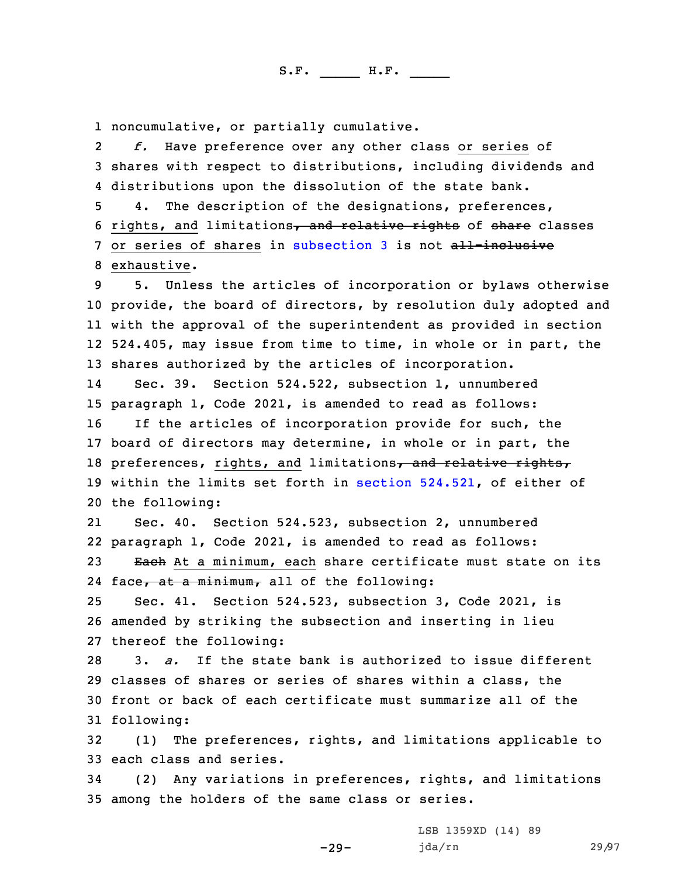1 noncumulative, or partially cumulative.

2 *f.* Have preference over any other class or series of 3 shares with respect to distributions, including dividends and 4 distributions upon the dissolution of the state bank.

5 4. The description of the designations, preferences, 6 rights, and limitations, and relative rights of share classes 7 or series of shares in [subsection](https://www.legis.iowa.gov/docs/code/2021/524.521.pdf) 3 is not all-inclusive 8 exhaustive.

 5. Unless the articles of incorporation or bylaws otherwise provide, the board of directors, by resolution duly adopted and with the approval of the superintendent as provided in section 524.405, may issue from time to time, in whole or in part, the shares authorized by the articles of incorporation.

14 Sec. 39. Section 524.522, subsection 1, unnumbered 15 paragraph 1, Code 2021, is amended to read as follows: 16 If the articles of incorporation provide for such, the 17 board of directors may determine, in whole or in part, the 18 preferences, rights, and limitations, and relative rights, 19 within the limits set forth in section [524.521](https://www.legis.iowa.gov/docs/code/2021/524.521.pdf), of either of

20 the following:

21 Sec. 40. Section 524.523, subsection 2, unnumbered 22 paragraph 1, Code 2021, is amended to read as follows: 23 Each At a minimum, each share certificate must state on its

24 face<del>, at a minimum,</del> all of the following:

25 Sec. 41. Section 524.523, subsection 3, Code 2021, is 26 amended by striking the subsection and inserting in lieu 27 thereof the following:

 3. *a.* If the state bank is authorized to issue different classes of shares or series of shares within <sup>a</sup> class, the front or back of each certificate must summarize all of the following:

32 (1) The preferences, rights, and limitations applicable to 33 each class and series.

34 (2) Any variations in preferences, rights, and limitations 35 among the holders of the same class or series.

-29-

LSB 1359XD (14) 89 jda/rn 29/97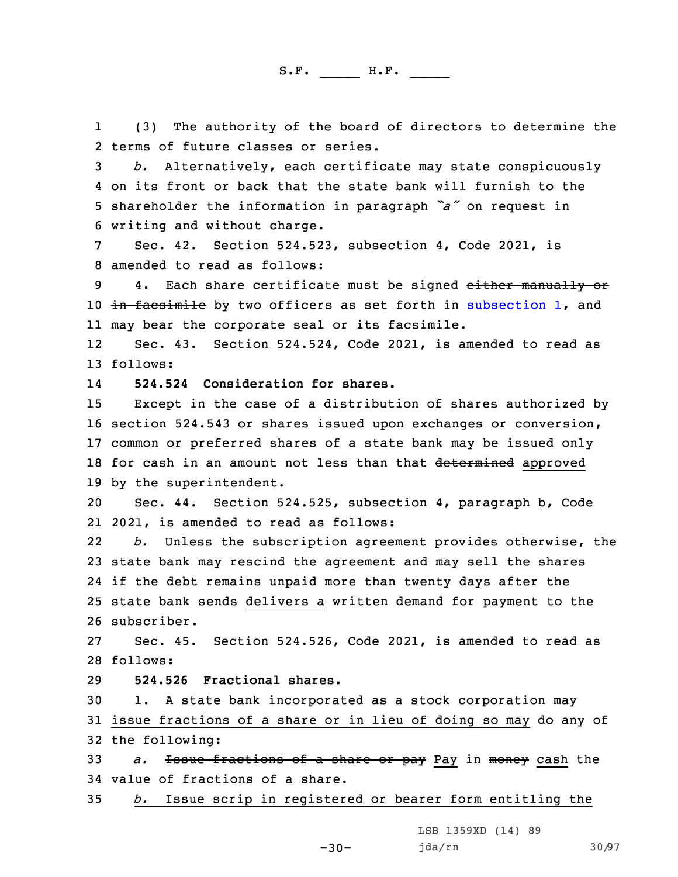1 (3) The authority of the board of directors to determine the 2 terms of future classes or series.

 *b.* Alternatively, each certificate may state conspicuously on its front or back that the state bank will furnish to the shareholder the information in paragraph *"a"* on request in writing and without charge.

7 Sec. 42. Section 524.523, subsection 4, Code 2021, is 8 amended to read as follows:

9 4. Each share certificate must be signed either manually or 10 in facsimile by two officers as set forth in [subsection](https://www.legis.iowa.gov/docs/code/2021/524.523.pdf) 1, and 11 may bear the corporate seal or its facsimile.

12 Sec. 43. Section 524.524, Code 2021, is amended to read as 13 follows:

14**524.524 Consideration for shares.**

 Except in the case of <sup>a</sup> distribution of shares authorized by section 524.543 or shares issued upon exchanges or conversion, common or preferred shares of <sup>a</sup> state bank may be issued only 18 for cash in an amount not less than that determined approved by the superintendent.

20 Sec. 44. Section 524.525, subsection 4, paragraph b, Code 21 2021, is amended to read as follows:

22 *b.* Unless the subscription agreement provides otherwise, the 23 state bank may rescind the agreement and may sell the shares 24 if the debt remains unpaid more than twenty days after the 25 state bank sends delivers a written demand for payment to the 26 subscriber.

27 Sec. 45. Section 524.526, Code 2021, is amended to read as 28 follows:

29 **524.526 Fractional shares.**

30 1. <sup>A</sup> state bank incorporated as <sup>a</sup> stock corporation may 31 issue fractions of <sup>a</sup> share or in lieu of doing so may do any of 32 the following:

33 *a.* Issue fractions of <sup>a</sup> share or pay Pay in money cash the 34 value of fractions of <sup>a</sup> share.

35 *b.* Issue scrip in registered or bearer form entitling the

-30-

LSB 1359XD (14) 89 jda/rn 30/97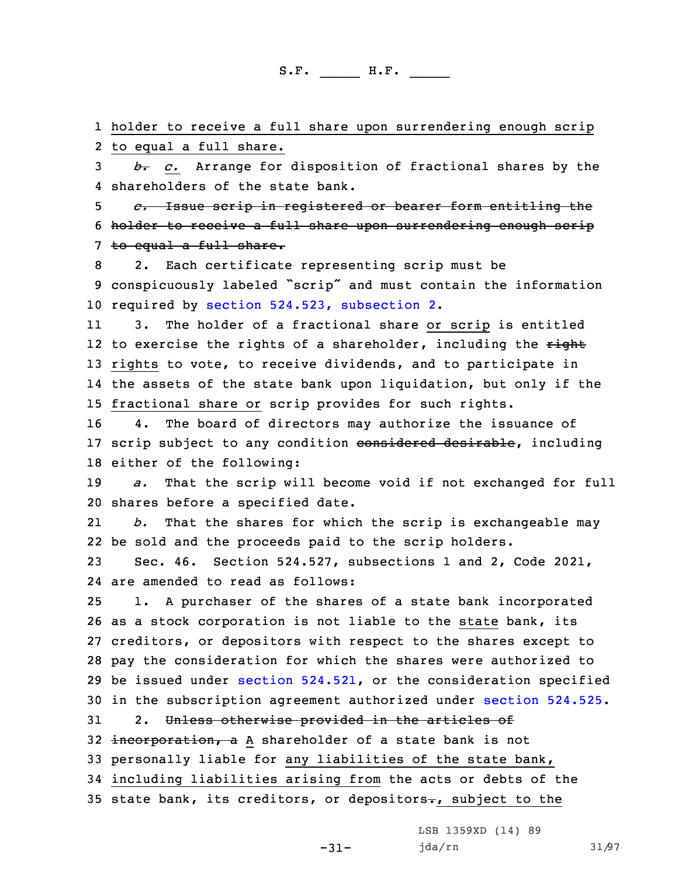1 holder to receive <sup>a</sup> full share upon surrendering enough scrip 2 to equal <sup>a</sup> full share.

3 *b. c.* Arrange for disposition of fractional shares by the 4 shareholders of the state bank.

5 *c.* Issue scrip in registered or bearer form entitling the 6 holder to receive a full share upon surrendering enough scrip 7 to equal a full share.

8 2. Each certificate representing scrip must be <sup>9</sup> conspicuously labeled "scrip" and must contain the information 10 required by section 524.523, [subsection](https://www.legis.iowa.gov/docs/code/2021/524.523.pdf) 2.

11 3. The holder of <sup>a</sup> fractional share or scrip is entitled 12 to exercise the rights of a shareholder, including the <del>right</del> 13 rights to vote, to receive dividends, and to participate in 14 the assets of the state bank upon liquidation, but only if the 15 fractional share or scrip provides for such rights.

16 4. The board of directors may authorize the issuance of 17 scrip subject to any condition considered desirable, including 18 either of the following:

19 *a.* That the scrip will become void if not exchanged for full 20 shares before <sup>a</sup> specified date.

21 *b.* That the shares for which the scrip is exchangeable may 22 be sold and the proceeds paid to the scrip holders.

23 Sec. 46. Section 524.527, subsections 1 and 2, Code 2021, 24 are amended to read as follows:

 1. <sup>A</sup> purchaser of the shares of <sup>a</sup> state bank incorporated as <sup>a</sup> stock corporation is not liable to the state bank, its creditors, or depositors with respect to the shares except to pay the consideration for which the shares were authorized to be issued under section [524.521](https://www.legis.iowa.gov/docs/code/2021/524.521.pdf), or the consideration specified in the subscription agreement authorized under [section](https://www.legis.iowa.gov/docs/code/2021/524.525.pdf) 524.525. 31 2. Unless otherwise provided in the articles of

32 incorporation, a A shareholder of a state bank is not 33 personally liable for any liabilities of the state bank, 34 including liabilities arising from the acts or debts of the 35 state bank, its creditors, or depositors $-$ , subject to the

LSB 1359XD (14) 89

-31-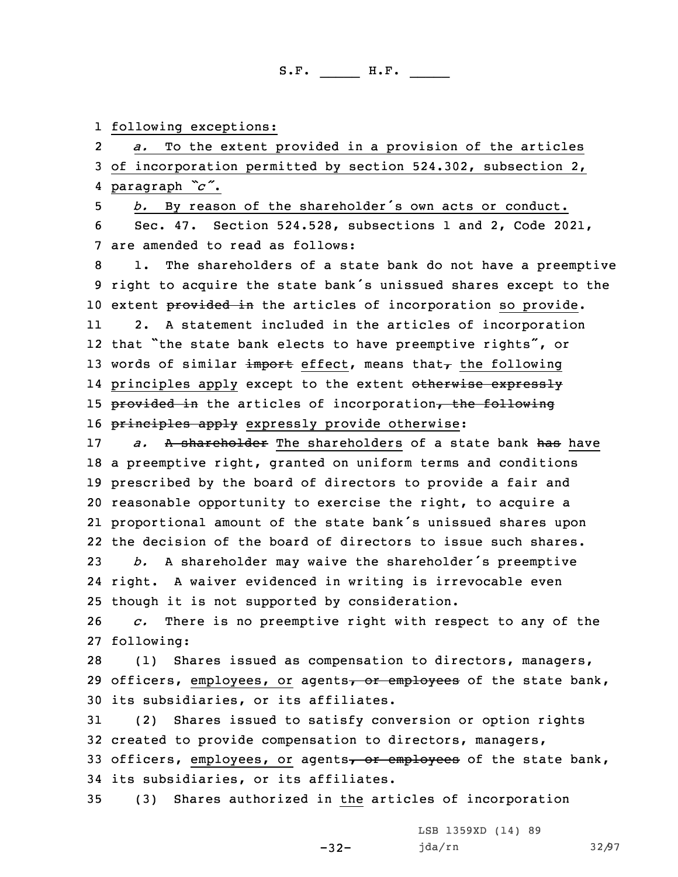1 following exceptions:

2 *a.* To the extent provided in <sup>a</sup> provision of the articles 3 of incorporation permitted by section 524.302, subsection 2, 4 paragraph *"c"*.

<sup>5</sup> *b.* By reason of the shareholder's own acts or conduct. 6 Sec. 47. Section 524.528, subsections 1 and 2, Code 2021, 7 are amended to read as follows:

8 1. The shareholders of <sup>a</sup> state bank do not have <sup>a</sup> preemptive <sup>9</sup> right to acquire the state bank's unissued shares except to the 10 extent provided in the articles of incorporation so provide.

11 2. <sup>A</sup> statement included in the articles of incorporation 12 that "the state bank elects to have preemptive rights", or 13 words of similar import effect, means that $\tau$  the following 14 principles apply except to the extent <del>otherwise expressly</del> 15 provided in the articles of incorporation, the following 16 principles apply expressly provide otherwise:

 *a.* A shareholder The shareholders of a state bank has have <sup>a</sup> preemptive right, granted on uniform terms and conditions prescribed by the board of directors to provide <sup>a</sup> fair and reasonable opportunity to exercise the right, to acquire <sup>a</sup> proportional amount of the state bank's unissued shares upon the decision of the board of directors to issue such shares. *b.* <sup>A</sup> shareholder may waive the shareholder's preemptive right. <sup>A</sup> waiver evidenced in writing is irrevocable even

25 though it is not supported by consideration.

26 *c.* There is no preemptive right with respect to any of the 27 following:

28 (1) Shares issued as compensation to directors, managers, 29 officers, employees, or agents, or employees of the state bank, 30 its subsidiaries, or its affiliates.

 (2) Shares issued to satisfy conversion or option rights created to provide compensation to directors, managers, 33 officers, employees, or agents, or employees of the state bank, its subsidiaries, or its affiliates.

-32-

35 (3) Shares authorized in the articles of incorporation

LSB 1359XD (14) 89 jda/rn 32/97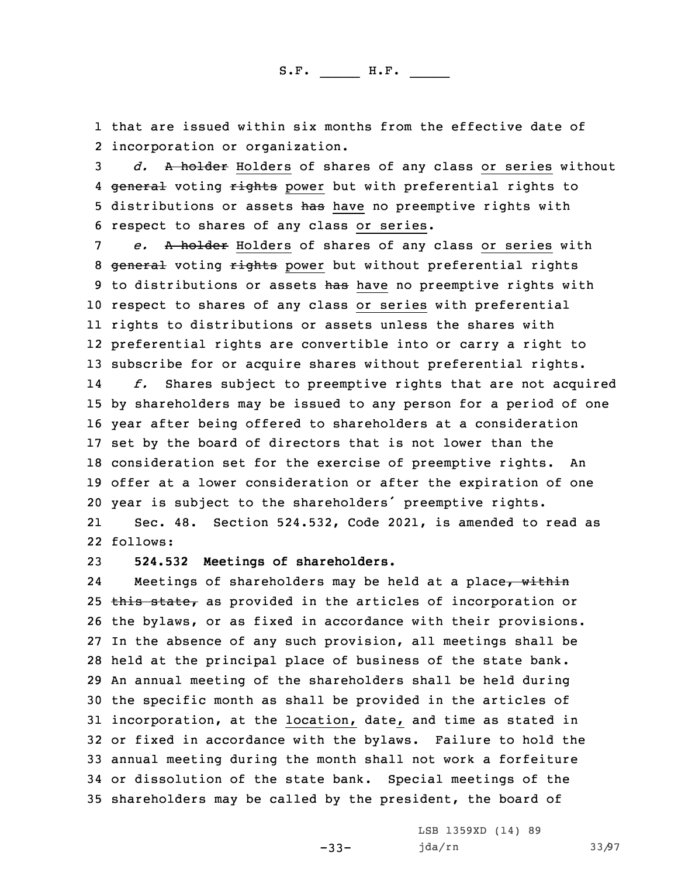1 that are issued within six months from the effective date of 2 incorporation or organization.

3 *d.* <sup>A</sup> holder Holders of shares of any class or series without 4 <del>general</del> voting rights power but with preferential rights to 5 distributions or assets has have no preemptive rights with 6 respect to shares of any class or series.

 *e.* <sup>A</sup> holder Holders of shares of any class or series with 8 general voting rights power but without preferential rights 9 to distributions or assets has have no preemptive rights with respect to shares of any class or series with preferential rights to distributions or assets unless the shares with preferential rights are convertible into or carry <sup>a</sup> right to subscribe for or acquire shares without preferential rights. 14 *f.* Shares subject to preemptive rights that are not acquired by shareholders may be issued to any person for <sup>a</sup> period of one year after being offered to shareholders at <sup>a</sup> consideration set by the board of directors that is not lower than the consideration set for the exercise of preemptive rights. An offer at <sup>a</sup> lower consideration or after the expiration of one

<sup>20</sup> year is subject to the shareholders' preemptive rights.

21 Sec. 48. Section 524.532, Code 2021, is amended to read as 22 follows:

23 **524.532 Meetings of shareholders.**

24Meetings of shareholders may be held at a place, within 25 this state, as provided in the articles of incorporation or the bylaws, or as fixed in accordance with their provisions. In the absence of any such provision, all meetings shall be held at the principal place of business of the state bank. An annual meeting of the shareholders shall be held during the specific month as shall be provided in the articles of incorporation, at the location, date, and time as stated in or fixed in accordance with the bylaws. Failure to hold the annual meeting during the month shall not work <sup>a</sup> forfeiture or dissolution of the state bank. Special meetings of the shareholders may be called by the president, the board of

-33-

LSB 1359XD (14) 89 jda/rn 33/97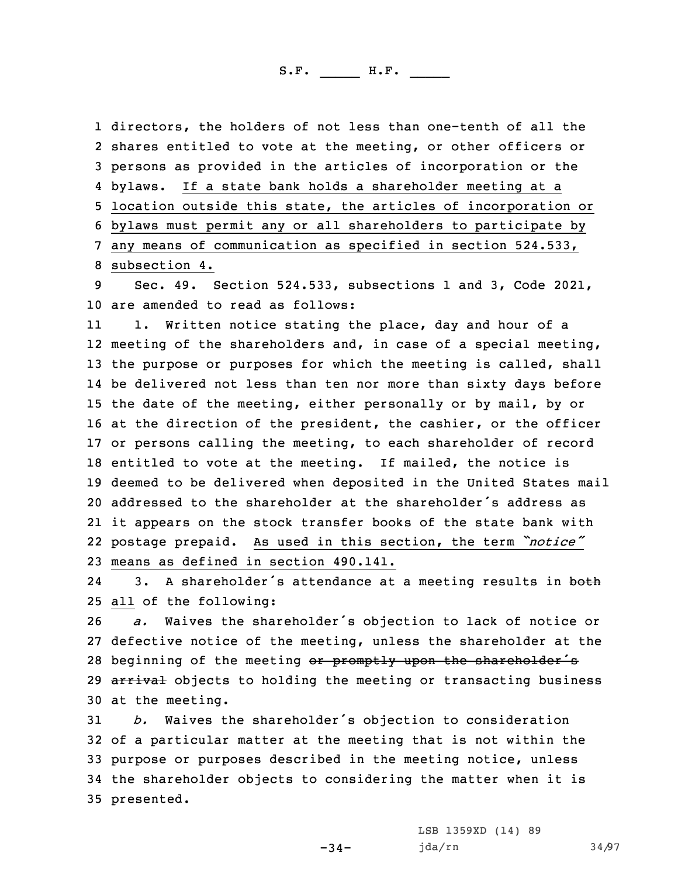directors, the holders of not less than one-tenth of all the shares entitled to vote at the meeting, or other officers or persons as provided in the articles of incorporation or the bylaws. If <sup>a</sup> state bank holds <sup>a</sup> shareholder meeting at <sup>a</sup> location outside this state, the articles of incorporation or bylaws must permit any or all shareholders to participate by any means of communication as specified in section 524.533, subsection 4.

9 Sec. 49. Section 524.533, subsections 1 and 3, Code 2021, 10 are amended to read as follows:

11 1. Written notice stating the place, day and hour of <sup>a</sup> meeting of the shareholders and, in case of <sup>a</sup> special meeting, the purpose or purposes for which the meeting is called, shall be delivered not less than ten nor more than sixty days before the date of the meeting, either personally or by mail, by or at the direction of the president, the cashier, or the officer or persons calling the meeting, to each shareholder of record entitled to vote at the meeting. If mailed, the notice is deemed to be delivered when deposited in the United States mail addressed to the shareholder at the shareholder's address as it appears on the stock transfer books of the state bank with postage prepaid. As used in this section, the term *"notice"* means as defined in section 490.141.

243. A shareholder's attendance at a meeting results in both 25 all of the following:

<sup>26</sup> *a.* Waives the shareholder's objection to lack of notice or 27 defective notice of the meeting, unless the shareholder at the 28 beginning of the meeting or promptly upon the shareholder's 29 arrival objects to holding the meeting or transacting business 30 at the meeting.

 *b.* Waives the shareholder's objection to consideration of <sup>a</sup> particular matter at the meeting that is not within the purpose or purposes described in the meeting notice, unless the shareholder objects to considering the matter when it is presented.

-34-

LSB 1359XD (14) 89 jda/rn 34/97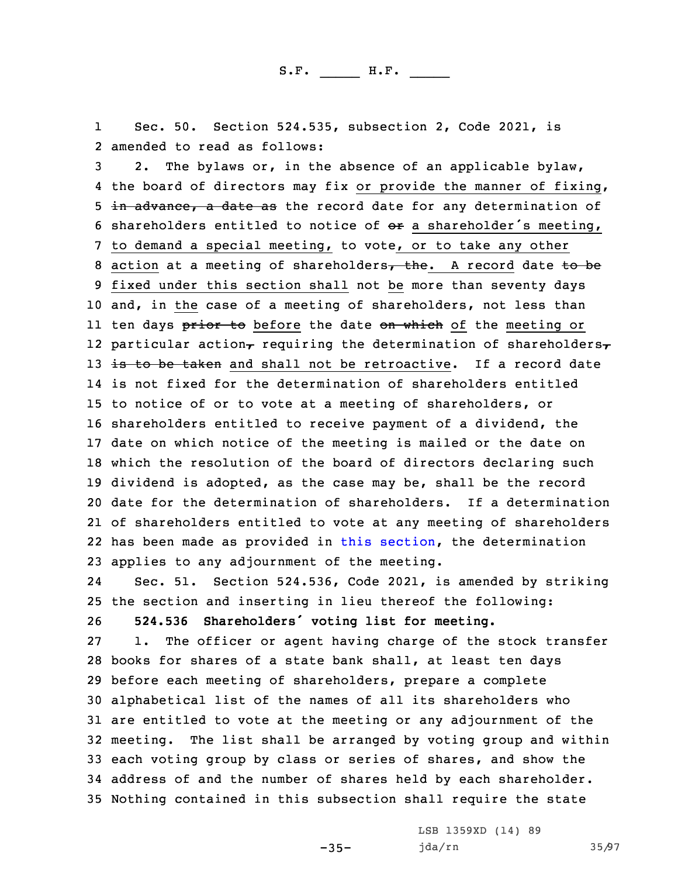1 Sec. 50. Section 524.535, subsection 2, Code 2021, is 2 amended to read as follows:

 2. The bylaws or, in the absence of an applicable bylaw, the board of directors may fix or provide the manner of fixing, 5 in advance, a date as the record date for any determination of 6 shareholders entitled to notice of  $e^{i\theta}$  a shareholder's meeting, to demand <sup>a</sup> special meeting, to vote, or to take any other 8 action at a meeting of shareholders, the. A record date to be fixed under this section shall not be more than seventy days and, in the case of <sup>a</sup> meeting of shareholders, not less than ll ten days <del>prior to</del> before the date <del>on which</del> of the meeting or 12 particular action $_{\mathcal{T}}$  requiring the determination of shareholders $_{\mathcal{T}}$ 13 is to be taken and shall not be retroactive. If a record date is not fixed for the determination of shareholders entitled to notice of or to vote at <sup>a</sup> meeting of shareholders, or shareholders entitled to receive payment of <sup>a</sup> dividend, the date on which notice of the meeting is mailed or the date on which the resolution of the board of directors declaring such dividend is adopted, as the case may be, shall be the record date for the determination of shareholders. If <sup>a</sup> determination of shareholders entitled to vote at any meeting of shareholders has been made as provided in this [section](https://www.legis.iowa.gov/docs/code/2021/524.535.pdf), the determination applies to any adjournment of the meeting.

24 Sec. 51. Section 524.536, Code 2021, is amended by striking 25 the section and inserting in lieu thereof the following: <sup>26</sup> **524.536 Shareholders' voting list for meeting.**

 1. The officer or agent having charge of the stock transfer books for shares of <sup>a</sup> state bank shall, at least ten days before each meeting of shareholders, prepare <sup>a</sup> complete alphabetical list of the names of all its shareholders who are entitled to vote at the meeting or any adjournment of the meeting. The list shall be arranged by voting group and within each voting group by class or series of shares, and show the address of and the number of shares held by each shareholder. Nothing contained in this subsection shall require the state

-35-

LSB 1359XD (14) 89 jda/rn 35/97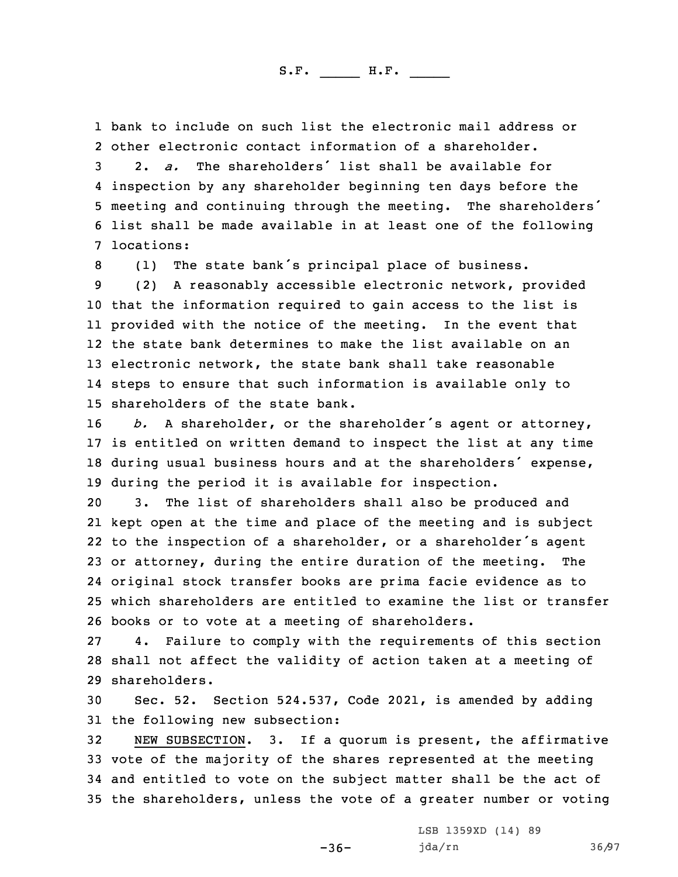1 bank to include on such list the electronic mail address or 2 other electronic contact information of <sup>a</sup> shareholder.

 2. *a.* The shareholders' list shall be available for inspection by any shareholder beginning ten days before the meeting and continuing through the meeting. The shareholders' list shall be made available in at least one of the following locations:

<sup>8</sup> (1) The state bank's principal place of business.

 (2) <sup>A</sup> reasonably accessible electronic network, provided that the information required to gain access to the list is provided with the notice of the meeting. In the event that the state bank determines to make the list available on an electronic network, the state bank shall take reasonable steps to ensure that such information is available only to shareholders of the state bank.

 *b.* <sup>A</sup> shareholder, or the shareholder's agent or attorney, is entitled on written demand to inspect the list at any time during usual business hours and at the shareholders' expense, during the period it is available for inspection.

 3. The list of shareholders shall also be produced and kept open at the time and place of the meeting and is subject to the inspection of <sup>a</sup> shareholder, or <sup>a</sup> shareholder's agent or attorney, during the entire duration of the meeting. The original stock transfer books are prima facie evidence as to which shareholders are entitled to examine the list or transfer books or to vote at <sup>a</sup> meeting of shareholders.

27 4. Failure to comply with the requirements of this section 28 shall not affect the validity of action taken at <sup>a</sup> meeting of 29 shareholders.

30 Sec. 52. Section 524.537, Code 2021, is amended by adding 31 the following new subsection:

 NEW SUBSECTION. 3. If <sup>a</sup> quorum is present, the affirmative vote of the majority of the shares represented at the meeting and entitled to vote on the subject matter shall be the act of the shareholders, unless the vote of <sup>a</sup> greater number or voting

 $-36-$ 

LSB 1359XD (14) 89 jda/rn 36/97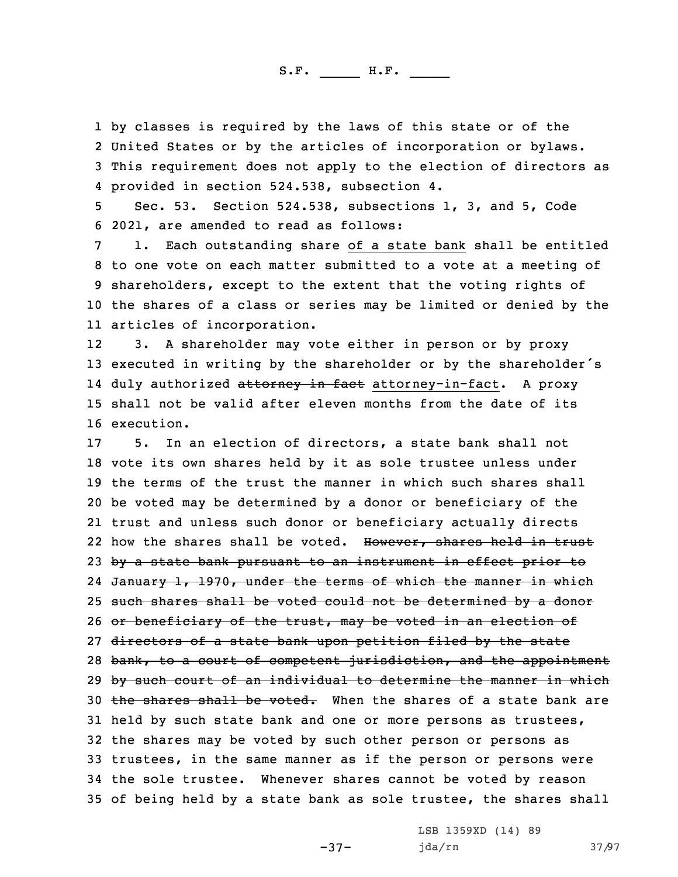by classes is required by the laws of this state or of the United States or by the articles of incorporation or bylaws. This requirement does not apply to the election of directors as provided in section 524.538, subsection 4.

5 Sec. 53. Section 524.538, subsections 1, 3, and 5, Code 6 2021, are amended to read as follows:

 1. Each outstanding share of <sup>a</sup> state bank shall be entitled to one vote on each matter submitted to <sup>a</sup> vote at <sup>a</sup> meeting of shareholders, except to the extent that the voting rights of the shares of <sup>a</sup> class or series may be limited or denied by the articles of incorporation.

12 3. <sup>A</sup> shareholder may vote either in person or by proxy <sup>13</sup> executed in writing by the shareholder or by the shareholder's 14 duly authorized <del>attorney in fact</del> attorney-in-fact. A proxy 15 shall not be valid after eleven months from the date of its 16 execution.

 5. In an election of directors, <sup>a</sup> state bank shall not vote its own shares held by it as sole trustee unless under the terms of the trust the manner in which such shares shall be voted may be determined by <sup>a</sup> donor or beneficiary of the trust and unless such donor or beneficiary actually directs 22 how the shares shall be voted. However, shares held in trust 23 by a state bank pursuant to an instrument in effect prior to January 1, 1970, under the terms of which the manner in which such shares shall be voted could not be determined by <sup>a</sup> donor 26 or beneficiary of the trust, may be voted in an election of 27 directors of a state bank upon petition filed by the state 28 bank, to a court of competent jurisdiction, and the appointment 29 by such court of an individual to determine the manner in which 30 the shares shall be voted. When the shares of a state bank are held by such state bank and one or more persons as trustees, the shares may be voted by such other person or persons as trustees, in the same manner as if the person or persons were the sole trustee. Whenever shares cannot be voted by reason of being held by <sup>a</sup> state bank as sole trustee, the shares shall

-37-

LSB 1359XD (14) 89 jda/rn 37/97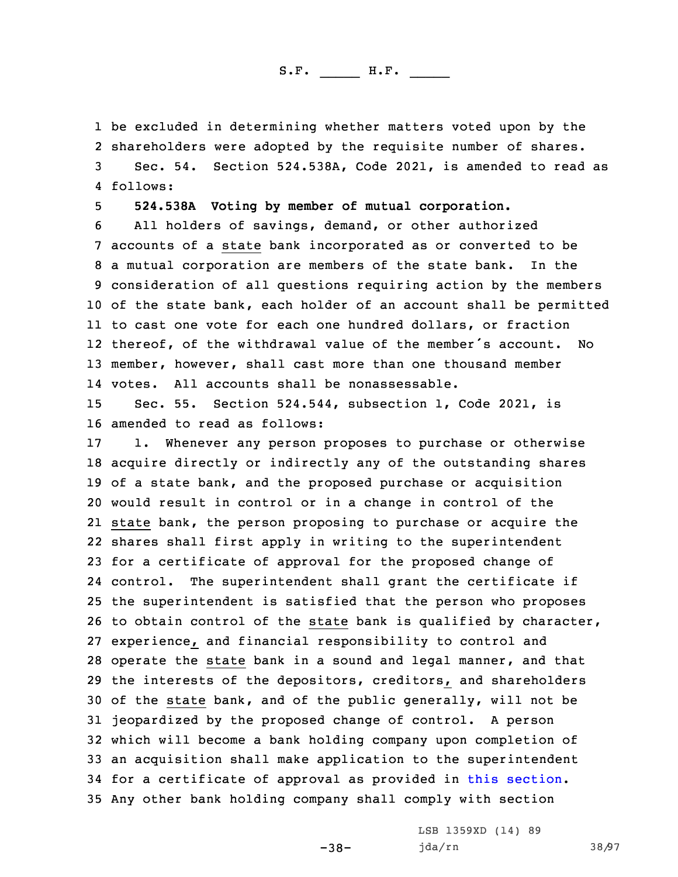be excluded in determining whether matters voted upon by the shareholders were adopted by the requisite number of shares. Sec. 54. Section 524.538A, Code 2021, is amended to read as 4 follows:

5 **524.538A Voting by member of mutual corporation.**

 All holders of savings, demand, or other authorized accounts of <sup>a</sup> state bank incorporated as or converted to be <sup>a</sup> mutual corporation are members of the state bank. In the consideration of all questions requiring action by the members of the state bank, each holder of an account shall be permitted to cast one vote for each one hundred dollars, or fraction thereof, of the withdrawal value of the member's account. No member, however, shall cast more than one thousand member votes. All accounts shall be nonassessable.

15 Sec. 55. Section 524.544, subsection 1, Code 2021, is 16 amended to read as follows:

 1. Whenever any person proposes to purchase or otherwise acquire directly or indirectly any of the outstanding shares of <sup>a</sup> state bank, and the proposed purchase or acquisition would result in control or in <sup>a</sup> change in control of the state bank, the person proposing to purchase or acquire the shares shall first apply in writing to the superintendent for <sup>a</sup> certificate of approval for the proposed change of control. The superintendent shall grant the certificate if the superintendent is satisfied that the person who proposes to obtain control of the state bank is qualified by character, experience, and financial responsibility to control and operate the state bank in <sup>a</sup> sound and legal manner, and that the interests of the depositors, creditors, and shareholders of the state bank, and of the public generally, will not be jeopardized by the proposed change of control. <sup>A</sup> person which will become <sup>a</sup> bank holding company upon completion of an acquisition shall make application to the superintendent for <sup>a</sup> certificate of approval as provided in this [section](https://www.legis.iowa.gov/docs/code/2021/524.544.pdf). Any other bank holding company shall comply with section

-38-

LSB 1359XD (14) 89 jda/rn 38/97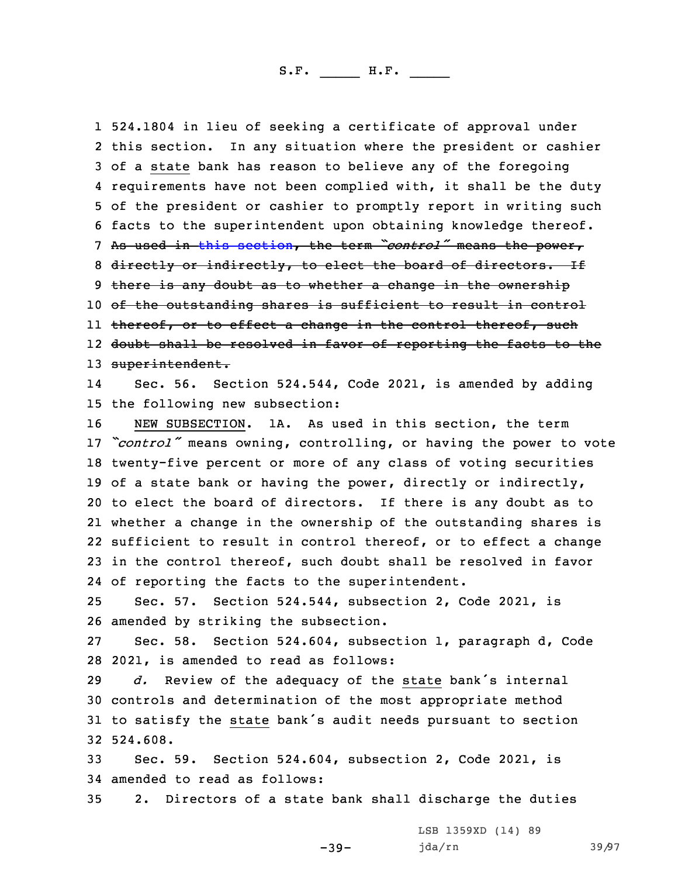524.1804 in lieu of seeking <sup>a</sup> certificate of approval under this section. In any situation where the president or cashier of <sup>a</sup> state bank has reason to believe any of the foregoing requirements have not been complied with, it shall be the duty of the president or cashier to promptly report in writing such facts to the superintendent upon obtaining knowledge thereof. As used in this [section](https://www.legis.iowa.gov/docs/code/2021/524.544.pdf), the term *"control"* means the power, 8 directly or indirectly, to elect the board of directors. If 9 there is any doubt as to whether a change in the ownership of the outstanding shares is sufficient to result in control ll <del>thereof, or to effect a change in the control thereof, such</del> doubt shall be resolved in favor of reporting the facts to the 13 superintendent. 14 Sec. 56. Section 524.544, Code 2021, is amended by adding the following new subsection: NEW SUBSECTION. 1A. As used in this section, the term *"control"* means owning, controlling, or having the power to vote twenty-five percent or more of any class of voting securities of <sup>a</sup> state bank or having the power, directly or indirectly, to elect the board of directors. If there is any doubt as to whether <sup>a</sup> change in the ownership of the outstanding shares is sufficient to result in control thereof, or to effect <sup>a</sup> change in the control thereof, such doubt shall be resolved in favor of reporting the facts to the superintendent. Sec. 57. Section 524.544, subsection 2, Code 2021, is amended by striking the subsection. Sec. 58. Section 524.604, subsection 1, paragraph d, Code 2021, is amended to read as follows:

 *d.* Review of the adequacy of the state bank's internal controls and determination of the most appropriate method to satisfy the state bank's audit needs pursuant to section 32 524.608.

33 Sec. 59. Section 524.604, subsection 2, Code 2021, is 34 amended to read as follows:

35 2. Directors of <sup>a</sup> state bank shall discharge the duties

-39-

LSB 1359XD (14) 89 jda/rn 39/97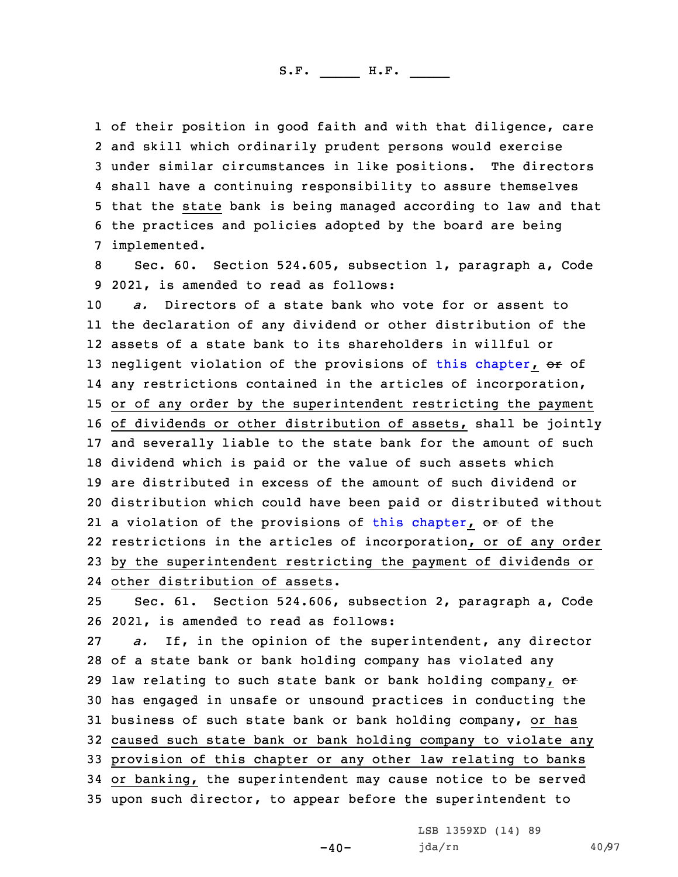of their position in good faith and with that diligence, care and skill which ordinarily prudent persons would exercise under similar circumstances in like positions. The directors shall have <sup>a</sup> continuing responsibility to assure themselves that the state bank is being managed according to law and that the practices and policies adopted by the board are being implemented.

8 Sec. 60. Section 524.605, subsection 1, paragraph a, Code 9 2021, is amended to read as follows:

 *a.* Directors of <sup>a</sup> state bank who vote for or assent to the declaration of any dividend or other distribution of the assets of <sup>a</sup> state bank to its shareholders in willful or 13 negligent violation of the provisions of this [chapter](https://www.legis.iowa.gov/docs/code/2021/524.pdf), or of any restrictions contained in the articles of incorporation, or of any order by the superintendent restricting the payment of dividends or other distribution of assets, shall be jointly and severally liable to the state bank for the amount of such dividend which is paid or the value of such assets which are distributed in excess of the amount of such dividend or distribution which could have been paid or distributed without 21 a violation of the provisions of this [chapter](https://www.legis.iowa.gov/docs/code/2021/524.pdf), <del>or</del> of the restrictions in the articles of incorporation, or of any order by the superintendent restricting the payment of dividends or

24 other distribution of assets.

25 Sec. 61. Section 524.606, subsection 2, paragraph a, Code 26 2021, is amended to read as follows:

 *a.* If, in the opinion of the superintendent, any director of <sup>a</sup> state bank or bank holding company has violated any 29 law relating to such state bank or bank holding company,  $\Theta$ <sup>+</sup> has engaged in unsafe or unsound practices in conducting the business of such state bank or bank holding company, or has caused such state bank or bank holding company to violate any provision of this chapter or any other law relating to banks or banking, the superintendent may cause notice to be served upon such director, to appear before the superintendent to

 $-40-$ 

LSB 1359XD (14) 89 jda/rn 40/97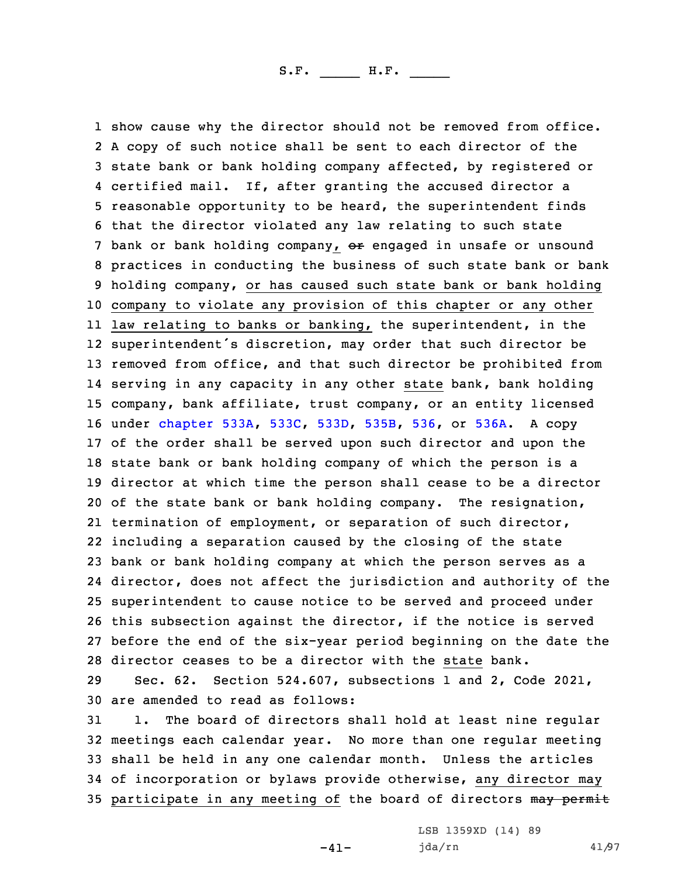show cause why the director should not be removed from office. <sup>A</sup> copy of such notice shall be sent to each director of the state bank or bank holding company affected, by registered or certified mail. If, after granting the accused director <sup>a</sup> reasonable opportunity to be heard, the superintendent finds that the director violated any law relating to such state 7 bank or bank holding company, or engaged in unsafe or unsound practices in conducting the business of such state bank or bank holding company, or has caused such state bank or bank holding company to violate any provision of this chapter or any other law relating to banks or banking, the superintendent, in the superintendent's discretion, may order that such director be removed from office, and that such director be prohibited from serving in any capacity in any other state bank, bank holding company, bank affiliate, trust company, or an entity licensed under [chapter](https://www.legis.iowa.gov/docs/code/2021/533A.pdf) 533A, [533C](https://www.legis.iowa.gov/docs/code/2021/533C.pdf), [533D](https://www.legis.iowa.gov/docs/code/2021/533D.pdf), [535B](https://www.legis.iowa.gov/docs/code/2021/535B.pdf), [536](https://www.legis.iowa.gov/docs/code/2021/536.pdf), or [536A](https://www.legis.iowa.gov/docs/code/2021/536A.pdf). <sup>A</sup> copy of the order shall be served upon such director and upon the state bank or bank holding company of which the person is <sup>a</sup> director at which time the person shall cease to be <sup>a</sup> director of the state bank or bank holding company. The resignation, termination of employment, or separation of such director, including <sup>a</sup> separation caused by the closing of the state bank or bank holding company at which the person serves as <sup>a</sup> director, does not affect the jurisdiction and authority of the superintendent to cause notice to be served and proceed under this subsection against the director, if the notice is served before the end of the six-year period beginning on the date the director ceases to be <sup>a</sup> director with the state bank.

29 Sec. 62. Section 524.607, subsections 1 and 2, Code 2021, 30 are amended to read as follows:

 1. The board of directors shall hold at least nine regular meetings each calendar year. No more than one regular meeting shall be held in any one calendar month. Unless the articles of incorporation or bylaws provide otherwise, any director may 35 participate in any meeting of the board of directors may permit

-41-

LSB 1359XD (14) 89 jda/rn 41/97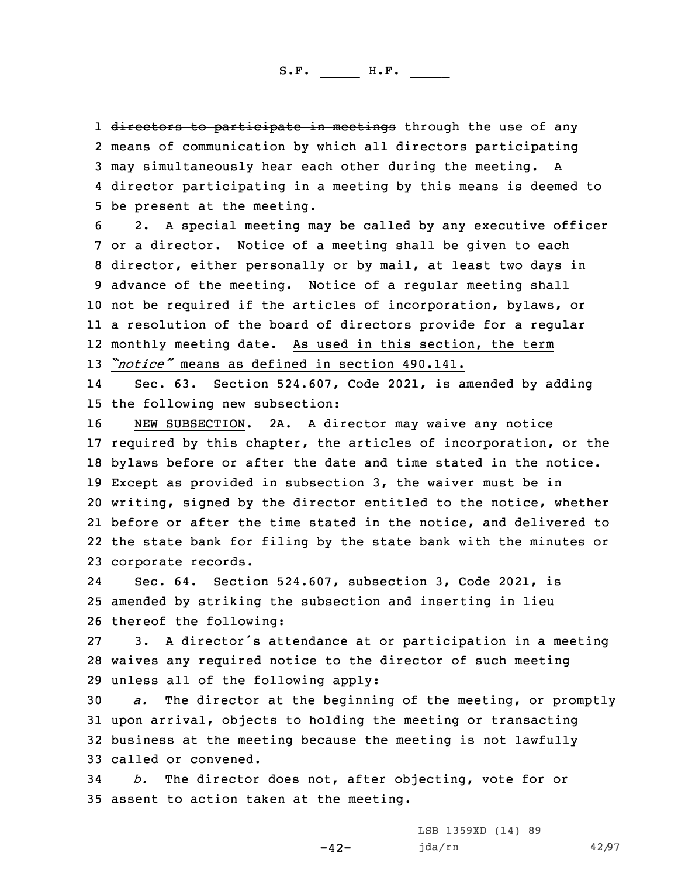1 <del>directors to participate in meetings</del> through the use of any means of communication by which all directors participating may simultaneously hear each other during the meeting. <sup>A</sup> director participating in <sup>a</sup> meeting by this means is deemed to be present at the meeting.

 2. <sup>A</sup> special meeting may be called by any executive officer or <sup>a</sup> director. Notice of <sup>a</sup> meeting shall be given to each director, either personally or by mail, at least two days in advance of the meeting. Notice of <sup>a</sup> regular meeting shall not be required if the articles of incorporation, bylaws, or <sup>a</sup> resolution of the board of directors provide for <sup>a</sup> regular monthly meeting date. As used in this section, the term *"notice"* means as defined in section 490.141.

14 Sec. 63. Section 524.607, Code 2021, is amended by adding 15 the following new subsection:

 NEW SUBSECTION. 2A. <sup>A</sup> director may waive any notice required by this chapter, the articles of incorporation, or the bylaws before or after the date and time stated in the notice. Except as provided in subsection 3, the waiver must be in writing, signed by the director entitled to the notice, whether before or after the time stated in the notice, and delivered to the state bank for filing by the state bank with the minutes or corporate records.

24 Sec. 64. Section 524.607, subsection 3, Code 2021, is 25 amended by striking the subsection and inserting in lieu 26 thereof the following:

27 3. <sup>A</sup> director's attendance at or participation in <sup>a</sup> meeting 28 waives any required notice to the director of such meeting 29 unless all of the following apply:

 *a.* The director at the beginning of the meeting, or promptly upon arrival, objects to holding the meeting or transacting business at the meeting because the meeting is not lawfully called or convened.

34 *b.* The director does not, after objecting, vote for or 35 assent to action taken at the meeting.

-42-

LSB 1359XD (14) 89 jda/rn 42/97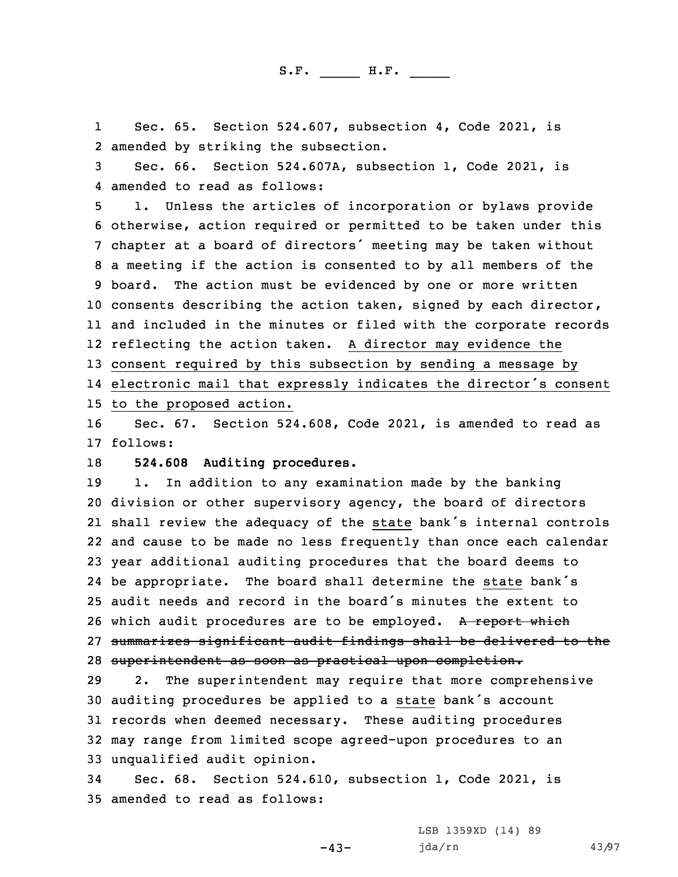1 Sec. 65. Section 524.607, subsection 4, Code 2021, is 2 amended by striking the subsection.

3 Sec. 66. Section 524.607A, subsection 1, Code 2021, is 4 amended to read as follows:

 1. Unless the articles of incorporation or bylaws provide otherwise, action required or permitted to be taken under this chapter at <sup>a</sup> board of directors' meeting may be taken without <sup>a</sup> meeting if the action is consented to by all members of the board. The action must be evidenced by one or more written consents describing the action taken, signed by each director, and included in the minutes or filed with the corporate records reflecting the action taken. <sup>A</sup> director may evidence the consent required by this subsection by sending <sup>a</sup> message by electronic mail that expressly indicates the director's consent to the proposed action.

16 Sec. 67. Section 524.608, Code 2021, is amended to read as 17 follows:

18 **524.608 Auditing procedures.**

 1. In addition to any examination made by the banking division or other supervisory agency, the board of directors shall review the adequacy of the state bank's internal controls and cause to be made no less frequently than once each calendar year additional auditing procedures that the board deems to be appropriate. The board shall determine the state bank's audit needs and record in the board's minutes the extent to 26 which audit procedures are to be employed. A report which summarizes significant audit findings shall be delivered to the superintendent as soon as practical upon completion.

 2. The superintendent may require that more comprehensive auditing procedures be applied to <sup>a</sup> state bank's account records when deemed necessary. These auditing procedures may range from limited scope agreed-upon procedures to an unqualified audit opinion.

-43-

34 Sec. 68. Section 524.610, subsection 1, Code 2021, is 35 amended to read as follows:

> LSB 1359XD (14) 89 jda/rn 43/97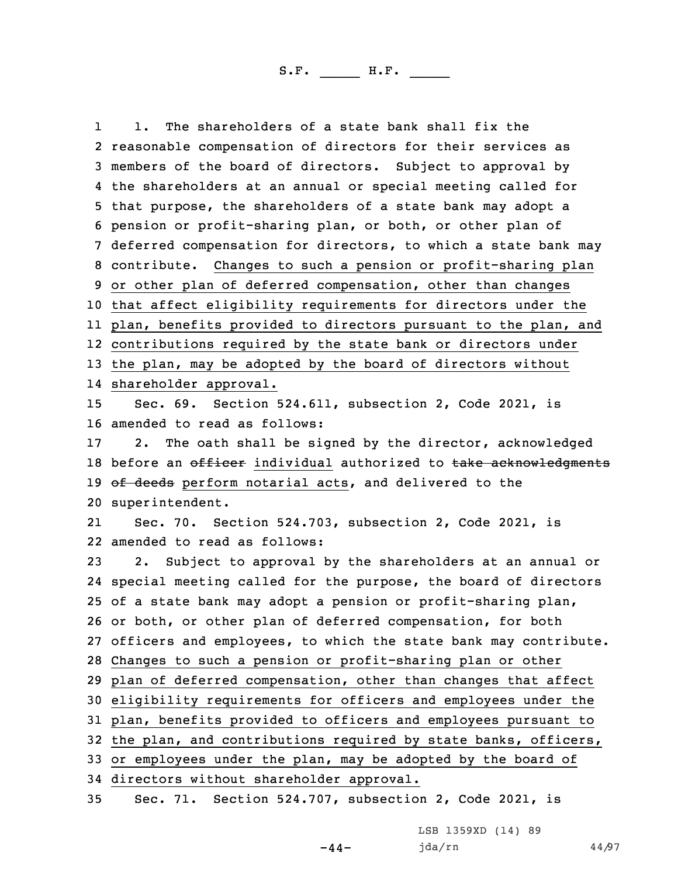1 1. The shareholders of <sup>a</sup> state bank shall fix the reasonable compensation of directors for their services as members of the board of directors. Subject to approval by the shareholders at an annual or special meeting called for that purpose, the shareholders of <sup>a</sup> state bank may adopt <sup>a</sup> pension or profit-sharing plan, or both, or other plan of deferred compensation for directors, to which <sup>a</sup> state bank may contribute. Changes to such <sup>a</sup> pension or profit-sharing plan or other plan of deferred compensation, other than changes that affect eligibility requirements for directors under the plan, benefits provided to directors pursuant to the plan, and contributions required by the state bank or directors under the plan, may be adopted by the board of directors without shareholder approval. Sec. 69. Section 524.611, subsection 2, Code 2021, is amended to read as follows: 2. The oath shall be signed by the director, acknowledged 18 before an officer individual authorized to take acknowledgments 19 of deeds perform notarial acts, and delivered to the superintendent. 21 Sec. 70. Section 524.703, subsection 2, Code 2021, is amended to read as follows: 2. Subject to approval by the shareholders at an annual or special meeting called for the purpose, the board of directors of <sup>a</sup> state bank may adopt <sup>a</sup> pension or profit-sharing plan, or both, or other plan of deferred compensation, for both officers and employees, to which the state bank may contribute. Changes to such <sup>a</sup> pension or profit-sharing plan or other plan of deferred compensation, other than changes that affect eligibility requirements for officers and employees under the plan, benefits provided to officers and employees pursuant to the plan, and contributions required by state banks, officers, or employees under the plan, may be adopted by the board of directors without shareholder approval.

35 Sec. 71. Section 524.707, subsection 2, Code 2021, is

LSB 1359XD (14) 89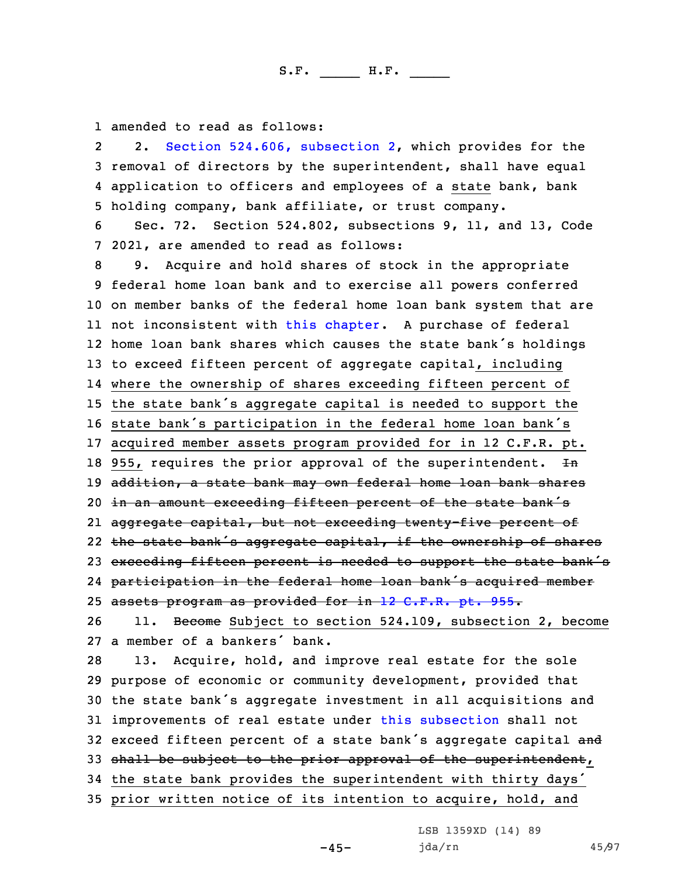1 amended to read as follows:

2 2. Section 524.606, [subsection](https://www.legis.iowa.gov/docs/code/2021/524.606.pdf) 2, which provides for the 3 removal of directors by the superintendent, shall have equal 4 application to officers and employees of <sup>a</sup> state bank, bank 5 holding company, bank affiliate, or trust company.

6 Sec. 72. Section 524.802, subsections 9, 11, and 13, Code 7 2021, are amended to read as follows:

 9. Acquire and hold shares of stock in the appropriate federal home loan bank and to exercise all powers conferred on member banks of the federal home loan bank system that are not inconsistent with this [chapter](https://www.legis.iowa.gov/docs/code/2021/524.pdf). <sup>A</sup> purchase of federal home loan bank shares which causes the state bank's holdings to exceed fifteen percent of aggregate capital, including where the ownership of shares exceeding fifteen percent of the state bank's aggregate capital is needed to support the state bank's participation in the federal home loan bank's acquired member assets program provided for in 12 C.F.R. pt. 18 955, requires the prior approval of the superintendent.  $Hn$ 19 addition, a state bank may own federal home loan bank shares 20 in an amount exceeding fifteen percent of the state bank's aggregate capital, but not exceeding twenty-five percent of the state bank's aggregate capital, if the ownership of shares 23 exceeding fifteen percent is needed to support the state bank's participation in the federal home loan bank's acquired member 25 assets program as provided for in 12 C.F.R. pt. 955. 26 11. Become Subject to section 524.109, subsection 2, become <sup>a</sup> member of <sup>a</sup> bankers' bank. 13. Acquire, hold, and improve real estate for the sole purpose of economic or community development, provided that the state bank's aggregate investment in all acquisitions and improvements of real estate under this [subsection](https://www.legis.iowa.gov/docs/code/2021/524.802.pdf) shall not 32 exceed fifteen percent of a state bank's aggregate capital and 33 shall be subject to the prior approval of the superintendent, the state bank provides the superintendent with thirty days' prior written notice of its intention to acquire, hold, and

LSB 1359XD (14) 89

-45-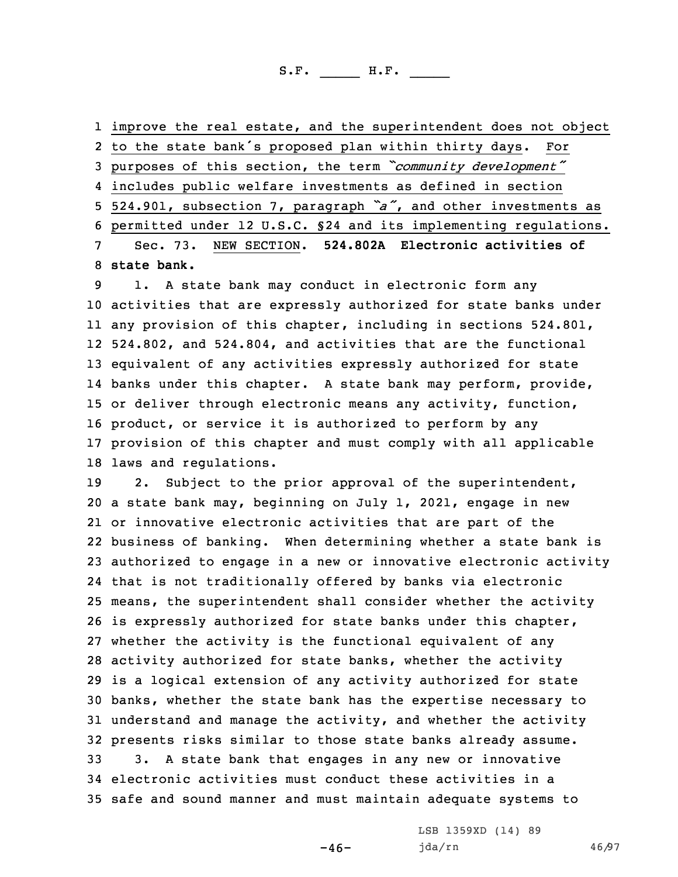improve the real estate, and the superintendent does not object to the state bank's proposed plan within thirty days. For purposes of this section, the term *"community development"* includes public welfare investments as defined in section 524.901, subsection 7, paragraph *"a"*, and other investments as permitted under 12 U.S.C. §24 and its implementing regulations. Sec. 73. NEW SECTION. **524.802A Electronic activities of state bank.**

 1. <sup>A</sup> state bank may conduct in electronic form any activities that are expressly authorized for state banks under any provision of this chapter, including in sections 524.801, 524.802, and 524.804, and activities that are the functional equivalent of any activities expressly authorized for state banks under this chapter. <sup>A</sup> state bank may perform, provide, or deliver through electronic means any activity, function, product, or service it is authorized to perform by any provision of this chapter and must comply with all applicable laws and regulations.

 2. Subject to the prior approval of the superintendent, <sup>a</sup> state bank may, beginning on July 1, 2021, engage in new or innovative electronic activities that are part of the business of banking. When determining whether <sup>a</sup> state bank is authorized to engage in <sup>a</sup> new or innovative electronic activity that is not traditionally offered by banks via electronic means, the superintendent shall consider whether the activity is expressly authorized for state banks under this chapter, whether the activity is the functional equivalent of any activity authorized for state banks, whether the activity is <sup>a</sup> logical extension of any activity authorized for state banks, whether the state bank has the expertise necessary to understand and manage the activity, and whether the activity presents risks similar to those state banks already assume. 3. <sup>A</sup> state bank that engages in any new or innovative electronic activities must conduct these activities in <sup>a</sup> safe and sound manner and must maintain adequate systems to

 $-46-$ 

LSB 1359XD (14) 89 jda/rn 46/97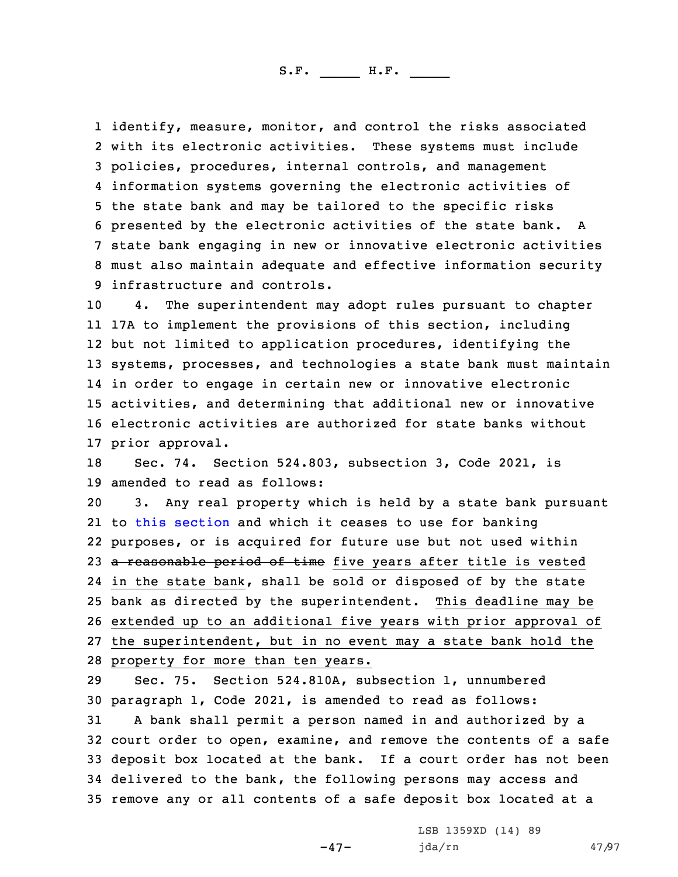identify, measure, monitor, and control the risks associated with its electronic activities. These systems must include policies, procedures, internal controls, and management information systems governing the electronic activities of the state bank and may be tailored to the specific risks presented by the electronic activities of the state bank. <sup>A</sup> state bank engaging in new or innovative electronic activities must also maintain adequate and effective information security infrastructure and controls.

 4. The superintendent may adopt rules pursuant to chapter 17A to implement the provisions of this section, including but not limited to application procedures, identifying the systems, processes, and technologies <sup>a</sup> state bank must maintain in order to engage in certain new or innovative electronic activities, and determining that additional new or innovative electronic activities are authorized for state banks without prior approval.

18 Sec. 74. Section 524.803, subsection 3, Code 2021, is 19 amended to read as follows:

 3. Any real property which is held by <sup>a</sup> state bank pursuant to this [section](https://www.legis.iowa.gov/docs/code/2021/524.803.pdf) and which it ceases to use for banking purposes, or is acquired for future use but not used within 23 a reasonable period of time five years after title is vested in the state bank, shall be sold or disposed of by the state bank as directed by the superintendent. This deadline may be extended up to an additional five years with prior approval of the superintendent, but in no event may <sup>a</sup> state bank hold the property for more than ten years.

 Sec. 75. Section 524.810A, subsection 1, unnumbered paragraph 1, Code 2021, is amended to read as follows: <sup>A</sup> bank shall permit <sup>a</sup> person named in and authorized by <sup>a</sup> court order to open, examine, and remove the contents of <sup>a</sup> safe deposit box located at the bank. If <sup>a</sup> court order has not been delivered to the bank, the following persons may access and remove any or all contents of <sup>a</sup> safe deposit box located at <sup>a</sup>

-47-

LSB 1359XD (14) 89 jda/rn 47/97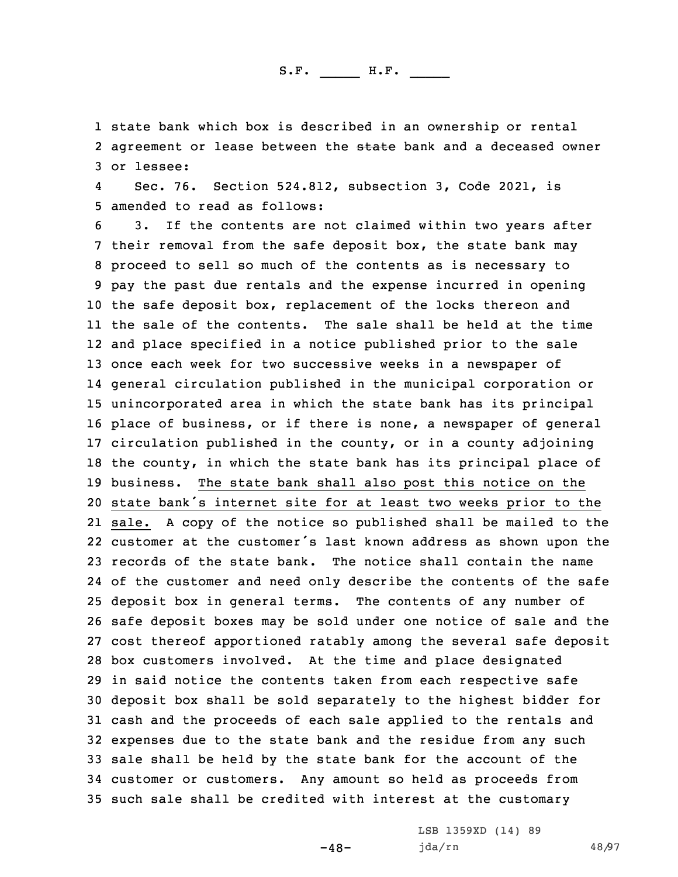1 state bank which box is described in an ownership or rental 2 agreement or lease between the <del>state</del> bank and a deceased owner 3 or lessee:

4 Sec. 76. Section 524.812, subsection 3, Code 2021, is 5 amended to read as follows:

 3. If the contents are not claimed within two years after their removal from the safe deposit box, the state bank may proceed to sell so much of the contents as is necessary to pay the past due rentals and the expense incurred in opening the safe deposit box, replacement of the locks thereon and the sale of the contents. The sale shall be held at the time and place specified in <sup>a</sup> notice published prior to the sale once each week for two successive weeks in <sup>a</sup> newspaper of general circulation published in the municipal corporation or unincorporated area in which the state bank has its principal place of business, or if there is none, <sup>a</sup> newspaper of general circulation published in the county, or in <sup>a</sup> county adjoining the county, in which the state bank has its principal place of business. The state bank shall also post this notice on the state bank's internet site for at least two weeks prior to the sale. <sup>A</sup> copy of the notice so published shall be mailed to the customer at the customer's last known address as shown upon the records of the state bank. The notice shall contain the name of the customer and need only describe the contents of the safe deposit box in general terms. The contents of any number of safe deposit boxes may be sold under one notice of sale and the cost thereof apportioned ratably among the several safe deposit box customers involved. At the time and place designated in said notice the contents taken from each respective safe deposit box shall be sold separately to the highest bidder for cash and the proceeds of each sale applied to the rentals and expenses due to the state bank and the residue from any such sale shall be held by the state bank for the account of the customer or customers. Any amount so held as proceeds from such sale shall be credited with interest at the customary

-48-

LSB 1359XD (14) 89 jda/rn 48/97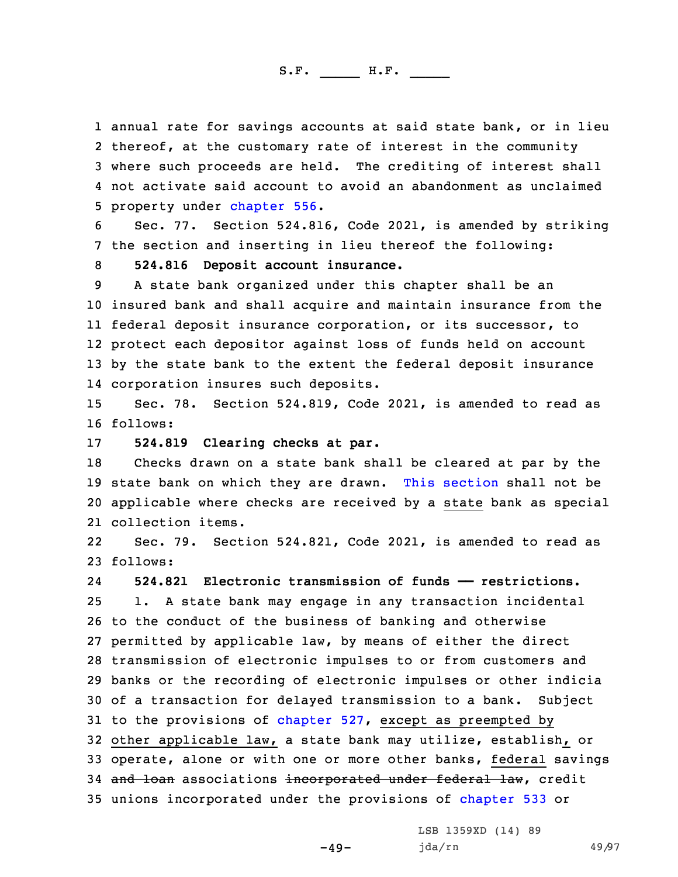annual rate for savings accounts at said state bank, or in lieu thereof, at the customary rate of interest in the community where such proceeds are held. The crediting of interest shall not activate said account to avoid an abandonment as unclaimed property under [chapter](https://www.legis.iowa.gov/docs/code/2021/556.pdf) 556.

6 Sec. 77. Section 524.816, Code 2021, is amended by striking 7 the section and inserting in lieu thereof the following:

8 **524.816 Deposit account insurance.**

 <sup>A</sup> state bank organized under this chapter shall be an insured bank and shall acquire and maintain insurance from the federal deposit insurance corporation, or its successor, to protect each depositor against loss of funds held on account by the state bank to the extent the federal deposit insurance corporation insures such deposits.

15 Sec. 78. Section 524.819, Code 2021, is amended to read as 16 follows:

17 **524.819 Clearing checks at par.**

 Checks drawn on <sup>a</sup> state bank shall be cleared at par by the state bank on which they are drawn. This [section](https://www.legis.iowa.gov/docs/code/2021/524.819.pdf) shall not be applicable where checks are received by <sup>a</sup> state bank as special collection items.

22 Sec. 79. Section 524.821, Code 2021, is amended to read as 23 follows:

24 **524.821 Electronic transmission of funds —— restrictions.** 1. <sup>A</sup> state bank may engage in any transaction incidental to the conduct of the business of banking and otherwise permitted by applicable law, by means of either the direct transmission of electronic impulses to or from customers and banks or the recording of electronic impulses or other indicia of <sup>a</sup> transaction for delayed transmission to <sup>a</sup> bank. Subject to the provisions of [chapter](https://www.legis.iowa.gov/docs/code/2021/527.pdf) 527, except as preempted by other applicable law, <sup>a</sup> state bank may utilize, establish, or operate, alone or with one or more other banks, federal savings 34 and loan associations incorporated under federal law, credit unions incorporated under the provisions of [chapter](https://www.legis.iowa.gov/docs/code/2021/533.pdf) 533 or

 $-49-$ 

LSB 1359XD (14) 89 jda/rn 49/97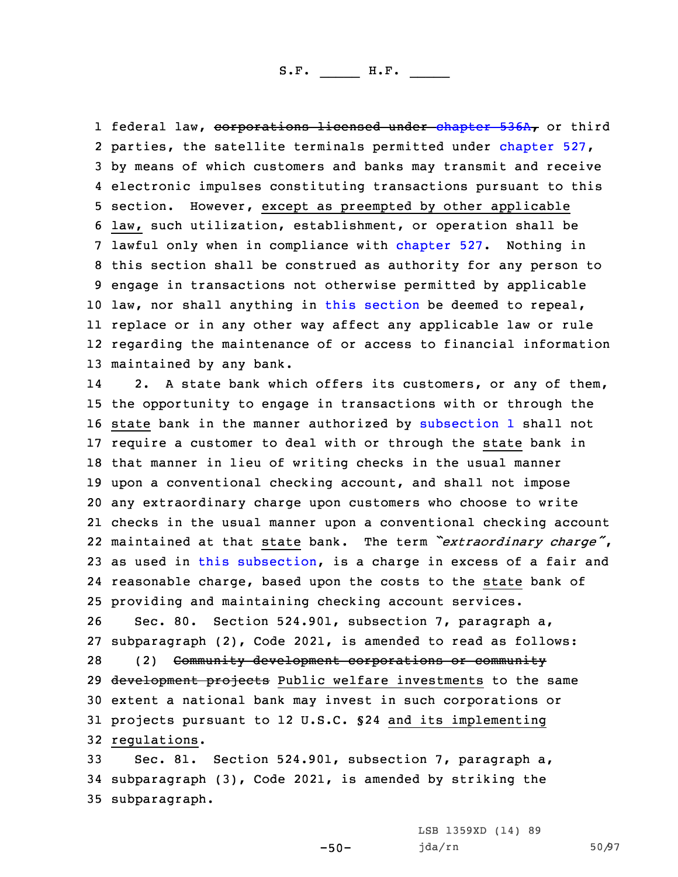1 federal law, <del>corporations licensed under [chapter](https://www.legis.iowa.gov/docs/code/2021/536A.pdf) 536A,</del> or third parties, the satellite terminals permitted under [chapter](https://www.legis.iowa.gov/docs/code/2021/527.pdf) 527, by means of which customers and banks may transmit and receive electronic impulses constituting transactions pursuant to this section. However, except as preempted by other applicable law, such utilization, establishment, or operation shall be lawful only when in compliance with [chapter](https://www.legis.iowa.gov/docs/code/2021/527.pdf) 527. Nothing in this section shall be construed as authority for any person to engage in transactions not otherwise permitted by applicable law, nor shall anything in this [section](https://www.legis.iowa.gov/docs/code/2021/524.821.pdf) be deemed to repeal, replace or in any other way affect any applicable law or rule regarding the maintenance of or access to financial information maintained by any bank.

14 2. <sup>A</sup> state bank which offers its customers, or any of them, the opportunity to engage in transactions with or through the state bank in the manner authorized by [subsection](https://www.legis.iowa.gov/docs/code/2021/524.821.pdf) 1 shall not require <sup>a</sup> customer to deal with or through the state bank in that manner in lieu of writing checks in the usual manner upon <sup>a</sup> conventional checking account, and shall not impose any extraordinary charge upon customers who choose to write checks in the usual manner upon <sup>a</sup> conventional checking account maintained at that state bank. The term *"extraordinary charge"*, as used in this [subsection](https://www.legis.iowa.gov/docs/code/2021/524.821.pdf), is <sup>a</sup> charge in excess of <sup>a</sup> fair and reasonable charge, based upon the costs to the state bank of providing and maintaining checking account services.

 Sec. 80. Section 524.901, subsection 7, paragraph a, subparagraph (2), Code 2021, is amended to read as follows: (2) Community development corporations or community 29 development projects Public welfare investments to the same extent <sup>a</sup> national bank may invest in such corporations or projects pursuant to 12 U.S.C. §24 and its implementing regulations.

33 Sec. 81. Section 524.901, subsection 7, paragraph a, 34 subparagraph (3), Code 2021, is amended by striking the 35 subparagraph.

-50-

LSB 1359XD (14) 89 jda/rn 50/97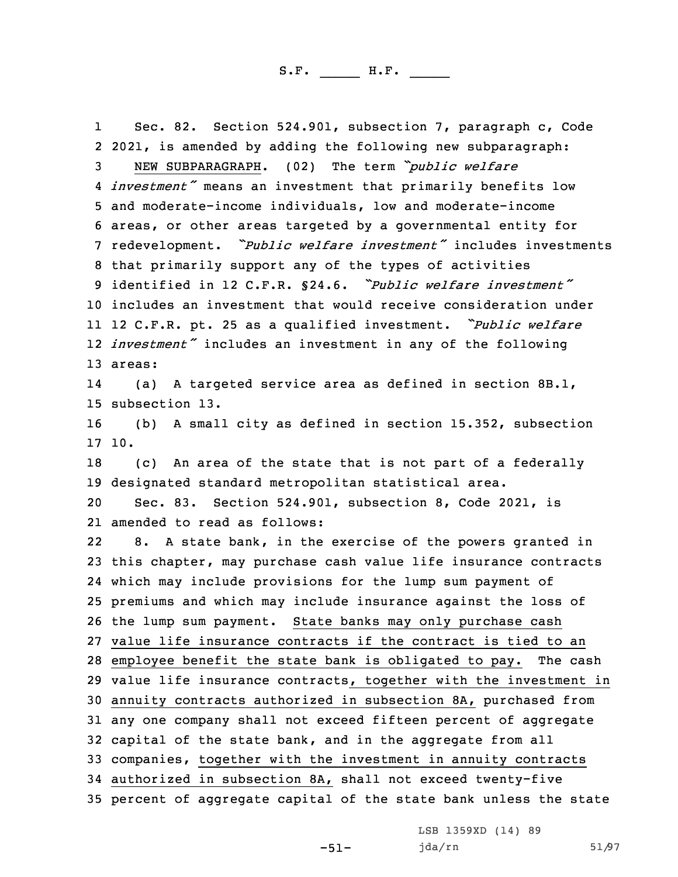1 Sec. 82. Section 524.901, subsection 7, paragraph c, Code 2021, is amended by adding the following new subparagraph: NEW SUBPARAGRAPH. (02) The term *"public welfare investment"* means an investment that primarily benefits low and moderate-income individuals, low and moderate-income areas, or other areas targeted by <sup>a</sup> governmental entity for redevelopment. *"Public welfare investment"* includes investments that primarily support any of the types of activities identified in 12 C.F.R. §24.6. *"Public welfare investment"* includes an investment that would receive consideration under <sup>12</sup> C.F.R. pt. <sup>25</sup> as <sup>a</sup> qualified investment. *"Public welfare investment"* includes an investment in any of the following 13 areas: 14 (a) <sup>A</sup> targeted service area as defined in section 8B.1, subsection 13. (b) <sup>A</sup> small city as defined in section 15.352, subsection 17 10. (c) An area of the state that is not part of <sup>a</sup> federally designated standard metropolitan statistical area. Sec. 83. Section 524.901, subsection 8, Code 2021, is amended to read as follows: 22 8. <sup>A</sup> state bank, in the exercise of the powers granted in this chapter, may purchase cash value life insurance contracts which may include provisions for the lump sum payment of premiums and which may include insurance against the loss of the lump sum payment. State banks may only purchase cash value life insurance contracts if the contract is tied to an employee benefit the state bank is obligated to pay. The cash value life insurance contracts, together with the investment in annuity contracts authorized in subsection 8A, purchased from any one company shall not exceed fifteen percent of aggregate capital of the state bank, and in the aggregate from all companies, together with the investment in annuity contracts authorized in subsection 8A, shall not exceed twenty-five percent of aggregate capital of the state bank unless the state

LSB 1359XD (14) 89

-51-

jda/rn 51/97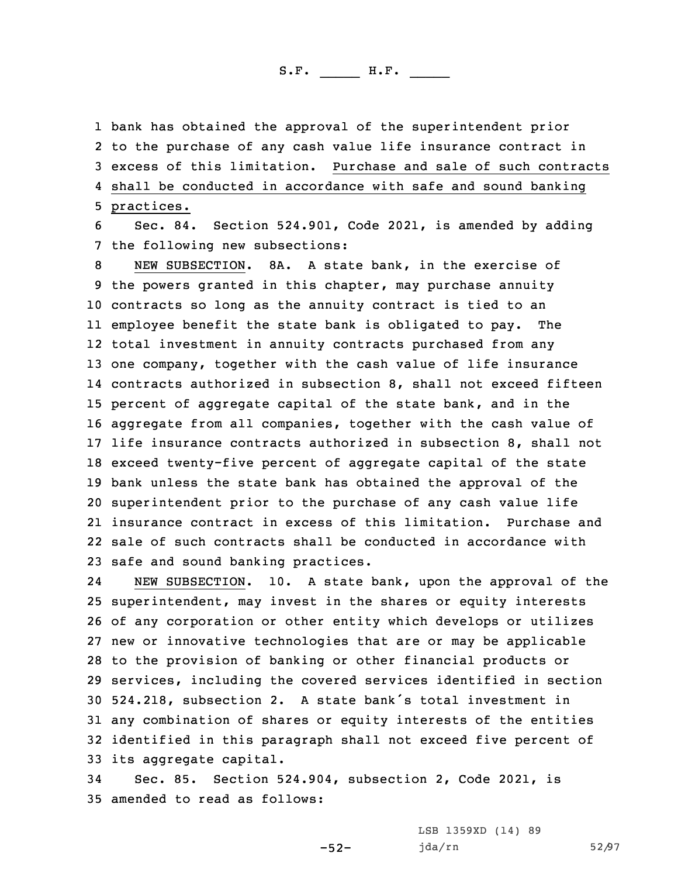bank has obtained the approval of the superintendent prior to the purchase of any cash value life insurance contract in excess of this limitation. Purchase and sale of such contracts shall be conducted in accordance with safe and sound banking practices.

6 Sec. 84. Section 524.901, Code 2021, is amended by adding 7 the following new subsections:

 NEW SUBSECTION. 8A. A state bank, in the exercise of the powers granted in this chapter, may purchase annuity contracts so long as the annuity contract is tied to an employee benefit the state bank is obligated to pay. The total investment in annuity contracts purchased from any one company, together with the cash value of life insurance contracts authorized in subsection 8, shall not exceed fifteen percent of aggregate capital of the state bank, and in the aggregate from all companies, together with the cash value of life insurance contracts authorized in subsection 8, shall not exceed twenty-five percent of aggregate capital of the state bank unless the state bank has obtained the approval of the superintendent prior to the purchase of any cash value life insurance contract in excess of this limitation. Purchase and sale of such contracts shall be conducted in accordance with safe and sound banking practices.

24 NEW SUBSECTION. 10. <sup>A</sup> state bank, upon the approval of the superintendent, may invest in the shares or equity interests of any corporation or other entity which develops or utilizes new or innovative technologies that are or may be applicable to the provision of banking or other financial products or services, including the covered services identified in section 524.218, subsection 2. <sup>A</sup> state bank's total investment in any combination of shares or equity interests of the entities identified in this paragraph shall not exceed five percent of its aggregate capital.

34 Sec. 85. Section 524.904, subsection 2, Code 2021, is 35 amended to read as follows:

-52-

LSB 1359XD (14) 89 jda/rn 52/97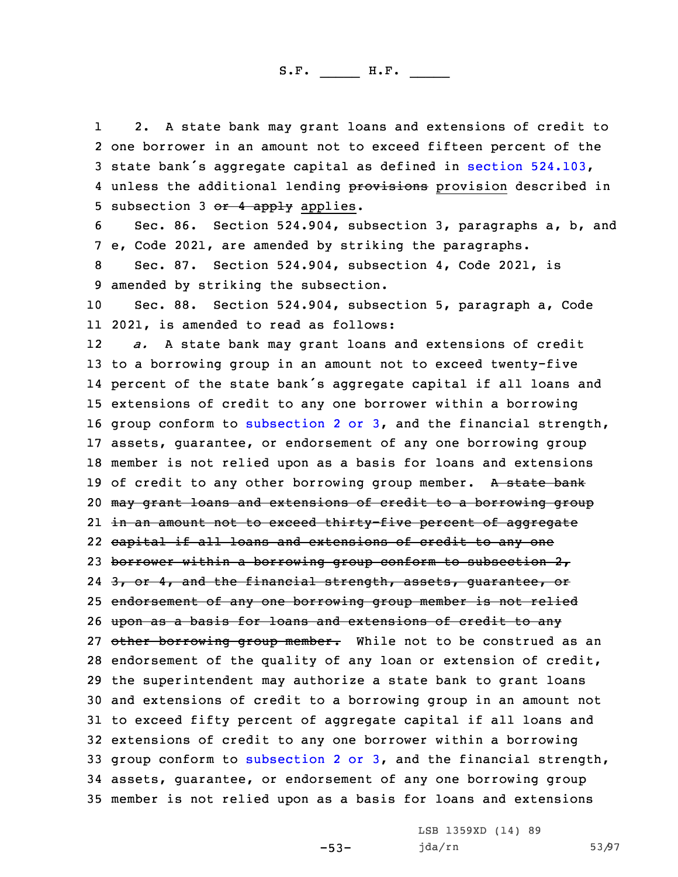1 2. <sup>A</sup> state bank may grant loans and extensions of credit to 2 one borrower in an amount not to exceed fifteen percent of the <sup>3</sup> state bank's aggregate capital as defined in section [524.103](https://www.legis.iowa.gov/docs/code/2021/524.103.pdf), 4 unless the additional lending provisions provision described in 5 subsection 3  $or$  4 apply applies.

6 Sec. 86. Section 524.904, subsection 3, paragraphs a, b, and 7 e, Code 2021, are amended by striking the paragraphs.

8 Sec. 87. Section 524.904, subsection 4, Code 2021, is 9 amended by striking the subsection.

10 Sec. 88. Section 524.904, subsection 5, paragraph a, Code 11 2021, is amended to read as follows:

12 *a.* <sup>A</sup> state bank may grant loans and extensions of credit to <sup>a</sup> borrowing group in an amount not to exceed twenty-five percent of the state bank's aggregate capital if all loans and extensions of credit to any one borrower within <sup>a</sup> borrowing group conform to [subsection](https://www.legis.iowa.gov/docs/code/2021/524.904.pdf) 2 or 3, and the financial strength, assets, guarantee, or endorsement of any one borrowing group member is not relied upon as <sup>a</sup> basis for loans and extensions 19 of credit to any other borrowing group member. A state bank may grant loans and extensions of credit to <sup>a</sup> borrowing group in an amount not to exceed thirty-five percent of aggregate capital if all loans and extensions of credit to any one 23 borrower within a borrowing group conform to subsection 2, 24 <del>3, or 4, and the financial strength, assets, guarantee, or</del> endorsement of any one borrowing group member is not relied upon as <sup>a</sup> basis for loans and extensions of credit to any 27 other borrowing group member. While not to be construed as an endorsement of the quality of any loan or extension of credit, the superintendent may authorize <sup>a</sup> state bank to grant loans and extensions of credit to <sup>a</sup> borrowing group in an amount not to exceed fifty percent of aggregate capital if all loans and extensions of credit to any one borrower within <sup>a</sup> borrowing group conform to [subsection](https://www.legis.iowa.gov/docs/code/2021/524.904.pdf) 2 or 3, and the financial strength, assets, guarantee, or endorsement of any one borrowing group member is not relied upon as <sup>a</sup> basis for loans and extensions

-53-

LSB 1359XD (14) 89 jda/rn 53/97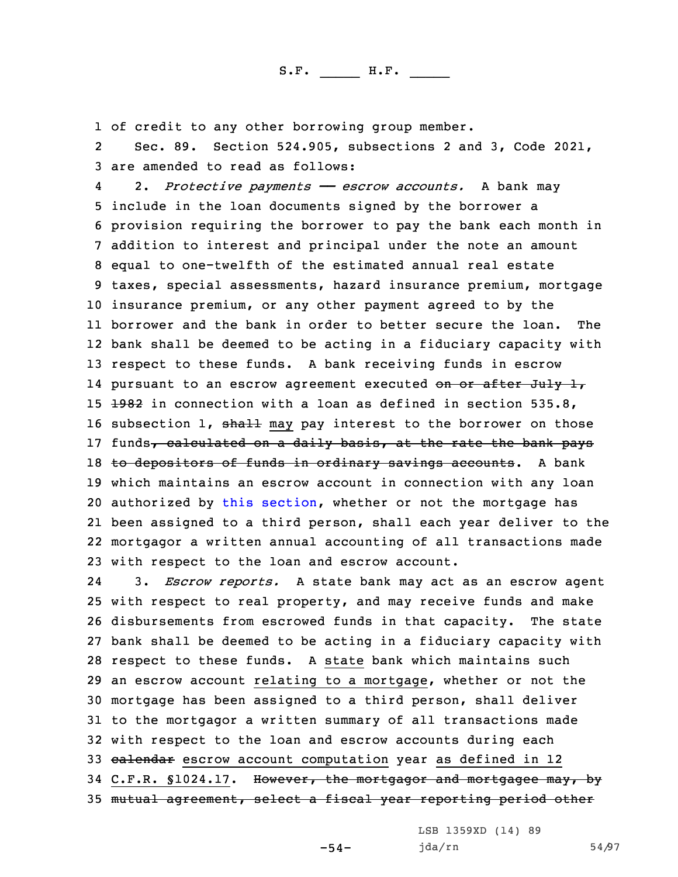1 of credit to any other borrowing group member.

2 Sec. 89. Section 524.905, subsections 2 and 3, Code 2021, 3 are amended to read as follows:

4 2. *Protective payments —— escrow accounts.* <sup>A</sup> bank may include in the loan documents signed by the borrower <sup>a</sup> provision requiring the borrower to pay the bank each month in addition to interest and principal under the note an amount equal to one-twelfth of the estimated annual real estate taxes, special assessments, hazard insurance premium, mortgage insurance premium, or any other payment agreed to by the borrower and the bank in order to better secure the loan. The bank shall be deemed to be acting in <sup>a</sup> fiduciary capacity with respect to these funds. <sup>A</sup> bank receiving funds in escrow 14 pursuant to an escrow agreement executed <del>on or after July 1</del>,  $\pm$ 982 in connection with a loan as defined in section 535.8, 16 subsection 1, shall may pay interest to the borrower on those 17 funds, calculated on a daily basis, at the rate the bank pays 18 to depositors of funds in ordinary savings accounts. A bank which maintains an escrow account in connection with any loan authorized by this [section](https://www.legis.iowa.gov/docs/code/2021/524.905.pdf), whether or not the mortgage has been assigned to <sup>a</sup> third person, shall each year deliver to the mortgagor <sup>a</sup> written annual accounting of all transactions made with respect to the loan and escrow account.

24 3. *Escrow reports.* <sup>A</sup> state bank may act as an escrow agent with respect to real property, and may receive funds and make disbursements from escrowed funds in that capacity. The state bank shall be deemed to be acting in <sup>a</sup> fiduciary capacity with respect to these funds. <sup>A</sup> state bank which maintains such an escrow account relating to <sup>a</sup> mortgage, whether or not the mortgage has been assigned to <sup>a</sup> third person, shall deliver to the mortgagor <sup>a</sup> written summary of all transactions made with respect to the loan and escrow accounts during each 33 calendar escrow account computation year as defined in 12 34 C.F.R. §1024.17. However, the mortgagor and mortgagee may, by mutual agreement, select <sup>a</sup> fiscal year reporting period other

-54-

LSB 1359XD (14) 89 jda/rn 54/97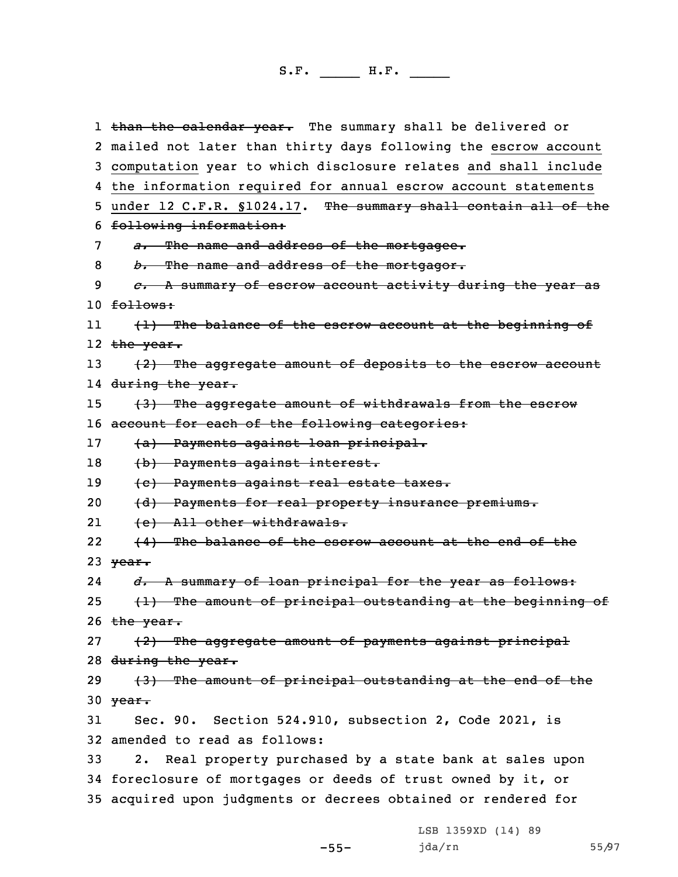1 <del>than the calendar year.</del> The summary shall be delivered or 2 mailed not later than thirty days following the escrow account 3 computation year to which disclosure relates and shall include 4 the information required for annual escrow account statements 5 under 12 C.F.R. §1024.17. The summary shall contain all of the 6 following information: 7 *a.* The name and address of the mortgagee. 8 *b.* The name and address of the mortgagor. 9 *c.* <sup>A</sup> summary of escrow account activity during the year as 10 follows: 11 (1) The balance of the escrow account at the beginning of l2 <del>the year.</del> 13  $(2)$  The aggregate amount of deposits to the escrow account 14 <del>during the year.</del> 15 (3) The aggregate amount of withdrawals from the escrow 16 account for each of the following categories: 17 (a) Payments against loan principal. 18 (b) Payments against interest. 19 (c) Payments against real estate taxes. 20 (d) Payments for real property insurance premiums. 21 (e) All other withdrawals. 22 (4) The balance of the escrow account at the end of the 23  $\forall$ ear. 24 *d.* <sup>A</sup> summary of loan principal for the year as follows: 25  $(1)$  The amount of principal outstanding at the beginning of 26  $the year.$ 27 (2) The aggregate amount of payments against principal 28 during the year. 29 (3) The amount of principal outstanding at the end of the 30  $\frac{year}{1}$ 31 Sec. 90. Section 524.910, subsection 2, Code 2021, is 32 amended to read as follows: 33 2. Real property purchased by <sup>a</sup> state bank at sales upon 34 foreclosure of mortgages or deeds of trust owned by it, or 35 acquired upon judgments or decrees obtained or rendered for

-55-

LSB 1359XD (14) 89 jda/rn 55/97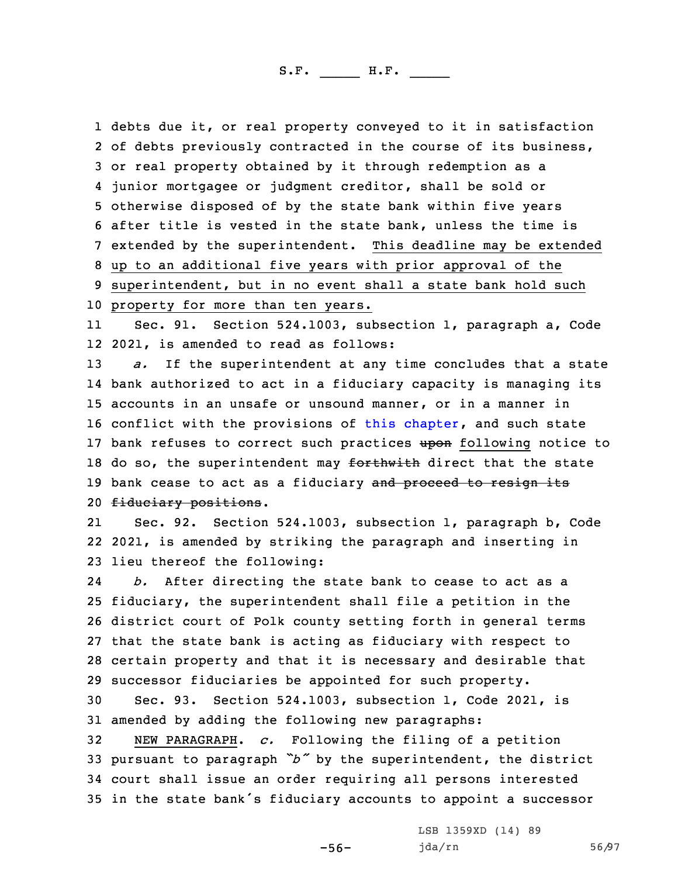debts due it, or real property conveyed to it in satisfaction of debts previously contracted in the course of its business, or real property obtained by it through redemption as <sup>a</sup> junior mortgagee or judgment creditor, shall be sold or otherwise disposed of by the state bank within five years after title is vested in the state bank, unless the time is extended by the superintendent. This deadline may be extended up to an additional five years with prior approval of the superintendent, but in no event shall <sup>a</sup> state bank hold such property for more than ten years.

11 Sec. 91. Section 524.1003, subsection 1, paragraph a, Code 12 2021, is amended to read as follows:

13 *a.* If the superintendent at any time concludes that <sup>a</sup> state 14 bank authorized to act in <sup>a</sup> fiduciary capacity is managing its 15 accounts in an unsafe or unsound manner, or in <sup>a</sup> manner in 16 conflict with the provisions of this [chapter](https://www.legis.iowa.gov/docs/code/2021/524.pdf), and such state 17 bank refuses to correct such practices upon following notice to 18 do so, the superintendent may forthwith direct that the state 19 bank cease to act as a fiduciary and proceed to resign its 20 fiduciary positions.

21 Sec. 92. Section 524.1003, subsection 1, paragraph b, Code 22 2021, is amended by striking the paragraph and inserting in 23 lieu thereof the following:

24 *b.* After directing the state bank to cease to act as <sup>a</sup> fiduciary, the superintendent shall file <sup>a</sup> petition in the district court of Polk county setting forth in general terms that the state bank is acting as fiduciary with respect to certain property and that it is necessary and desirable that successor fiduciaries be appointed for such property.

30 Sec. 93. Section 524.1003, subsection 1, Code 2021, is 31 amended by adding the following new paragraphs:

 NEW PARAGRAPH. *c.* Following the filing of <sup>a</sup> petition pursuant to paragraph *"b"* by the superintendent, the district court shall issue an order requiring all persons interested in the state bank's fiduciary accounts to appoint <sup>a</sup> successor

-56-

LSB 1359XD (14) 89 jda/rn 56/97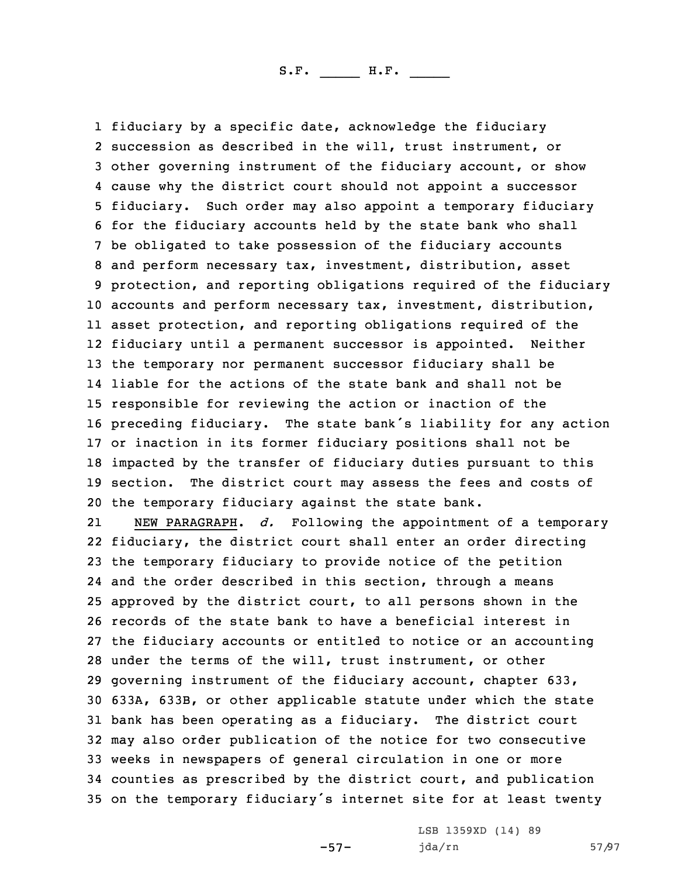fiduciary by <sup>a</sup> specific date, acknowledge the fiduciary succession as described in the will, trust instrument, or other governing instrument of the fiduciary account, or show cause why the district court should not appoint <sup>a</sup> successor fiduciary. Such order may also appoint <sup>a</sup> temporary fiduciary for the fiduciary accounts held by the state bank who shall be obligated to take possession of the fiduciary accounts and perform necessary tax, investment, distribution, asset protection, and reporting obligations required of the fiduciary accounts and perform necessary tax, investment, distribution, asset protection, and reporting obligations required of the fiduciary until <sup>a</sup> permanent successor is appointed. Neither the temporary nor permanent successor fiduciary shall be liable for the actions of the state bank and shall not be responsible for reviewing the action or inaction of the preceding fiduciary. The state bank's liability for any action or inaction in its former fiduciary positions shall not be impacted by the transfer of fiduciary duties pursuant to this section. The district court may assess the fees and costs of the temporary fiduciary against the state bank.

21 NEW PARAGRAPH. *d.* Following the appointment of <sup>a</sup> temporary fiduciary, the district court shall enter an order directing the temporary fiduciary to provide notice of the petition and the order described in this section, through <sup>a</sup> means approved by the district court, to all persons shown in the records of the state bank to have <sup>a</sup> beneficial interest in the fiduciary accounts or entitled to notice or an accounting under the terms of the will, trust instrument, or other governing instrument of the fiduciary account, chapter 633, 633A, 633B, or other applicable statute under which the state bank has been operating as <sup>a</sup> fiduciary. The district court may also order publication of the notice for two consecutive weeks in newspapers of general circulation in one or more counties as prescribed by the district court, and publication on the temporary fiduciary's internet site for at least twenty

-57-

LSB 1359XD (14) 89 jda/rn 57/97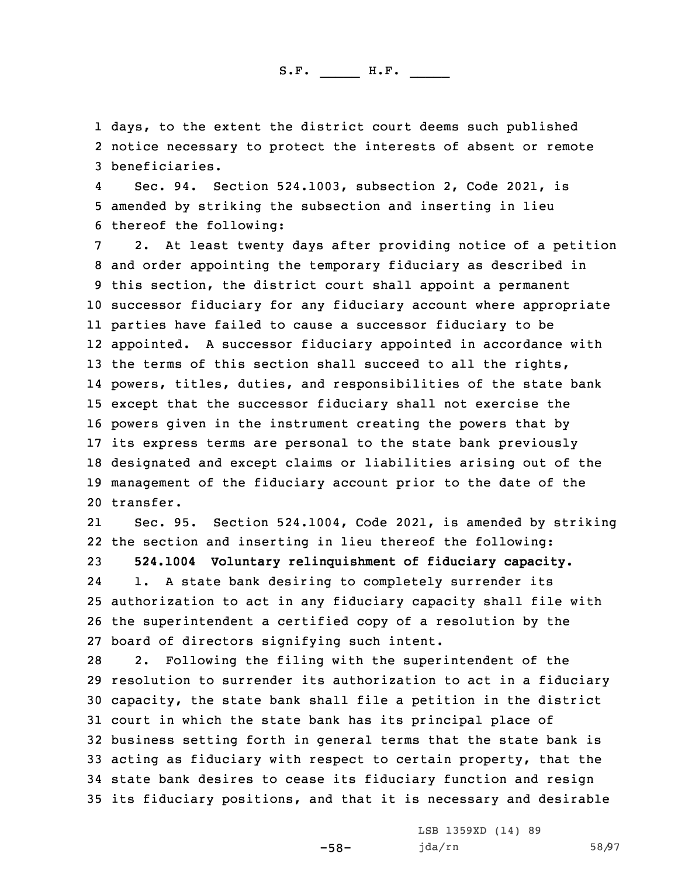1 days, to the extent the district court deems such published 2 notice necessary to protect the interests of absent or remote 3 beneficiaries.

4 Sec. 94. Section 524.1003, subsection 2, Code 2021, is 5 amended by striking the subsection and inserting in lieu 6 thereof the following:

 2. At least twenty days after providing notice of <sup>a</sup> petition and order appointing the temporary fiduciary as described in this section, the district court shall appoint <sup>a</sup> permanent successor fiduciary for any fiduciary account where appropriate parties have failed to cause <sup>a</sup> successor fiduciary to be appointed. <sup>A</sup> successor fiduciary appointed in accordance with 13 the terms of this section shall succeed to all the rights, powers, titles, duties, and responsibilities of the state bank except that the successor fiduciary shall not exercise the powers given in the instrument creating the powers that by its express terms are personal to the state bank previously designated and except claims or liabilities arising out of the management of the fiduciary account prior to the date of the transfer.

21 Sec. 95. Section 524.1004, Code 2021, is amended by striking 22 the section and inserting in lieu thereof the following: 23 **524.1004 Voluntary relinquishment of fiduciary capacity.** 24 1. <sup>A</sup> state bank desiring to completely surrender its 25 authorization to act in any fiduciary capacity shall file with 26 the superintendent <sup>a</sup> certified copy of <sup>a</sup> resolution by the 27 board of directors signifying such intent.

 2. Following the filing with the superintendent of the resolution to surrender its authorization to act in <sup>a</sup> fiduciary capacity, the state bank shall file <sup>a</sup> petition in the district court in which the state bank has its principal place of business setting forth in general terms that the state bank is acting as fiduciary with respect to certain property, that the state bank desires to cease its fiduciary function and resign its fiduciary positions, and that it is necessary and desirable

-58-

LSB 1359XD (14) 89 jda/rn 58/97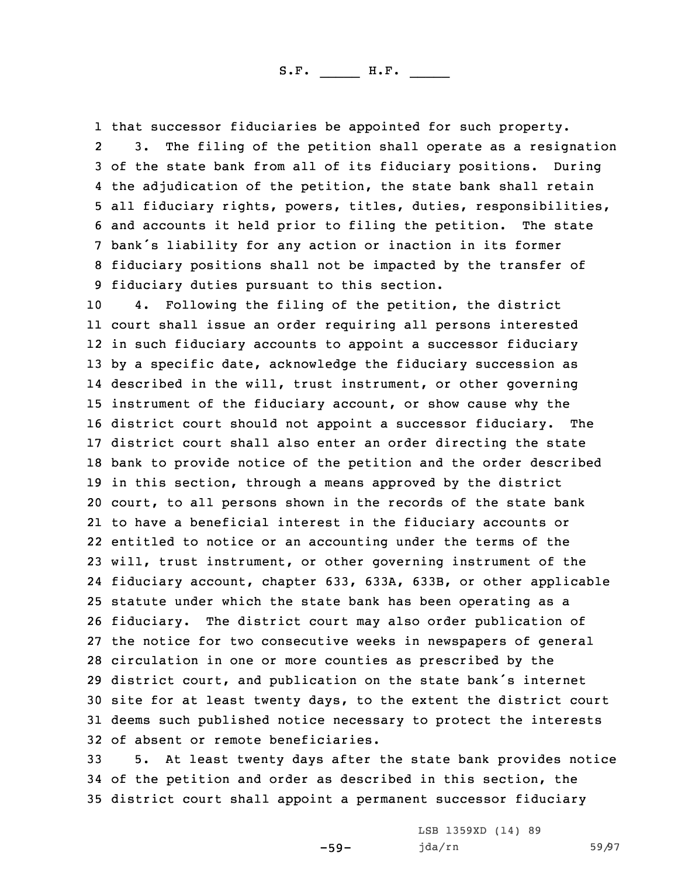1 that successor fiduciaries be appointed for such property.

2 3. The filing of the petition shall operate as <sup>a</sup> resignation of the state bank from all of its fiduciary positions. During the adjudication of the petition, the state bank shall retain all fiduciary rights, powers, titles, duties, responsibilities, and accounts it held prior to filing the petition. The state bank's liability for any action or inaction in its former fiduciary positions shall not be impacted by the transfer of fiduciary duties pursuant to this section.

 4. Following the filing of the petition, the district court shall issue an order requiring all persons interested in such fiduciary accounts to appoint <sup>a</sup> successor fiduciary by <sup>a</sup> specific date, acknowledge the fiduciary succession as described in the will, trust instrument, or other governing instrument of the fiduciary account, or show cause why the district court should not appoint <sup>a</sup> successor fiduciary. The district court shall also enter an order directing the state bank to provide notice of the petition and the order described in this section, through <sup>a</sup> means approved by the district court, to all persons shown in the records of the state bank to have <sup>a</sup> beneficial interest in the fiduciary accounts or entitled to notice or an accounting under the terms of the will, trust instrument, or other governing instrument of the fiduciary account, chapter 633, 633A, 633B, or other applicable statute under which the state bank has been operating as <sup>a</sup> fiduciary. The district court may also order publication of the notice for two consecutive weeks in newspapers of general circulation in one or more counties as prescribed by the district court, and publication on the state bank's internet site for at least twenty days, to the extent the district court deems such published notice necessary to protect the interests of absent or remote beneficiaries.

33 5. At least twenty days after the state bank provides notice 34 of the petition and order as described in this section, the 35 district court shall appoint <sup>a</sup> permanent successor fiduciary

-59-

LSB 1359XD (14) 89 jda/rn 59/97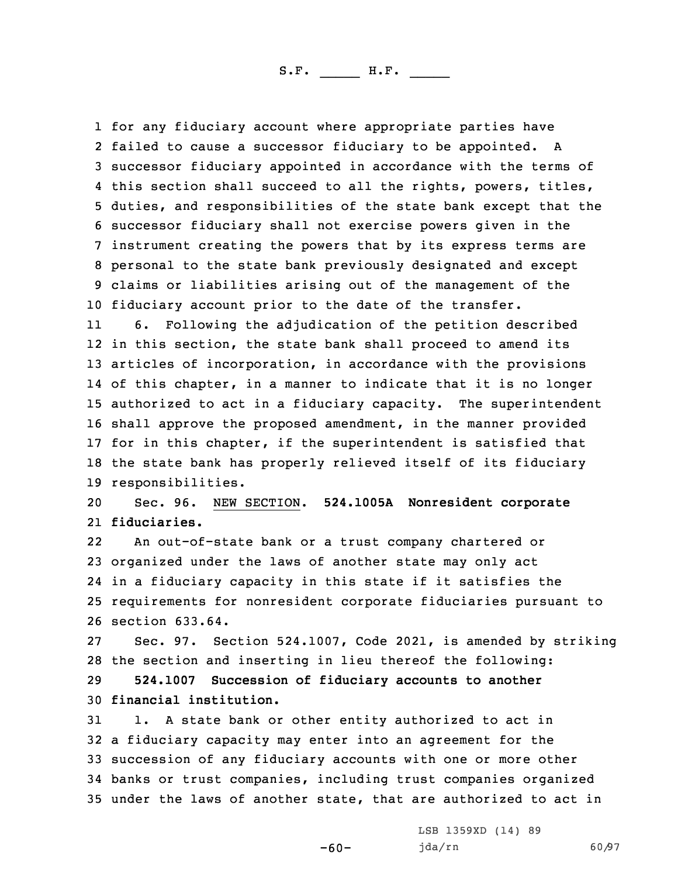for any fiduciary account where appropriate parties have failed to cause <sup>a</sup> successor fiduciary to be appointed. <sup>A</sup> successor fiduciary appointed in accordance with the terms of this section shall succeed to all the rights, powers, titles, duties, and responsibilities of the state bank except that the successor fiduciary shall not exercise powers given in the instrument creating the powers that by its express terms are personal to the state bank previously designated and except claims or liabilities arising out of the management of the fiduciary account prior to the date of the transfer.

11 6. Following the adjudication of the petition described in this section, the state bank shall proceed to amend its articles of incorporation, in accordance with the provisions of this chapter, in <sup>a</sup> manner to indicate that it is no longer authorized to act in <sup>a</sup> fiduciary capacity. The superintendent shall approve the proposed amendment, in the manner provided 17 for in this chapter, if the superintendent is satisfied that the state bank has properly relieved itself of its fiduciary responsibilities.

20 Sec. 96. NEW SECTION. **524.1005A Nonresident corporate** 21 **fiduciaries.**

22 An out-of-state bank or <sup>a</sup> trust company chartered or organized under the laws of another state may only act in <sup>a</sup> fiduciary capacity in this state if it satisfies the requirements for nonresident corporate fiduciaries pursuant to section 633.64.

27 Sec. 97. Section 524.1007, Code 2021, is amended by striking 28 the section and inserting in lieu thereof the following:

29 **524.1007 Succession of fiduciary accounts to another** 30 **financial institution.**

 1. <sup>A</sup> state bank or other entity authorized to act in <sup>a</sup> fiduciary capacity may enter into an agreement for the succession of any fiduciary accounts with one or more other banks or trust companies, including trust companies organized under the laws of another state, that are authorized to act in

-60-

LSB 1359XD (14) 89 jda/rn 60/97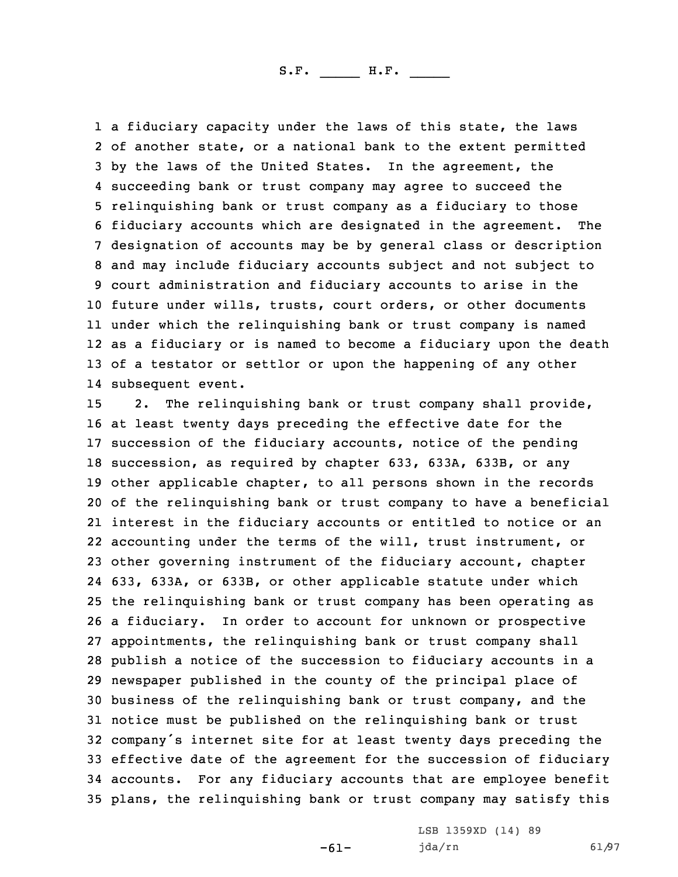1 a fiduciary capacity under the laws of this state, the laws of another state, or <sup>a</sup> national bank to the extent permitted by the laws of the United States. In the agreement, the succeeding bank or trust company may agree to succeed the relinquishing bank or trust company as <sup>a</sup> fiduciary to those fiduciary accounts which are designated in the agreement. The designation of accounts may be by general class or description and may include fiduciary accounts subject and not subject to court administration and fiduciary accounts to arise in the future under wills, trusts, court orders, or other documents under which the relinquishing bank or trust company is named as <sup>a</sup> fiduciary or is named to become <sup>a</sup> fiduciary upon the death of <sup>a</sup> testator or settlor or upon the happening of any other subsequent event.

 2. The relinquishing bank or trust company shall provide, at least twenty days preceding the effective date for the succession of the fiduciary accounts, notice of the pending succession, as required by chapter 633, 633A, 633B, or any other applicable chapter, to all persons shown in the records of the relinquishing bank or trust company to have <sup>a</sup> beneficial interest in the fiduciary accounts or entitled to notice or an accounting under the terms of the will, trust instrument, or other governing instrument of the fiduciary account, chapter 633, 633A, or 633B, or other applicable statute under which the relinquishing bank or trust company has been operating as <sup>a</sup> fiduciary. In order to account for unknown or prospective appointments, the relinquishing bank or trust company shall publish <sup>a</sup> notice of the succession to fiduciary accounts in <sup>a</sup> newspaper published in the county of the principal place of business of the relinquishing bank or trust company, and the notice must be published on the relinquishing bank or trust company's internet site for at least twenty days preceding the effective date of the agreement for the succession of fiduciary accounts. For any fiduciary accounts that are employee benefit plans, the relinquishing bank or trust company may satisfy this

-61-

LSB 1359XD (14) 89 jda/rn 61/97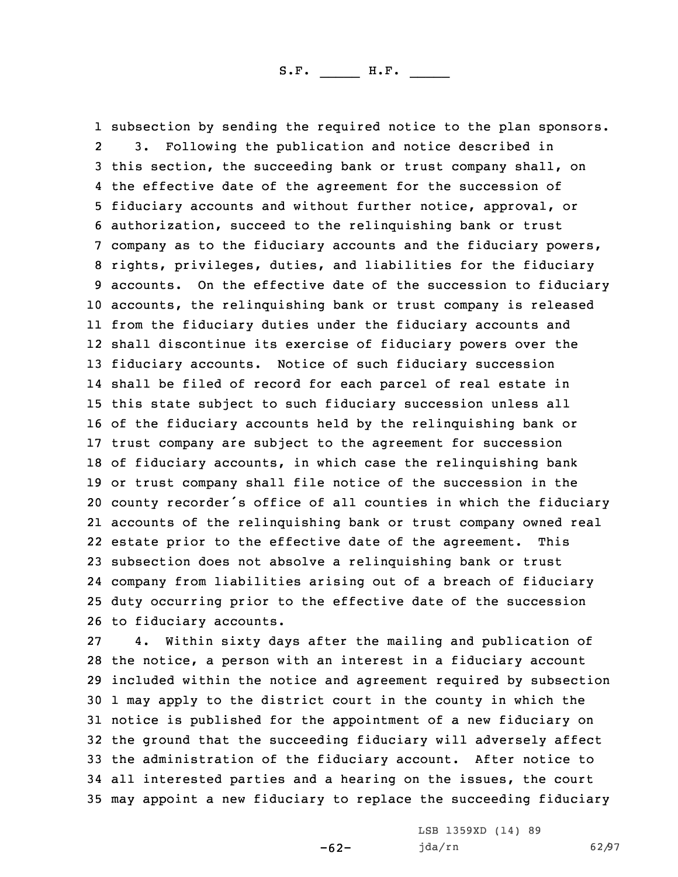subsection by sending the required notice to the plan sponsors. 2 3. Following the publication and notice described in this section, the succeeding bank or trust company shall, on the effective date of the agreement for the succession of fiduciary accounts and without further notice, approval, or authorization, succeed to the relinquishing bank or trust company as to the fiduciary accounts and the fiduciary powers, rights, privileges, duties, and liabilities for the fiduciary accounts. On the effective date of the succession to fiduciary accounts, the relinquishing bank or trust company is released from the fiduciary duties under the fiduciary accounts and shall discontinue its exercise of fiduciary powers over the fiduciary accounts. Notice of such fiduciary succession shall be filed of record for each parcel of real estate in this state subject to such fiduciary succession unless all of the fiduciary accounts held by the relinquishing bank or trust company are subject to the agreement for succession of fiduciary accounts, in which case the relinquishing bank or trust company shall file notice of the succession in the county recorder's office of all counties in which the fiduciary accounts of the relinquishing bank or trust company owned real estate prior to the effective date of the agreement. This subsection does not absolve <sup>a</sup> relinquishing bank or trust company from liabilities arising out of <sup>a</sup> breach of fiduciary duty occurring prior to the effective date of the succession to fiduciary accounts.

 4. Within sixty days after the mailing and publication of the notice, <sup>a</sup> person with an interest in <sup>a</sup> fiduciary account included within the notice and agreement required by subsection 1 may apply to the district court in the county in which the notice is published for the appointment of <sup>a</sup> new fiduciary on the ground that the succeeding fiduciary will adversely affect the administration of the fiduciary account. After notice to all interested parties and <sup>a</sup> hearing on the issues, the court may appoint <sup>a</sup> new fiduciary to replace the succeeding fiduciary

-62-

LSB 1359XD (14) 89 jda/rn 62/97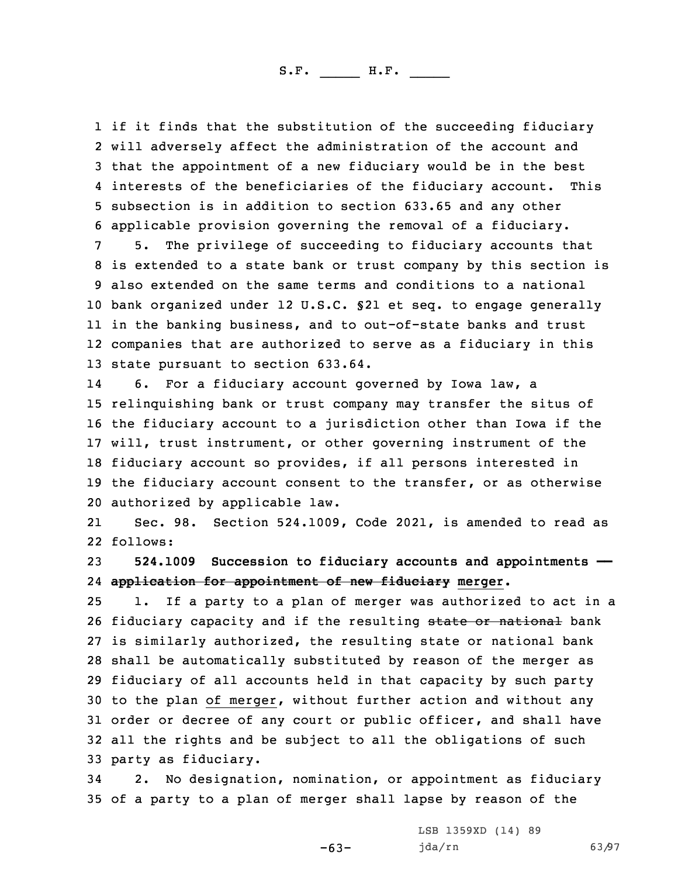if it finds that the substitution of the succeeding fiduciary will adversely affect the administration of the account and that the appointment of <sup>a</sup> new fiduciary would be in the best interests of the beneficiaries of the fiduciary account. This subsection is in addition to section 633.65 and any other applicable provision governing the removal of <sup>a</sup> fiduciary.

 5. The privilege of succeeding to fiduciary accounts that is extended to <sup>a</sup> state bank or trust company by this section is also extended on the same terms and conditions to <sup>a</sup> national bank organized under 12 U.S.C. §21 et seq. to engage generally in the banking business, and to out-of-state banks and trust companies that are authorized to serve as <sup>a</sup> fiduciary in this state pursuant to section 633.64.

14 6. For <sup>a</sup> fiduciary account governed by Iowa law, <sup>a</sup> relinquishing bank or trust company may transfer the situs of the fiduciary account to <sup>a</sup> jurisdiction other than Iowa if the will, trust instrument, or other governing instrument of the fiduciary account so provides, if all persons interested in the fiduciary account consent to the transfer, or as otherwise authorized by applicable law.

21 Sec. 98. Section 524.1009, Code 2021, is amended to read as 22 follows:

23 **524.1009 Succession to fiduciary accounts and appointments ——** 24 **application for appointment of new fiduciary merger.**

 1. If <sup>a</sup> party to <sup>a</sup> plan of merger was authorized to act in <sup>a</sup> 26 fiduciary capacity and if the resulting state or national bank is similarly authorized, the resulting state or national bank shall be automatically substituted by reason of the merger as fiduciary of all accounts held in that capacity by such party to the plan of merger, without further action and without any order or decree of any court or public officer, and shall have all the rights and be subject to all the obligations of such party as fiduciary.

34 2. No designation, nomination, or appointment as fiduciary 35 of <sup>a</sup> party to <sup>a</sup> plan of merger shall lapse by reason of the

 $-63-$ 

LSB 1359XD (14) 89 jda/rn 63/97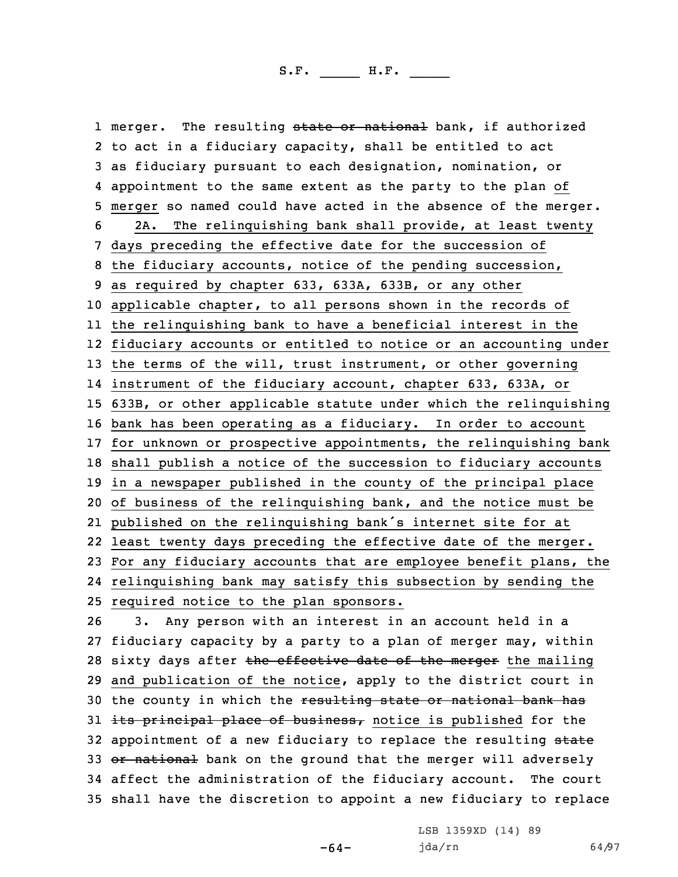1 merger. The resulting <del>state or national</del> bank, if authorized to act in <sup>a</sup> fiduciary capacity, shall be entitled to act as fiduciary pursuant to each designation, nomination, or appointment to the same extent as the party to the plan of merger so named could have acted in the absence of the merger. 2A. The relinquishing bank shall provide, at least twenty days preceding the effective date for the succession of the fiduciary accounts, notice of the pending succession, as required by chapter 633, 633A, 633B, or any other applicable chapter, to all persons shown in the records of the relinquishing bank to have <sup>a</sup> beneficial interest in the fiduciary accounts or entitled to notice or an accounting under 13 the terms of the will, trust instrument, or other governing instrument of the fiduciary account, chapter 633, 633A, or 633B, or other applicable statute under which the relinquishing bank has been operating as <sup>a</sup> fiduciary. In order to account for unknown or prospective appointments, the relinquishing bank shall publish <sup>a</sup> notice of the succession to fiduciary accounts in <sup>a</sup> newspaper published in the county of the principal place of business of the relinquishing bank, and the notice must be published on the relinquishing bank's internet site for at least twenty days preceding the effective date of the merger. For any fiduciary accounts that are employee benefit plans, the relinquishing bank may satisfy this subsection by sending the required notice to the plan sponsors.

26 3. Any person with an interest in an account held in <sup>a</sup> 27 fiduciary capacity by <sup>a</sup> party to <sup>a</sup> plan of merger may, within 28 sixty days after the effective date of the merger the mailing 29 and publication of the notice, apply to the district court in 30 the county in which the resulting state or national bank has 31 its principal place of business, notice is published for the 32 appointment of a new fiduciary to replace the resulting state 33 or national bank on the ground that the merger will adversely 34 affect the administration of the fiduciary account. The court 35 shall have the discretion to appoint <sup>a</sup> new fiduciary to replace

-64-

LSB 1359XD (14) 89 jda/rn 64/97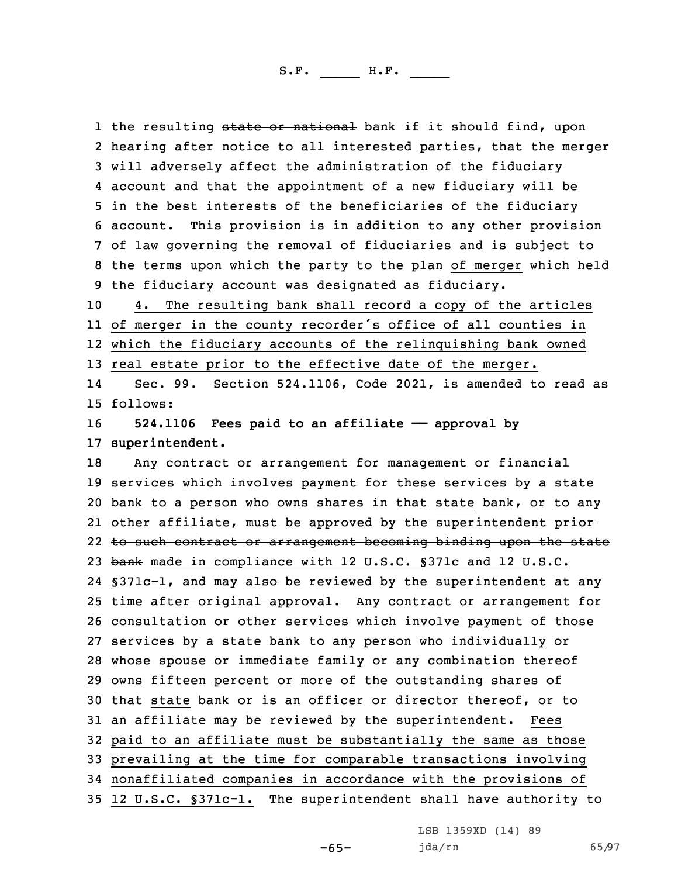1 the resulting <del>state or national</del> bank if it should find, upon hearing after notice to all interested parties, that the merger will adversely affect the administration of the fiduciary account and that the appointment of <sup>a</sup> new fiduciary will be in the best interests of the beneficiaries of the fiduciary account. This provision is in addition to any other provision of law governing the removal of fiduciaries and is subject to the terms upon which the party to the plan of merger which held the fiduciary account was designated as fiduciary.

 4. The resulting bank shall record <sup>a</sup> copy of the articles of merger in the county recorder's office of all counties in which the fiduciary accounts of the relinquishing bank owned real estate prior to the effective date of the merger.

14 Sec. 99. Section 524.1106, Code 2021, is amended to read as 15 follows:

16 **524.1106 Fees paid to an affiliate —— approval by** 17 **superintendent.**

 Any contract or arrangement for management or financial services which involves payment for these services by <sup>a</sup> state bank to <sup>a</sup> person who owns shares in that state bank, or to any 21 other affiliate, must be <del>approved by the superintendent prior</del> 22 to such contract or arrangement becoming binding upon the state 23 bank made in compliance with 12 U.S.C. §371c and 12 U.S.C. 24 §371c-1, and may also be reviewed by the superintendent at any 25 time after original approval. Any contract or arrangement for consultation or other services which involve payment of those services by <sup>a</sup> state bank to any person who individually or whose spouse or immediate family or any combination thereof owns fifteen percent or more of the outstanding shares of that state bank or is an officer or director thereof, or to an affiliate may be reviewed by the superintendent. Fees paid to an affiliate must be substantially the same as those prevailing at the time for comparable transactions involving nonaffiliated companies in accordance with the provisions of 12 U.S.C. §371c-1. The superintendent shall have authority to

LSB 1359XD (14) 89

-65-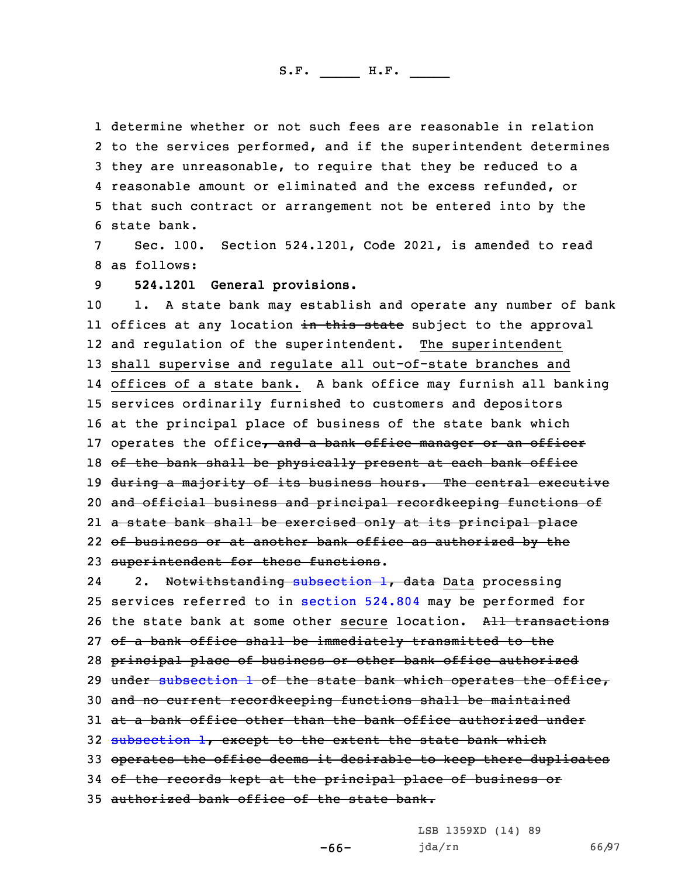determine whether or not such fees are reasonable in relation to the services performed, and if the superintendent determines they are unreasonable, to require that they be reduced to <sup>a</sup> reasonable amount or eliminated and the excess refunded, or that such contract or arrangement not be entered into by the state bank.

7 Sec. 100. Section 524.1201, Code 2021, is amended to read 8 as follows:

9 **524.1201 General provisions.**

 1. <sup>A</sup> state bank may establish and operate any number of bank ll offices at any location <del>in this state</del> subject to the approval and regulation of the superintendent. The superintendent shall supervise and regulate all out-of-state branches and offices of <sup>a</sup> state bank. <sup>A</sup> bank office may furnish all banking services ordinarily furnished to customers and depositors at the principal place of business of the state bank which 17 operates the office, and a bank office manager or an officer 18 of the bank shall be physically present at each bank office 19 during a majority of its business hours. The central executive and official business and principal recordkeeping functions of <sup>a</sup> state bank shall be exercised only at its principal place of business or at another bank office as authorized by the superintendent for these functions.

242. Notwithstanding [subsection](https://www.legis.iowa.gov/docs/code/2021/524.1201.pdf) 1, data Data processing 25 services referred to in [section](https://www.legis.iowa.gov/docs/code/2021/524.804.pdf) 524.804 may be performed for 26 the state bank at some other secure location. All transactions 27 of a bank office shall be immediately transmitted to the 28 principal place of business or other bank office authorized 29 under [subsection](https://www.legis.iowa.gov/docs/code/2021/524.1201.pdf) 1 of the state bank which operates the office, 30 and no current recordkeeping functions shall be maintained 31 at <sup>a</sup> bank office other than the bank office authorized under 32 [subsection](https://www.legis.iowa.gov/docs/code/2021/524.1201.pdf) 1, except to the extent the state bank which 33 operates the office deems it desirable to keep there duplicates 34 of the records kept at the principal place of business or 35 authorized bank office of the state bank.

LSB 1359XD (14) 89

jda/rn 66/97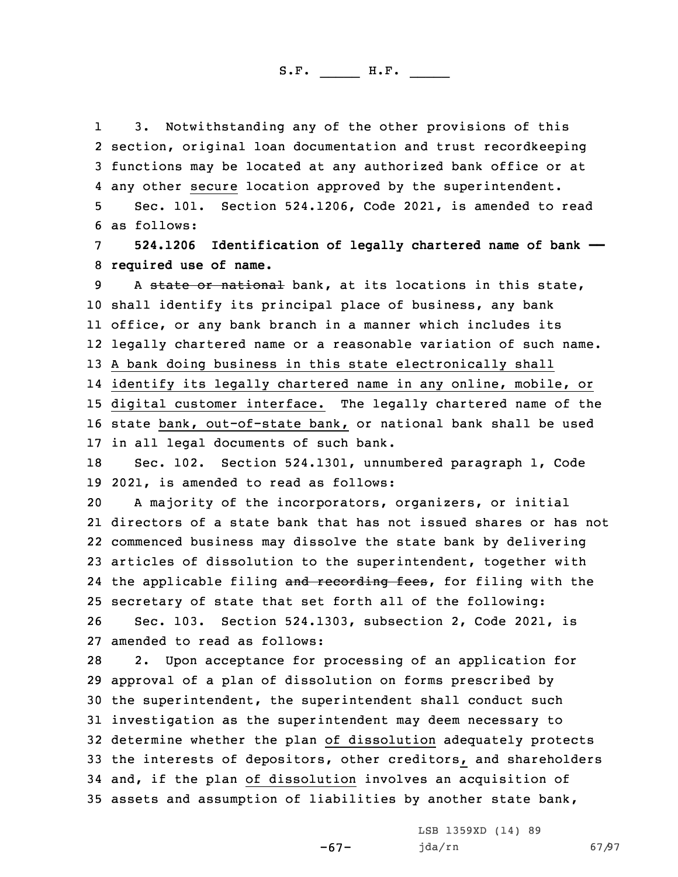1 3. Notwithstanding any of the other provisions of this 2 section, original loan documentation and trust recordkeeping 3 functions may be located at any authorized bank office or at 4 any other secure location approved by the superintendent.

5 Sec. 101. Section 524.1206, Code 2021, is amended to read 6 as follows:

7 **524.1206 Identification of legally chartered name of bank ——** 8 **required use of name.**

9 A state or national bank, at its locations in this state, shall identify its principal place of business, any bank office, or any bank branch in <sup>a</sup> manner which includes its legally chartered name or <sup>a</sup> reasonable variation of such name. <sup>A</sup> bank doing business in this state electronically shall identify its legally chartered name in any online, mobile, or digital customer interface. The legally chartered name of the state bank, out-of-state bank, or national bank shall be used

17 in all legal documents of such bank.

18 Sec. 102. Section 524.1301, unnumbered paragraph 1, Code 19 2021, is amended to read as follows:

 <sup>A</sup> majority of the incorporators, organizers, or initial directors of <sup>a</sup> state bank that has not issued shares or has not commenced business may dissolve the state bank by delivering articles of dissolution to the superintendent, together with 24 the applicable filing and recording fees, for filing with the secretary of state that set forth all of the following: Sec. 103. Section 524.1303, subsection 2, Code 2021, is

27 amended to read as follows:

 2. Upon acceptance for processing of an application for approval of <sup>a</sup> plan of dissolution on forms prescribed by the superintendent, the superintendent shall conduct such investigation as the superintendent may deem necessary to determine whether the plan of dissolution adequately protects the interests of depositors, other creditors, and shareholders and, if the plan of dissolution involves an acquisition of assets and assumption of liabilities by another state bank,

-67-

LSB 1359XD (14) 89 jda/rn 67/97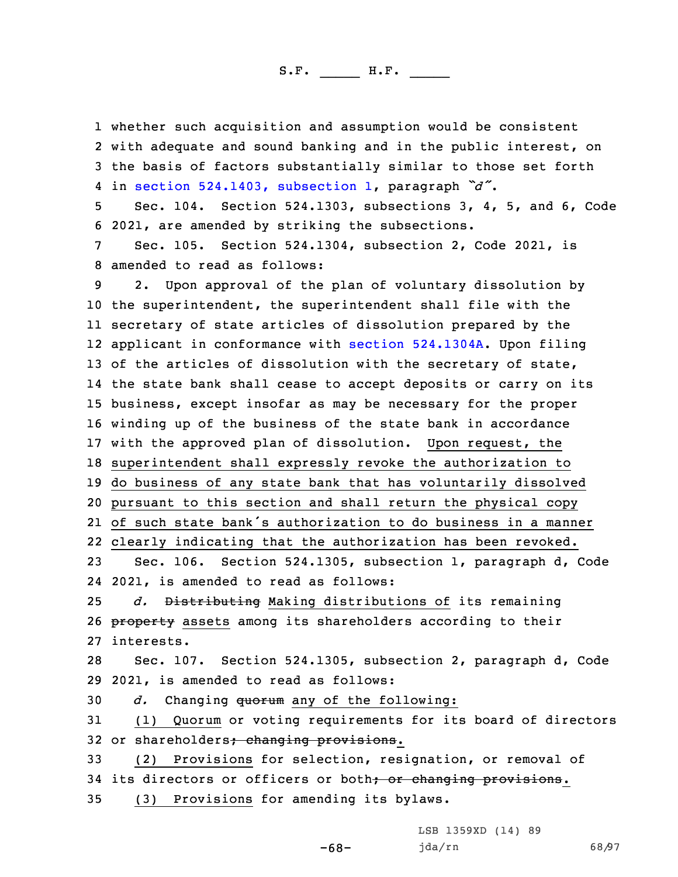whether such acquisition and assumption would be consistent with adequate and sound banking and in the public interest, on the basis of factors substantially similar to those set forth in section [524.1403,](https://www.legis.iowa.gov/docs/code/2021/524.1403.pdf) subsection 1, paragraph *"d"*. Sec. 104. Section 524.1303, subsections 3, 4, 5, and 6, Code 2021, are amended by striking the subsections. Sec. 105. Section 524.1304, subsection 2, Code 2021, is amended to read as follows: 2. Upon approval of the plan of voluntary dissolution by the superintendent, the superintendent shall file with the secretary of state articles of dissolution prepared by the applicant in conformance with section [524.1304A](https://www.legis.iowa.gov/docs/code/2021/524.1304A.pdf). Upon filing 13 of the articles of dissolution with the secretary of state, the state bank shall cease to accept deposits or carry on its business, except insofar as may be necessary for the proper winding up of the business of the state bank in accordance with the approved plan of dissolution. Upon request, the superintendent shall expressly revoke the authorization to do business of any state bank that has voluntarily dissolved pursuant to this section and shall return the physical copy of such state bank's authorization to do business in <sup>a</sup> manner clearly indicating that the authorization has been revoked. Sec. 106. Section 524.1305, subsection 1, paragraph d, Code 2021, is amended to read as follows: *d.* Distributing Making distributions of its remaining 26 property assets among its shareholders according to their interests. Sec. 107. Section 524.1305, subsection 2, paragraph d, Code 2021, is amended to read as follows: *d.* Changing quorum any of the following: (1) Quorum or voting requirements for its board of directors 32 or shareholders; changing provisions. (2) Provisions for selection, resignation, or removal of 34 its directors or officers or both; or changing provisions. (3) Provisions for amending its bylaws.

> LSB 1359XD (14) 89 jda/rn 68/97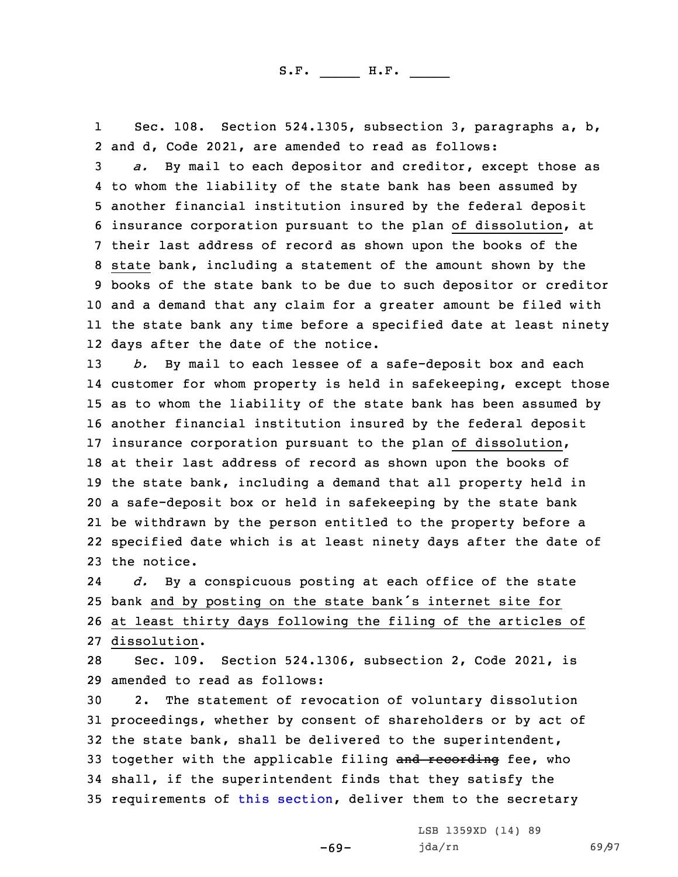1 Sec. 108. Section 524.1305, subsection 3, paragraphs a, b, 2 and d, Code 2021, are amended to read as follows:

 *a.* By mail to each depositor and creditor, except those as to whom the liability of the state bank has been assumed by another financial institution insured by the federal deposit insurance corporation pursuant to the plan of dissolution, at their last address of record as shown upon the books of the state bank, including <sup>a</sup> statement of the amount shown by the books of the state bank to be due to such depositor or creditor and <sup>a</sup> demand that any claim for <sup>a</sup> greater amount be filed with the state bank any time before <sup>a</sup> specified date at least ninety days after the date of the notice.

 *b.* By mail to each lessee of <sup>a</sup> safe-deposit box and each customer for whom property is held in safekeeping, except those as to whom the liability of the state bank has been assumed by another financial institution insured by the federal deposit insurance corporation pursuant to the plan of dissolution, at their last address of record as shown upon the books of the state bank, including <sup>a</sup> demand that all property held in <sup>a</sup> safe-deposit box or held in safekeeping by the state bank be withdrawn by the person entitled to the property before <sup>a</sup> specified date which is at least ninety days after the date of the notice.

24 *d.* By <sup>a</sup> conspicuous posting at each office of the state <sup>25</sup> bank and by posting on the state bank's internet site for 26 at least thirty days following the filing of the articles of 27 dissolution.

28 Sec. 109. Section 524.1306, subsection 2, Code 2021, is 29 amended to read as follows:

 2. The statement of revocation of voluntary dissolution proceedings, whether by consent of shareholders or by act of the state bank, shall be delivered to the superintendent, 33 together with the applicable filing and recording fee, who shall, if the superintendent finds that they satisfy the 35 requirements of this [section](https://www.legis.iowa.gov/docs/code/2021/524.1306.pdf), deliver them to the secretary

-69-

LSB 1359XD (14) 89 jda/rn 69/97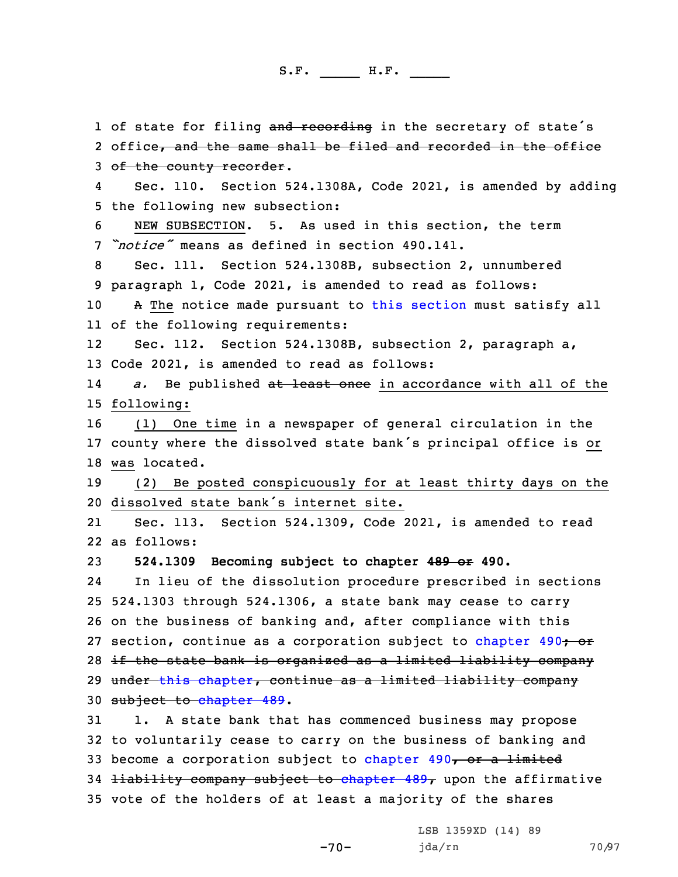1 of state for filing and recording in the secretary of state's 2 office, and the same shall be filed and recorded in the office 3 of the county recorder. 4 Sec. 110. Section 524.1308A, Code 2021, is amended by adding 5 the following new subsection: 6 NEW SUBSECTION. 5. As used in this section, the term 7 *"notice"* means as defined in section 490.141. 8 Sec. 111. Section 524.1308B, subsection 2, unnumbered 9 paragraph 1, Code 2021, is amended to read as follows: 10 A The notice made pursuant to this [section](https://www.legis.iowa.gov/docs/code/2021/524.1308B.pdf) must satisfy all 11 of the following requirements: 12 Sec. 112. Section 524.1308B, subsection 2, paragraph a, 13 Code 2021, is amended to read as follows: 14 *a.* Be published at least once in accordance with all of the 15 following: 16 (1) One time in <sup>a</sup> newspaper of general circulation in the <sup>17</sup> county where the dissolved state bank's principal office is or 18 was located. 19 (2) Be posted conspicuously for at least thirty days on the 20 dissolved state bank's internet site. 21 Sec. 113. Section 524.1309, Code 2021, is amended to read 22 as follows: 23 **524.1309 Becoming subject to chapter 489 or 490.** 24 In lieu of the dissolution procedure prescribed in sections 25 524.1303 through 524.1306, <sup>a</sup> state bank may cease to carry 26 on the business of banking and, after compliance with this 27 section, continue as a corporation subject to [chapter](https://www.legis.iowa.gov/docs/code/2021/490.pdf) 490<del>; or</del> 28 if the state bank is organized as <sup>a</sup> limited liability company 29 under this [chapter](https://www.legis.iowa.gov/docs/code/2021/524.pdf), continue as <sup>a</sup> limited liability company 30 subject to [chapter](https://www.legis.iowa.gov/docs/code/2021/489.pdf) 489. 31 1. <sup>A</sup> state bank that has commenced business may propose 32 to voluntarily cease to carry on the business of banking and 33 become a corporation subject to [chapter](https://www.legis.iowa.gov/docs/code/2021/490.pdf)  $490<sub>7</sub>$  or a limited 34 <del>liability company subject to [chapter](https://www.legis.iowa.gov/docs/code/2021/489.pdf) 489,</del> upon the affirmative 35 vote of the holders of at least <sup>a</sup> majority of the shares

-70-

LSB 1359XD (14) 89 jda/rn 70/97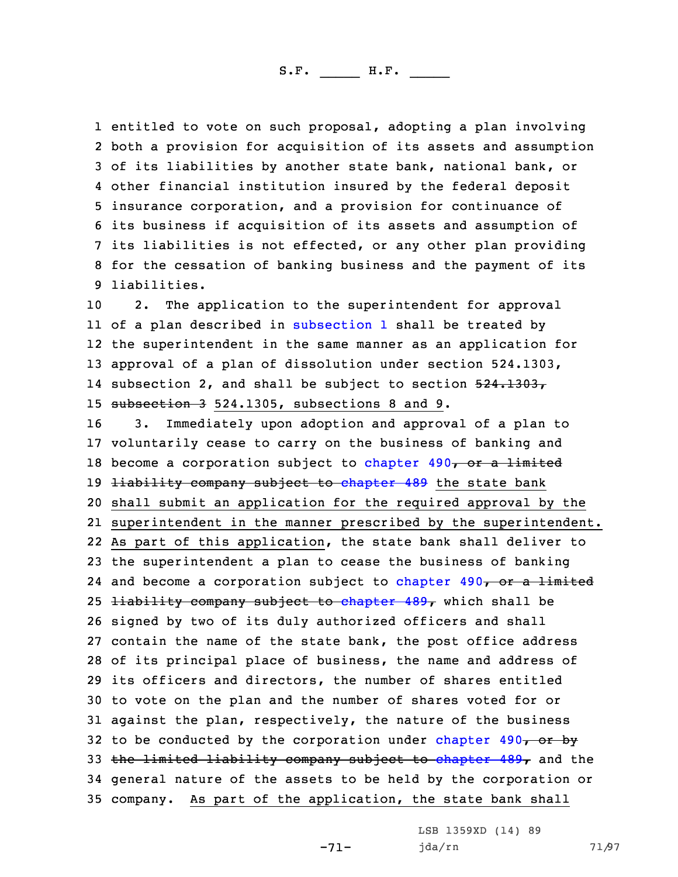entitled to vote on such proposal, adopting <sup>a</sup> plan involving both <sup>a</sup> provision for acquisition of its assets and assumption of its liabilities by another state bank, national bank, or other financial institution insured by the federal deposit insurance corporation, and <sup>a</sup> provision for continuance of its business if acquisition of its assets and assumption of its liabilities is not effected, or any other plan providing for the cessation of banking business and the payment of its liabilities.

 2. The application to the superintendent for approval of <sup>a</sup> plan described in [subsection](https://www.legis.iowa.gov/docs/code/2021/524.1309.pdf) 1 shall be treated by the superintendent in the same manner as an application for approval of <sup>a</sup> plan of dissolution under section 524.1303, 14 subsection 2, and shall be subject to section 524.1303, subsection 3 524.1305, subsections 8 and 9.

 3. Immediately upon adoption and approval of <sup>a</sup> plan to voluntarily cease to carry on the business of banking and 18 become a corporation subject to [chapter](https://www.legis.iowa.gov/docs/code/2021/490.pdf)  $490<sub>7</sub>$  or a limited 19 <del>liability company subject to [chapter](https://www.legis.iowa.gov/docs/code/2021/489.pdf) 489</del> the state bank shall submit an application for the required approval by the superintendent in the manner prescribed by the superintendent. As part of this application, the state bank shall deliver to the superintendent <sup>a</sup> plan to cease the business of banking 24 and become a corporation subject to [chapter](https://www.legis.iowa.gov/docs/code/2021/490.pdf) 490, or a limited 25 <del>liability company subject to [chapter](https://www.legis.iowa.gov/docs/code/2021/489.pdf) 489,</del> which shall be signed by two of its duly authorized officers and shall contain the name of the state bank, the post office address of its principal place of business, the name and address of its officers and directors, the number of shares entitled to vote on the plan and the number of shares voted for or against the plan, respectively, the nature of the business 32 to be conducted by the corporation under [chapter](https://www.legis.iowa.gov/docs/code/2021/490.pdf)  $490<sub>7</sub>$  or by 33 the limited liability company subject to [chapter](https://www.legis.iowa.gov/docs/code/2021/489.pdf)  $489<sub>T</sub>$  and the general nature of the assets to be held by the corporation or company. As part of the application, the state bank shall

> LSB 1359XD (14) 89 jda/rn 71/97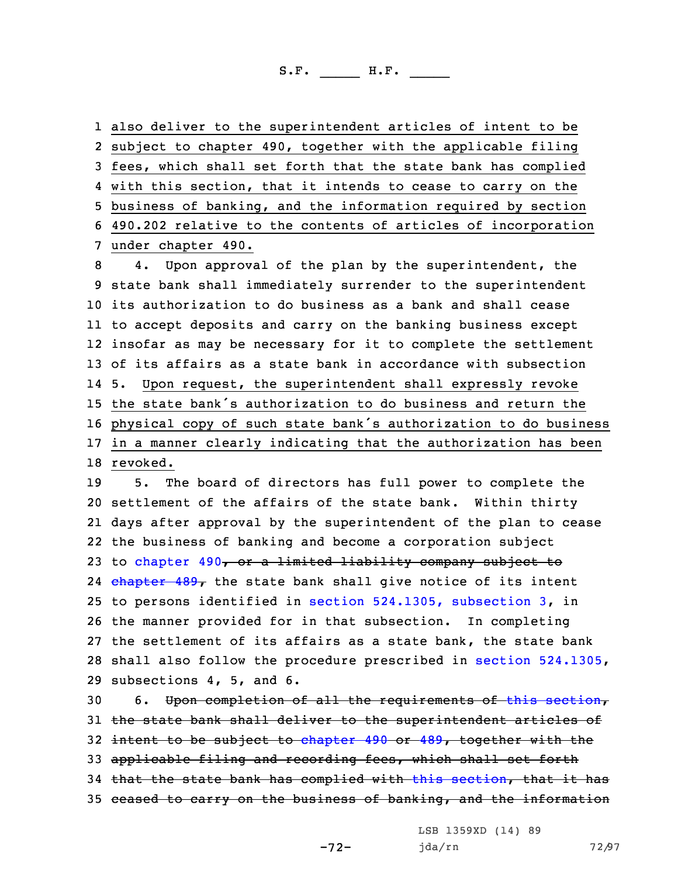also deliver to the superintendent articles of intent to be subject to chapter 490, together with the applicable filing fees, which shall set forth that the state bank has complied with this section, that it intends to cease to carry on the business of banking, and the information required by section 490.202 relative to the contents of articles of incorporation under chapter 490.

 4. Upon approval of the plan by the superintendent, the state bank shall immediately surrender to the superintendent its authorization to do business as <sup>a</sup> bank and shall cease to accept deposits and carry on the banking business except insofar as may be necessary for it to complete the settlement of its affairs as <sup>a</sup> state bank in accordance with subsection 14 5. Upon request, the superintendent shall expressly revoke the state bank's authorization to do business and return the physical copy of such state bank's authorization to do business in <sup>a</sup> manner clearly indicating that the authorization has been 18 revoked.

 5. The board of directors has full power to complete the settlement of the affairs of the state bank. Within thirty days after approval by the superintendent of the plan to cease the business of banking and become <sup>a</sup> corporation subject 23 to [chapter](https://www.legis.iowa.gov/docs/code/2021/490.pdf) 490, or a limited liability company subject to 24 <del>[chapter](https://www.legis.iowa.gov/docs/code/2021/489.pdf) 489,</del> the state bank shall give notice of its intent to persons identified in section [524.1305,](https://www.legis.iowa.gov/docs/code/2021/524.1305.pdf) subsection 3, in the manner provided for in that subsection. In completing the settlement of its affairs as <sup>a</sup> state bank, the state bank shall also follow the procedure prescribed in section [524.1305](https://www.legis.iowa.gov/docs/code/2021/524.1305.pdf), subsections 4, 5, and 6.

 6. Upon completion of all the requirements of this [section](https://www.legis.iowa.gov/docs/code/2021/524.1309.pdf), 31 the state bank shall deliver to the superintendent articles of 32 intent to be subject to [chapter](https://www.legis.iowa.gov/docs/code/2021/490.pdf) 490 or [489](https://www.legis.iowa.gov/docs/code/2021/489.pdf), together with the applicable filing and recording fees, which shall set forth that the state bank has complied with this [section](https://www.legis.iowa.gov/docs/code/2021/524.1309.pdf), that it has ceased to carry on the business of banking, and the information

LSB 1359XD (14) 89

-72-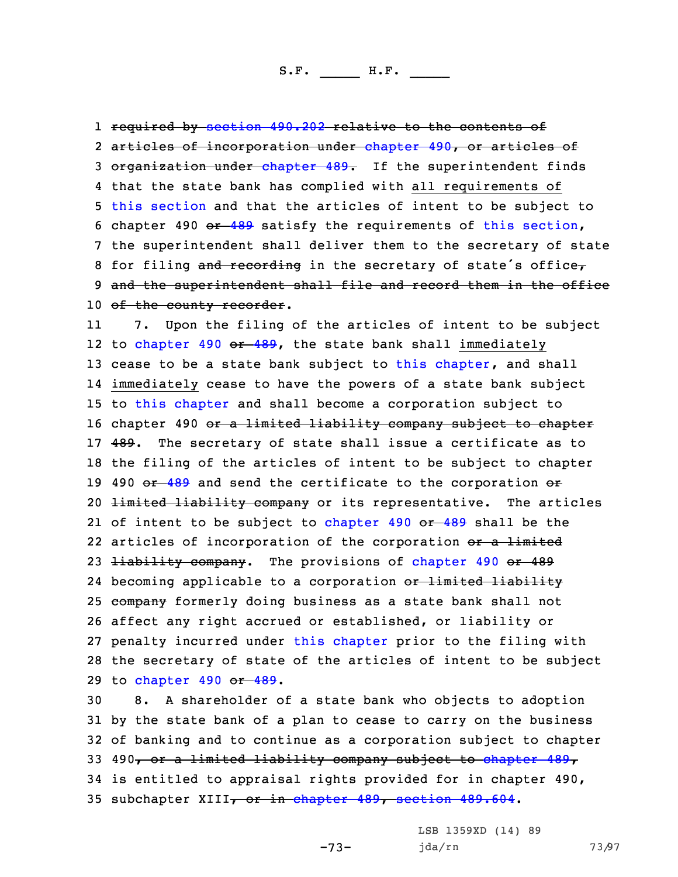1 required by [section](https://www.legis.iowa.gov/docs/code/2021/490.202.pdf) 490.202 relative to the contents of 2 articles of incorporation under [chapter](https://www.legis.iowa.gov/docs/code/2021/490.pdf) 490, or articles of 3 organization under [chapter](https://www.legis.iowa.gov/docs/code/2021/489.pdf) 489. If the superintendent finds 4 that the state bank has complied with all requirements of 5 this [section](https://www.legis.iowa.gov/docs/code/2021/524.1309.pdf) and that the articles of intent to be subject to 6 chapter 490  $-489$  $-489$  satisfy the requirements of this [section](https://www.legis.iowa.gov/docs/code/2021/524.1309.pdf), 7 the superintendent shall deliver them to the secretary of state 8 for filing and recording in the secretary of state's office $\tau$ 9 and the superintendent shall file and record them in the office 10 of the county recorder.

11 7. Upon the filing of the articles of intent to be subject 12 to [chapter](https://www.legis.iowa.gov/docs/code/2021/490.pdf) 490 <del>or [489](https://www.legis.iowa.gov/docs/code/2021/489.pdf)</del>, the state bank shall immediately 13 cease to be a state bank subject to this [chapter](https://www.legis.iowa.gov/docs/code/2021/524.pdf), and shall 14 immediately cease to have the powers of <sup>a</sup> state bank subject 15 to this [chapter](https://www.legis.iowa.gov/docs/code/2021/524.pdf) and shall become <sup>a</sup> corporation subject to 16 chapter 490 or a limited liability company subject to chapter 17 489. The secretary of state shall issue a certificate as to 18 the filing of the articles of intent to be subject to chapter 19 490 or [489](https://www.legis.iowa.gov/docs/code/2021/489.pdf) and send the certificate to the corporation or 20 <del>limited liability company</del> or its representative. The articles 21 of intent to be subject to [chapter](https://www.legis.iowa.gov/docs/code/2021/490.pdf) 490 <del>or [489](https://www.legis.iowa.gov/docs/code/2021/489.pdf)</del> shall be the 22 articles of incorporation of the corporation <del>or a limited</del> 23 <del>liability company</del>. The provisions of [chapter](https://www.legis.iowa.gov/docs/code/2021/490.pdf) 490 or 489 24 becoming applicable to a corporation <del>or limited liability</del> 25 company formerly doing business as a state bank shall not 26 affect any right accrued or established, or liability or 27 penalty incurred under this [chapter](https://www.legis.iowa.gov/docs/code/2021/524.pdf) prior to the filing with 28 the secretary of state of the articles of intent to be subject 29 to [chapter](https://www.legis.iowa.gov/docs/code/2021/490.pdf) 490 or [489](https://www.legis.iowa.gov/docs/code/2021/489.pdf).

 8. <sup>A</sup> shareholder of <sup>a</sup> state bank who objects to adoption by the state bank of <sup>a</sup> plan to cease to carry on the business of banking and to continue as <sup>a</sup> corporation subject to chapter 33 490, or a limited liability company subject to [chapter](https://www.legis.iowa.gov/docs/code/2021/489.pdf) 489, is entitled to appraisal rights provided for in chapter 490, 35 sub[chapter](https://www.legis.iowa.gov/docs/code/2021/489.pdf) XIII, or in chapter 489, [section](https://www.legis.iowa.gov/docs/code/2021/489.604.pdf) 489.604.

-73-

LSB 1359XD (14) 89 jda/rn 73/97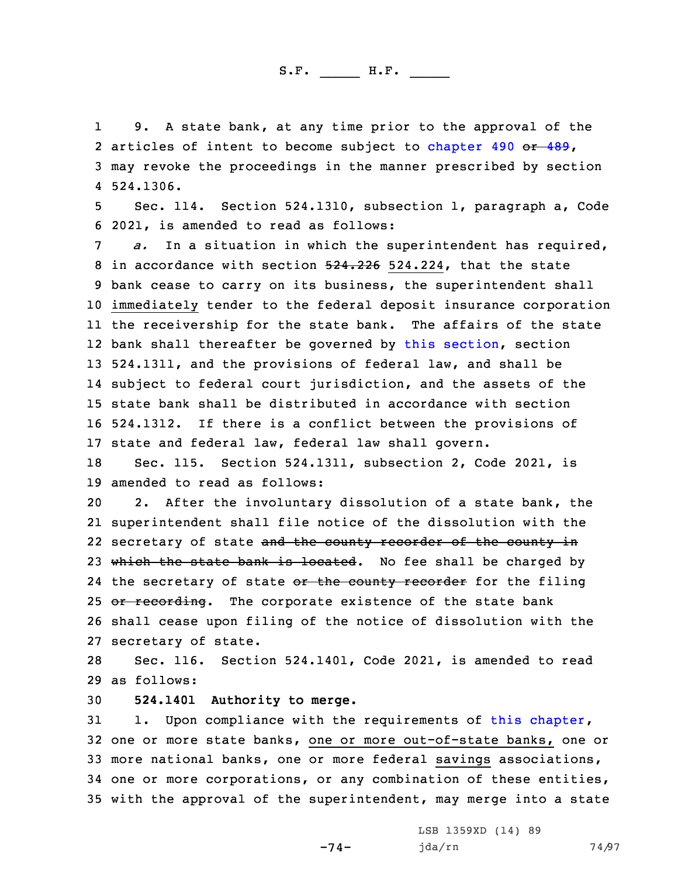1 9. <sup>A</sup> state bank, at any time prior to the approval of the 2 articles of intent to become subject to [chapter](https://www.legis.iowa.gov/docs/code/2021/490.pdf) 490 or [489](https://www.legis.iowa.gov/docs/code/2021/489.pdf), 3 may revoke the proceedings in the manner prescribed by section 4 524.1306.

5 Sec. 114. Section 524.1310, subsection 1, paragraph a, Code 6 2021, is amended to read as follows:

 *a.* In <sup>a</sup> situation in which the superintendent has required, 8 in accordance with section 524.226 524.224, that the state bank cease to carry on its business, the superintendent shall immediately tender to the federal deposit insurance corporation the receivership for the state bank. The affairs of the state bank shall thereafter be governed by this [section](https://www.legis.iowa.gov/docs/code/2021/524.1310.pdf), section 524.1311, and the provisions of federal law, and shall be subject to federal court jurisdiction, and the assets of the state bank shall be distributed in accordance with section 524.1312. If there is <sup>a</sup> conflict between the provisions of state and federal law, federal law shall govern.

18 Sec. 115. Section 524.1311, subsection 2, Code 2021, is 19 amended to read as follows:

20 2. After the involuntary dissolution of <sup>a</sup> state bank, the 21 superintendent shall file notice of the dissolution with the 22 secretary of state <del>and the county recorder of the county in</del> 23 which the state bank is located. No fee shall be charged by 24 the secretary of state <del>or the county recorder</del> for the filing 25 or recording. The corporate existence of the state bank 26 shall cease upon filing of the notice of dissolution with the 27 secretary of state.

28 Sec. 116. Section 524.1401, Code 2021, is amended to read 29 as follows:

30 **524.1401 Authority to merge.**

 1. Upon compliance with the requirements of this [chapter](https://www.legis.iowa.gov/docs/code/2021/524.pdf), one or more state banks, one or more out-of-state banks, one or more national banks, one or more federal savings associations, one or more corporations, or any combination of these entities, with the approval of the superintendent, may merge into <sup>a</sup> state

-74-

LSB 1359XD (14) 89 jda/rn 74/97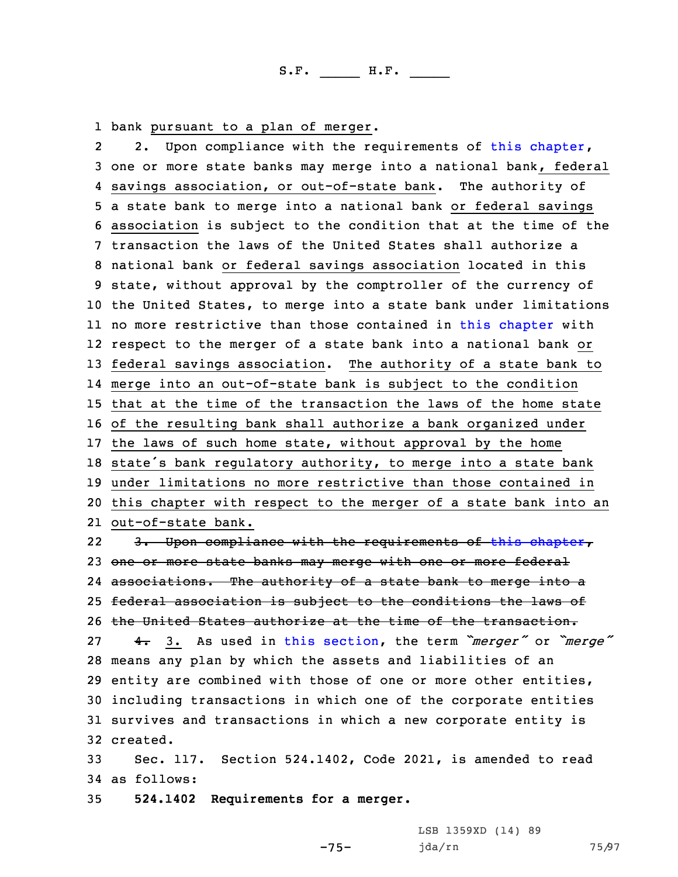1 bank pursuant to <sup>a</sup> plan of merger.

22. Upon compliance with the requirements of this [chapter](https://www.legis.iowa.gov/docs/code/2021/524.pdf), one or more state banks may merge into <sup>a</sup> national bank, federal savings association, or out-of-state bank. The authority of <sup>a</sup> state bank to merge into <sup>a</sup> national bank or federal savings association is subject to the condition that at the time of the transaction the laws of the United States shall authorize <sup>a</sup> national bank or federal savings association located in this state, without approval by the comptroller of the currency of the United States, to merge into <sup>a</sup> state bank under limitations no more restrictive than those contained in this [chapter](https://www.legis.iowa.gov/docs/code/2021/524.pdf) with respect to the merger of <sup>a</sup> state bank into <sup>a</sup> national bank or federal savings association. The authority of <sup>a</sup> state bank to merge into an out-of-state bank is subject to the condition that at the time of the transaction the laws of the home state of the resulting bank shall authorize <sup>a</sup> bank organized under the laws of such home state, without approval by the home state's bank regulatory authority, to merge into <sup>a</sup> state bank under limitations no more restrictive than those contained in this chapter with respect to the merger of <sup>a</sup> state bank into an out-of-state bank.

22 3. Upon compliance with the requirements of this [chapter](https://www.legis.iowa.gov/docs/code/2021/524.pdf), 23 one or more state banks may merge with one or more federal associations. The authority of <sup>a</sup> state bank to merge into <sup>a</sup> federal association is subject to the conditions the laws of the United States authorize at the time of the transaction. 4. 3. As used in this [section](https://www.legis.iowa.gov/docs/code/2021/524.1401.pdf), the term *"merger"* or *"merge"* means any plan by which the assets and liabilities of an entity are combined with those of one or more other entities, including transactions in which one of the corporate entities survives and transactions in which <sup>a</sup> new corporate entity is 32 created.

33 Sec. 117. Section 524.1402, Code 2021, is amended to read 34 as follows:

-75-

35 **524.1402 Requirements for <sup>a</sup> merger.**

LSB 1359XD (14) 89 jda/rn 75/97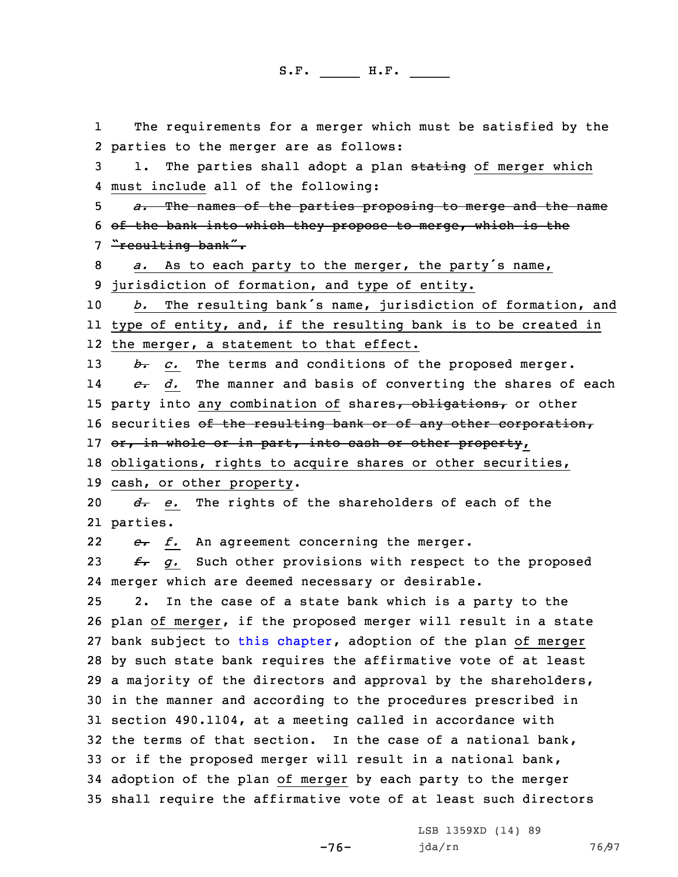1 The requirements for <sup>a</sup> merger which must be satisfied by the parties to the merger are as follows: 3 1. The parties shall adopt a plan stating of merger which must include all of the following: *a.* The names of the parties proposing to merge and the name of the bank into which they propose to merge, which is the 7 "resulting bank". *a.* As to each party to the merger, the party's name, jurisdiction of formation, and type of entity. *b.* The resulting bank's name, jurisdiction of formation, and type of entity, and, if the resulting bank is to be created in the merger, <sup>a</sup> statement to that effect. *b. c.* The terms and conditions of the proposed merger. 14 *c. d.* The manner and basis of converting the shares of each 15 party into any combination of shares, obligations, or other 16 securities of the resulting bank or of any other corporation, 17 or, in whole or in part, into cash or other property, obligations, rights to acquire shares or other securities, cash, or other property. *d. e.* The rights of the shareholders of each of the 21 parties. 22 *e. f.* An agreement concerning the merger. *f. g.* Such other provisions with respect to the proposed merger which are deemed necessary or desirable. 2. In the case of <sup>a</sup> state bank which is <sup>a</sup> party to the plan of merger, if the proposed merger will result in <sup>a</sup> state 27 bank subject to this [chapter](https://www.legis.iowa.gov/docs/code/2021/524.pdf), adoption of the plan of merger by such state bank requires the affirmative vote of at least <sup>a</sup> majority of the directors and approval by the shareholders, in the manner and according to the procedures prescribed in section 490.1104, at <sup>a</sup> meeting called in accordance with the terms of that section. In the case of <sup>a</sup> national bank, or if the proposed merger will result in <sup>a</sup> national bank, adoption of the plan of merger by each party to the merger shall require the affirmative vote of at least such directors

-76-

LSB 1359XD (14) 89 jda/rn 76/97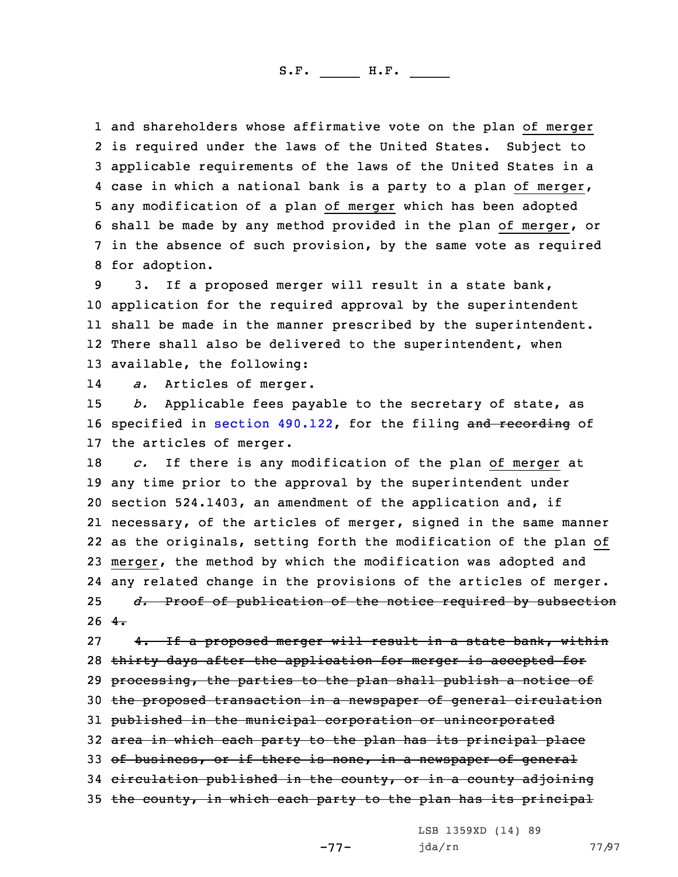and shareholders whose affirmative vote on the plan of merger is required under the laws of the United States. Subject to applicable requirements of the laws of the United States in <sup>a</sup> case in which <sup>a</sup> national bank is <sup>a</sup> party to <sup>a</sup> plan of merger, any modification of <sup>a</sup> plan of merger which has been adopted shall be made by any method provided in the plan of merger, or in the absence of such provision, by the same vote as required for adoption.

 3. If <sup>a</sup> proposed merger will result in <sup>a</sup> state bank, application for the required approval by the superintendent shall be made in the manner prescribed by the superintendent. 12 There shall also be delivered to the superintendent, when available, the following:

14*a.* Articles of merger.

15 *b.* Applicable fees payable to the secretary of state, as 16 specified in section [490.122](https://www.legis.iowa.gov/docs/code/2021/490.122.pdf), for the filing and recording of 17 the articles of merger.

 *c.* If there is any modification of the plan of merger at any time prior to the approval by the superintendent under section 524.1403, an amendment of the application and, if necessary, of the articles of merger, signed in the same manner as the originals, setting forth the modification of the plan of merger, the method by which the modification was adopted and any related change in the provisions of the articles of merger. *d.* Proof of publication of the notice required by subsection  $26 + \frac{4}{10}$ 

27 4. If a proposed merger will result in a state bank, within 28 thirty days after the application for merger is accepted for 29 processing, the parties to the plan shall publish a notice of 30 the proposed transaction in <sup>a</sup> newspaper of general circulation 31 published in the municipal corporation or unincorporated 32 area in which each party to the plan has its principal place 33 of business, or if there is none, in a newspaper of general 34 circulation published in the county, or in <sup>a</sup> county adjoining 35 the county, in which each party to the plan has its principal

LSB 1359XD (14) 89

-77-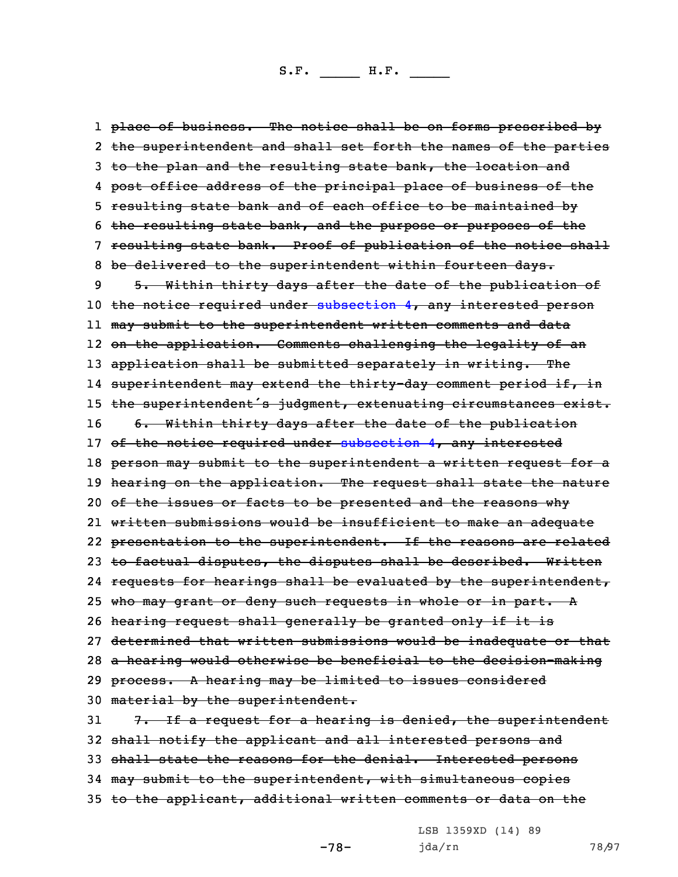1 <del>place of business. The notice shall be on forms prescribed by</del> 2 <del>the superintendent and shall set forth the names of the parties</del> 3 to the plan and the resulting state bank, the location and 4 <del>post office address of the principal place of business of the</del> 5 resulting state bank and of each office to be maintained by 6 the resulting state bank, and the purpose or purposes of the 7 resulting state bank. Proof of publication of the notice shall 8 be delivered to the superintendent within fourteen days. 9 5. Within thirty days after the date of the publication of 10 the notice required under [subsection](https://www.legis.iowa.gov/docs/code/2021/524.1402.pdf) 4, any interested person 11 may submit to the superintendent written comments and data 12 on the application. Comments challenging the legality of an 13 application shall be submitted separately in writing. The 14 superintendent may extend the thirty-day comment period if, in 15 the superintendent's judgment, extenuating circumstances exist. 16 6. Within thirty days after the date of the publication 17 of the notice required under [subsection](https://www.legis.iowa.gov/docs/code/2021/524.1402.pdf) 4, any interested 18 person may submit to the superintendent a written request for a 19 hearing on the application. The request shall state the nature 20 of the issues or facts to be presented and the reasons why 21 written submissions would be insufficient to make an adequate 22 <del>presentation to the superintendent. If the reasons are related</del> 23 to factual disputes, the disputes shall be described. Written 24 requests for hearings shall be evaluated by the superintendent, 25 who may grant or deny such requests in whole or in part. A 26 hearing request shall generally be granted only if it is 27 determined that written submissions would be inadequate or that 28 <sup>a</sup> hearing would otherwise be beneficial to the decision-making 29 process. A hearing may be limited to issues considered 30 material by the superintendent. 31  $7.$  If a request for a hearing is denied, the superintendent 32 shall notify the applicant and all interested persons and 33 shall state the reasons for the denial. Interested persons 34 may submit to the superintendent, with simultaneous copies 35 to the applicant, additional written comments or data on the

LSB 1359XD (14) 89

-78-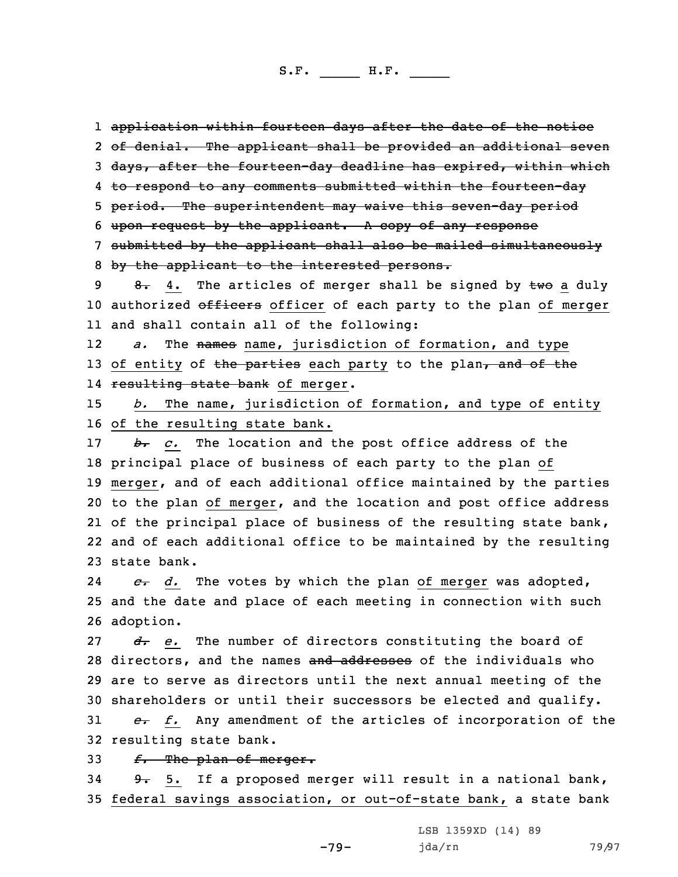1 application within fourteen days after the date of the notice 2 of denial. The applicant shall be provided an additional seven 3 days, after the fourteen-day deadline has expired, within which 4 <del>to respond to any comments submitted within the fourteen-day</del> 5 period. The superintendent may waive this seven-day period 6 upon request by the applicant. <sup>A</sup> copy of any response 7 submitted by the applicant shall also be mailed simultaneously 8 by the applicant to the interested persons. 9 8. 4. The articles of merger shall be signed by  $\pm w\sigma$  a duly 10 authorized officers officer of each party to the plan of merger 11 and shall contain all of the following: 12 *a.* The names name, jurisdiction of formation, and type 13 of entity of the parties each party to the plan, and of the 14 <del>resulting state bank</del> of merger. 15 *b.* The name, jurisdiction of formation, and type of entity

16 of the resulting state bank.

*b. c.* The location and the post office address of the principal place of business of each party to the plan of merger, and of each additional office maintained by the parties to the plan of merger, and the location and post office address 21 of the principal place of business of the resulting state bank, and of each additional office to be maintained by the resulting state bank.

24 *c. d.* The votes by which the plan of merger was adopted, 25 and the date and place of each meeting in connection with such 26 adoption.

*d. e.* The number of directors constituting the board of 28 directors, and the names and addresses of the individuals who are to serve as directors until the next annual meeting of the shareholders or until their successors be elected and qualify.

31 *e. f.* Any amendment of the articles of incorporation of the 32 resulting state bank.

33 *f.* The plan of merger.

34 9. 5. If a proposed merger will result in a national bank, 35 federal savings association, or out-of-state bank, a state bank

-79-

LSB 1359XD (14) 89 jda/rn 79/97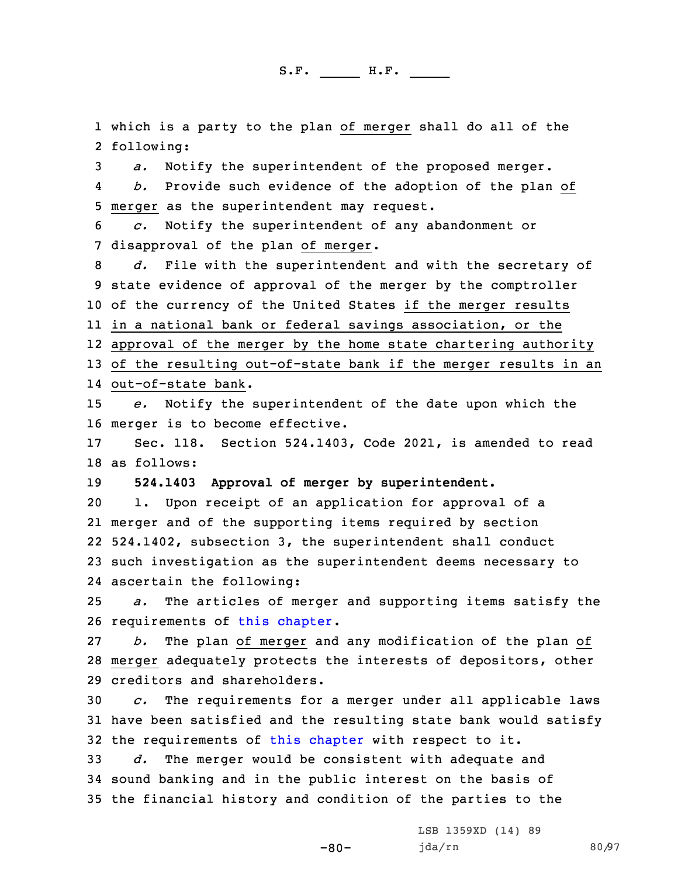1 which is <sup>a</sup> party to the plan of merger shall do all of the 2 following:

3 *a.* Notify the superintendent of the proposed merger.

4 *b.* Provide such evidence of the adoption of the plan of 5 merger as the superintendent may request.

6 *c.* Notify the superintendent of any abandonment or 7 disapproval of the plan of merger.

 *d.* File with the superintendent and with the secretary of state evidence of approval of the merger by the comptroller of the currency of the United States if the merger results in <sup>a</sup> national bank or federal savings association, or the approval of the merger by the home state chartering authority of the resulting out-of-state bank if the merger results in an out-of-state bank.

15 *e.* Notify the superintendent of the date upon which the 16 merger is to become effective.

17 Sec. 118. Section 524.1403, Code 2021, is amended to read 18 as follows:

19 **524.1403 Approval of merger by superintendent.**

 1. Upon receipt of an application for approval of <sup>a</sup> merger and of the supporting items required by section 524.1402, subsection 3, the superintendent shall conduct such investigation as the superintendent deems necessary to ascertain the following:

25 *a.* The articles of merger and supporting items satisfy the 26 requirements of this [chapter](https://www.legis.iowa.gov/docs/code/2021/524.pdf).

27 *b.* The plan of merger and any modification of the plan of 28 merger adequately protects the interests of depositors, other 29 creditors and shareholders.

30 *c.* The requirements for <sup>a</sup> merger under all applicable laws 31 have been satisfied and the resulting state bank would satisfy 32 the requirements of this [chapter](https://www.legis.iowa.gov/docs/code/2021/524.pdf) with respect to it.

-80-

33 *d.* The merger would be consistent with adequate and 34 sound banking and in the public interest on the basis of 35 the financial history and condition of the parties to the

> LSB 1359XD (14) 89 jda/rn 80/97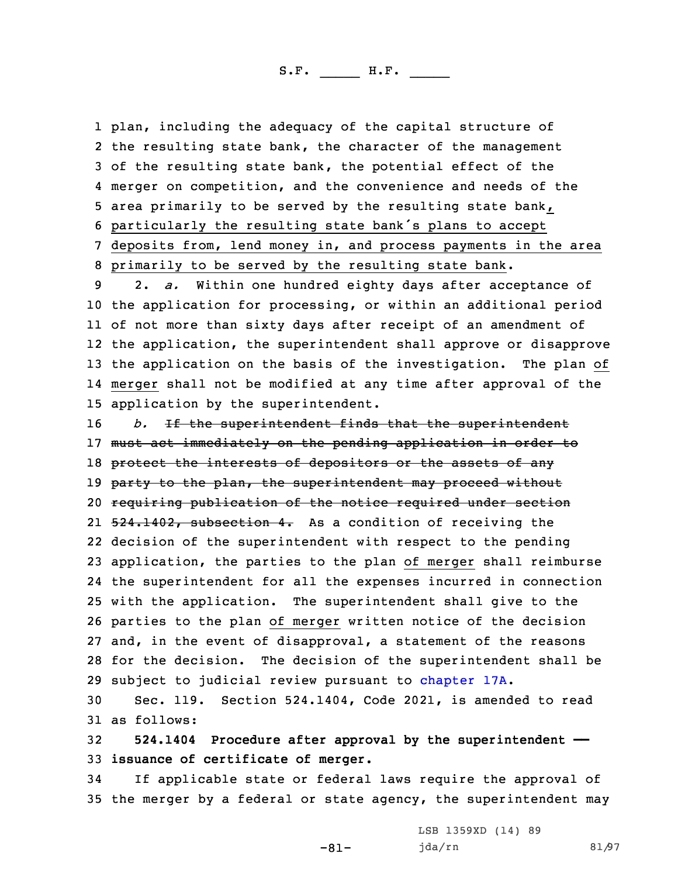plan, including the adequacy of the capital structure of the resulting state bank, the character of the management of the resulting state bank, the potential effect of the merger on competition, and the convenience and needs of the area primarily to be served by the resulting state bank, particularly the resulting state bank's plans to accept deposits from, lend money in, and process payments in the area primarily to be served by the resulting state bank.

 2. *a.* Within one hundred eighty days after acceptance of the application for processing, or within an additional period of not more than sixty days after receipt of an amendment of the application, the superintendent shall approve or disapprove the application on the basis of the investigation. The plan of merger shall not be modified at any time after approval of the application by the superintendent.

*b.* If the superintendent finds that the superintendent 17 must act immediately on the pending application in order to 18 protect the interests of depositors or the assets of any 19 party to the plan, the superintendent may proceed without requiring publication of the notice required under section 21 <del>524.1402, subsection 4.</del> As a condition of receiving the decision of the superintendent with respect to the pending application, the parties to the plan of merger shall reimburse the superintendent for all the expenses incurred in connection with the application. The superintendent shall give to the parties to the plan of merger written notice of the decision and, in the event of disapproval, <sup>a</sup> statement of the reasons for the decision. The decision of the superintendent shall be subject to judicial review pursuant to [chapter](https://www.legis.iowa.gov/docs/code/2021/17A.pdf) 17A.

30 Sec. 119. Section 524.1404, Code 2021, is amended to read 31 as follows:

32 **524.1404 Procedure after approval by the superintendent ——** 33 **issuance of certificate of merger.**

34 If applicable state or federal laws require the approval of 35 the merger by <sup>a</sup> federal or state agency, the superintendent may

-81-

LSB 1359XD (14) 89 jda/rn 81/97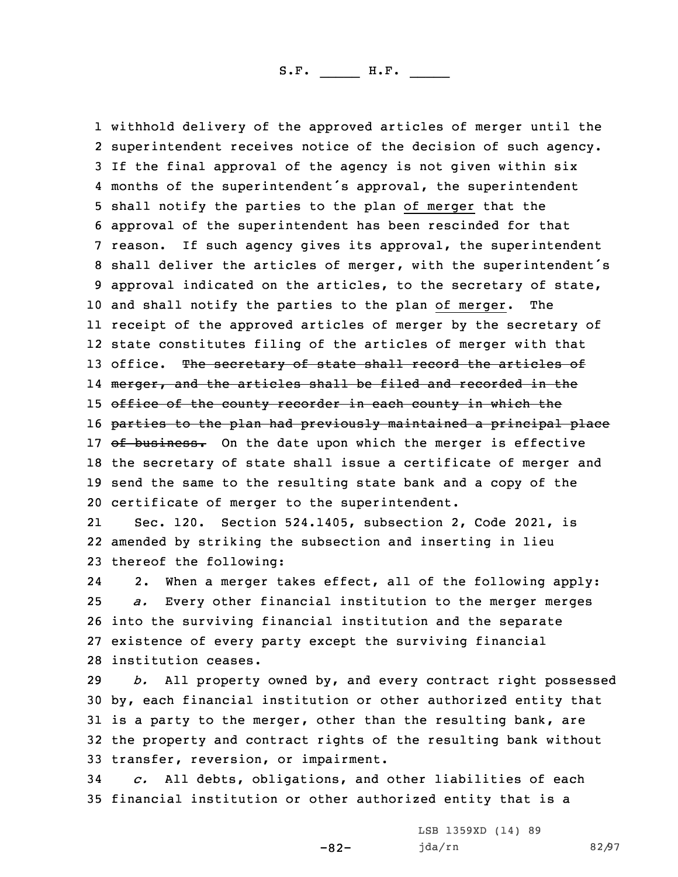withhold delivery of the approved articles of merger until the superintendent receives notice of the decision of such agency. If the final approval of the agency is not given within six months of the superintendent's approval, the superintendent shall notify the parties to the plan of merger that the approval of the superintendent has been rescinded for that reason. If such agency gives its approval, the superintendent shall deliver the articles of merger, with the superintendent's approval indicated on the articles, to the secretary of state, and shall notify the parties to the plan of merger. The receipt of the approved articles of merger by the secretary of state constitutes filing of the articles of merger with that 13 office. The secretary of state shall record the articles of l4 <del>merger, and the articles shall be filed and recorded in the</del> 15 office of the county recorder in each county in which the 16 parties to the plan had previously maintained a principal place 17 of business. On the date upon which the merger is effective the secretary of state shall issue <sup>a</sup> certificate of merger and send the same to the resulting state bank and <sup>a</sup> copy of the certificate of merger to the superintendent.

21 Sec. 120. Section 524.1405, subsection 2, Code 2021, is 22 amended by striking the subsection and inserting in lieu 23 thereof the following:

24 2. When <sup>a</sup> merger takes effect, all of the following apply: *a.* Every other financial institution to the merger merges into the surviving financial institution and the separate existence of every party except the surviving financial institution ceases.

 *b.* All property owned by, and every contract right possessed by, each financial institution or other authorized entity that 31 is a party to the merger, other than the resulting bank, are the property and contract rights of the resulting bank without transfer, reversion, or impairment.

34 *c.* All debts, obligations, and other liabilities of each 35 financial institution or other authorized entity that is <sup>a</sup>

-82-

LSB 1359XD (14) 89 jda/rn 82/97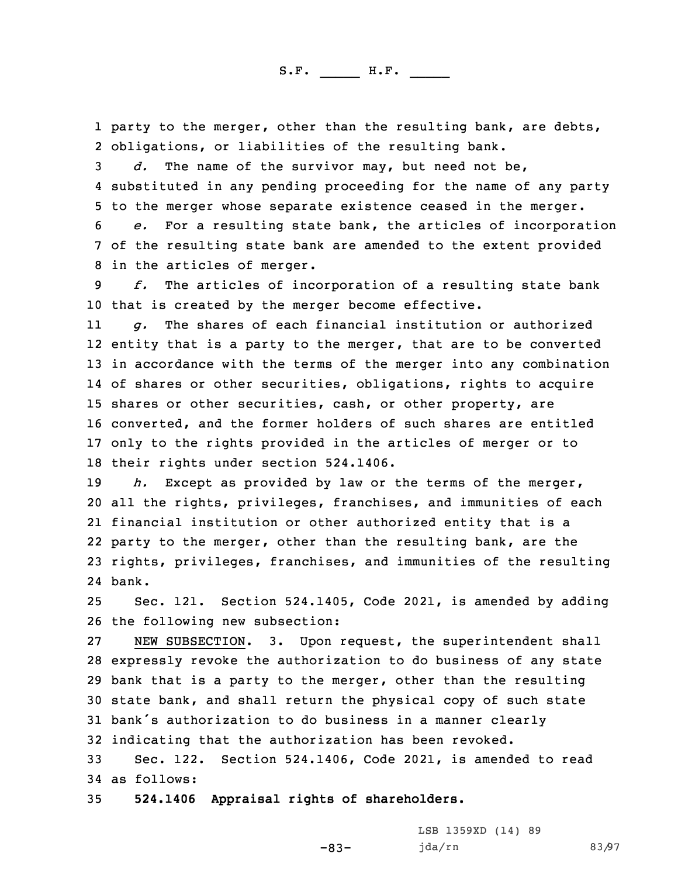1 party to the merger, other than the resulting bank, are debts, 2 obligations, or liabilities of the resulting bank.

3 *d.* The name of the survivor may, but need not be, 4 substituted in any pending proceeding for the name of any party 5 to the merger whose separate existence ceased in the merger.

6 *e.* For <sup>a</sup> resulting state bank, the articles of incorporation 7 of the resulting state bank are amended to the extent provided 8 in the articles of merger.

9 *f.* The articles of incorporation of <sup>a</sup> resulting state bank 10 that is created by the merger become effective.

11 *g.* The shares of each financial institution or authorized entity that is <sup>a</sup> party to the merger, that are to be converted in accordance with the terms of the merger into any combination of shares or other securities, obligations, rights to acquire shares or other securities, cash, or other property, are converted, and the former holders of such shares are entitled only to the rights provided in the articles of merger or to their rights under section 524.1406.

 *h.* Except as provided by law or the terms of the merger, all the rights, privileges, franchises, and immunities of each financial institution or other authorized entity that is <sup>a</sup> party to the merger, other than the resulting bank, are the rights, privileges, franchises, and immunities of the resulting 24 bank.

25 Sec. 121. Section 524.1405, Code 2021, is amended by adding 26 the following new subsection:

 NEW SUBSECTION. 3. Upon request, the superintendent shall expressly revoke the authorization to do business of any state bank that is <sup>a</sup> party to the merger, other than the resulting state bank, and shall return the physical copy of such state bank's authorization to do business in <sup>a</sup> manner clearly indicating that the authorization has been revoked.

33 Sec. 122. Section 524.1406, Code 2021, is amended to read 34 as follows:

-83-

35 **524.1406 Appraisal rights of shareholders.**

LSB 1359XD (14) 89 jda/rn 83/97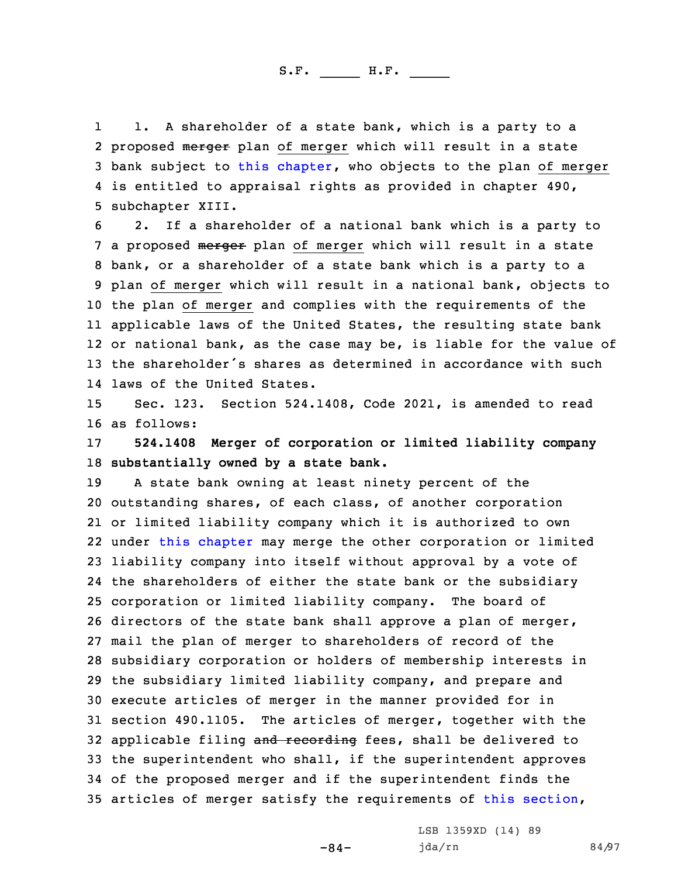1 1. <sup>A</sup> shareholder of <sup>a</sup> state bank, which is <sup>a</sup> party to <sup>a</sup> 2 proposed merger plan of merger which will result in a state 3 bank subject to this [chapter](https://www.legis.iowa.gov/docs/code/2021/524.pdf), who objects to the plan of merger 4 is entitled to appraisal rights as provided in chapter 490, 5 subchapter XIII.

 2. If <sup>a</sup> shareholder of <sup>a</sup> national bank which is <sup>a</sup> party to 7 a proposed merger plan of merger which will result in a state bank, or <sup>a</sup> shareholder of <sup>a</sup> state bank which is <sup>a</sup> party to <sup>a</sup> plan of merger which will result in <sup>a</sup> national bank, objects to the plan of merger and complies with the requirements of the applicable laws of the United States, the resulting state bank or national bank, as the case may be, is liable for the value of the shareholder's shares as determined in accordance with such laws of the United States.

15 Sec. 123. Section 524.1408, Code 2021, is amended to read 16 as follows:

17 **524.1408 Merger of corporation or limited liability company** 18 **substantially owned by <sup>a</sup> state bank.**

 <sup>A</sup> state bank owning at least ninety percent of the outstanding shares, of each class, of another corporation or limited liability company which it is authorized to own under this [chapter](https://www.legis.iowa.gov/docs/code/2021/524.pdf) may merge the other corporation or limited liability company into itself without approval by <sup>a</sup> vote of the shareholders of either the state bank or the subsidiary corporation or limited liability company. The board of directors of the state bank shall approve <sup>a</sup> plan of merger, mail the plan of merger to shareholders of record of the subsidiary corporation or holders of membership interests in the subsidiary limited liability company, and prepare and execute articles of merger in the manner provided for in section 490.1105. The articles of merger, together with the 32 applicable filing and recording fees, shall be delivered to the superintendent who shall, if the superintendent approves of the proposed merger and if the superintendent finds the articles of merger satisfy the requirements of this [section](https://www.legis.iowa.gov/docs/code/2021/524.1408.pdf),

-84-

LSB 1359XD (14) 89 jda/rn 84/97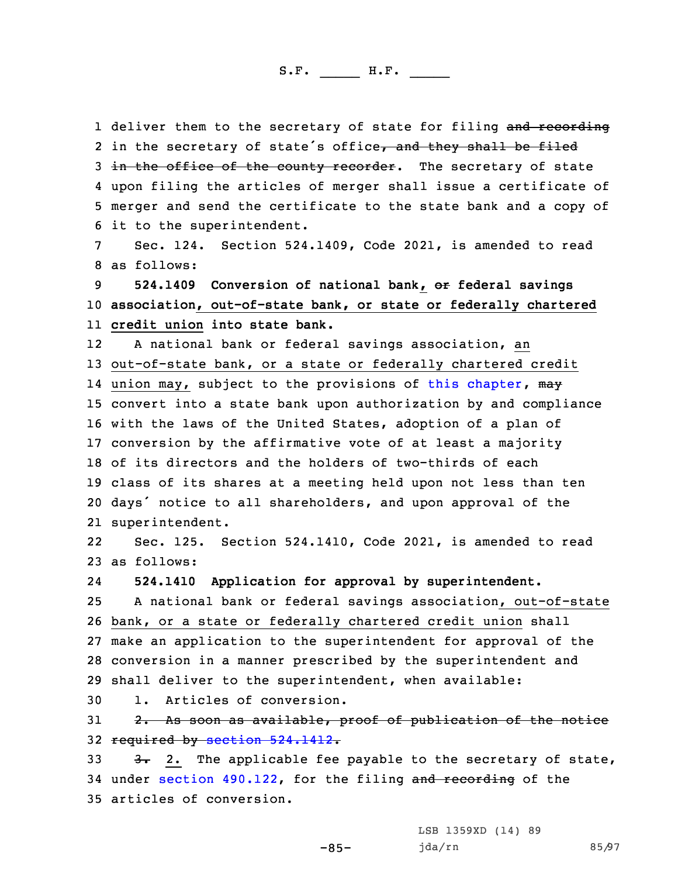1 deliver them to the secretary of state for filing and recording 2 in the secretary of state's office<del>, and they shall be filed</del> 3 in the office of the county recorder. The secretary of state 4 upon filing the articles of merger shall issue <sup>a</sup> certificate of 5 merger and send the certificate to the state bank and <sup>a</sup> copy of 6 it to the superintendent.

7 Sec. 124. Section 524.1409, Code 2021, is amended to read 8 as follows:

9 **524.1409 Conversion of national bank, or federal savings** 10 **association, out-of-state bank, or state or federally chartered** 11 **credit union into state bank.**

12 <sup>A</sup> national bank or federal savings association, an out-of-state bank, or <sup>a</sup> state or federally chartered credit 14 union may, subject to the provisions of this [chapter](https://www.legis.iowa.gov/docs/code/2021/524.pdf), <del>may</del> convert into <sup>a</sup> state bank upon authorization by and compliance with the laws of the United States, adoption of <sup>a</sup> plan of conversion by the affirmative vote of at least <sup>a</sup> majority of its directors and the holders of two-thirds of each class of its shares at <sup>a</sup> meeting held upon not less than ten days' notice to all shareholders, and upon approval of the superintendent.

22 Sec. 125. Section 524.1410, Code 2021, is amended to read 23 as follows:

24**524.1410 Application for approval by superintendent.**

 <sup>A</sup> national bank or federal savings association, out-of-state bank, or <sup>a</sup> state or federally chartered credit union shall make an application to the superintendent for approval of the conversion in <sup>a</sup> manner prescribed by the superintendent and shall deliver to the superintendent, when available:

30 1. Articles of conversion.

31 2. As soon as available, proof of publication of the notice 32 required by section [524.1412](https://www.legis.iowa.gov/docs/code/2021/524.1412.pdf).

33  $3.3$   $3.2$ . The applicable fee payable to the secretary of state, 34 under section [490.122](https://www.legis.iowa.gov/docs/code/2021/490.122.pdf), for the filing and recording of the 35 articles of conversion.

-85-

LSB 1359XD (14) 89 jda/rn 85/97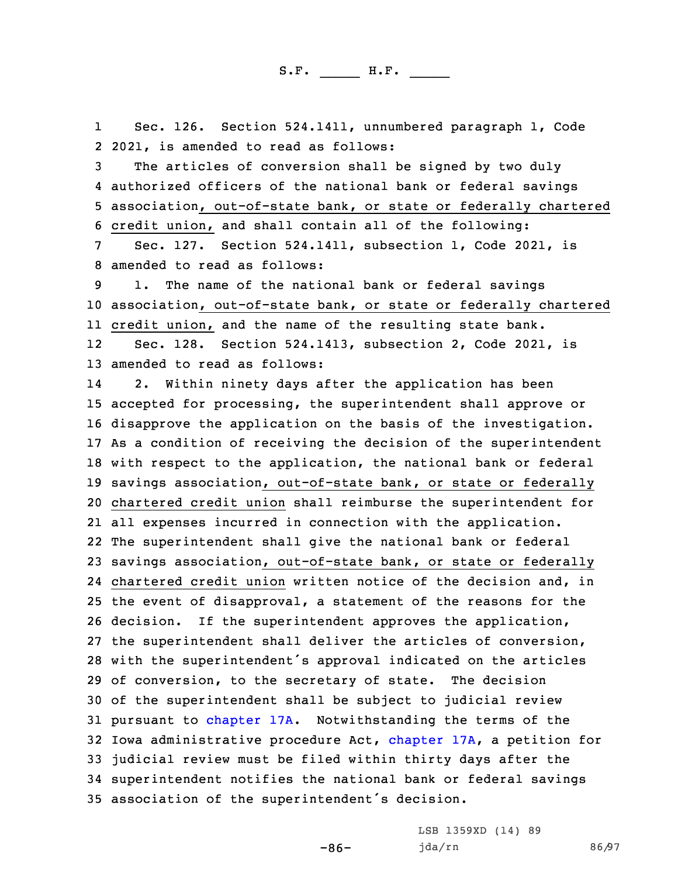1 Sec. 126. Section 524.1411, unnumbered paragraph 1, Code 2 2021, is amended to read as follows:

 The articles of conversion shall be signed by two duly authorized officers of the national bank or federal savings association, out-of-state bank, or state or federally chartered credit union, and shall contain all of the following:

7 Sec. 127. Section 524.1411, subsection 1, Code 2021, is 8 amended to read as follows:

9 1. The name of the national bank or federal savings 10 association, out-of-state bank, or state or federally chartered 11 credit union, and the name of the resulting state bank.

12 Sec. 128. Section 524.1413, subsection 2, Code 2021, is 13 amended to read as follows:

14 2. Within ninety days after the application has been accepted for processing, the superintendent shall approve or disapprove the application on the basis of the investigation. As <sup>a</sup> condition of receiving the decision of the superintendent with respect to the application, the national bank or federal savings association, out-of-state bank, or state or federally chartered credit union shall reimburse the superintendent for all expenses incurred in connection with the application. The superintendent shall give the national bank or federal savings association, out-of-state bank, or state or federally chartered credit union written notice of the decision and, in the event of disapproval, <sup>a</sup> statement of the reasons for the decision. If the superintendent approves the application, the superintendent shall deliver the articles of conversion, with the superintendent's approval indicated on the articles of conversion, to the secretary of state. The decision of the superintendent shall be subject to judicial review pursuant to [chapter](https://www.legis.iowa.gov/docs/code/2021/17A.pdf) 17A. Notwithstanding the terms of the Iowa administrative procedure Act, [chapter](https://www.legis.iowa.gov/docs/code/2021/17A.pdf) 17A, <sup>a</sup> petition for judicial review must be filed within thirty days after the superintendent notifies the national bank or federal savings association of the superintendent's decision.

-86-

LSB 1359XD (14) 89 jda/rn 86/97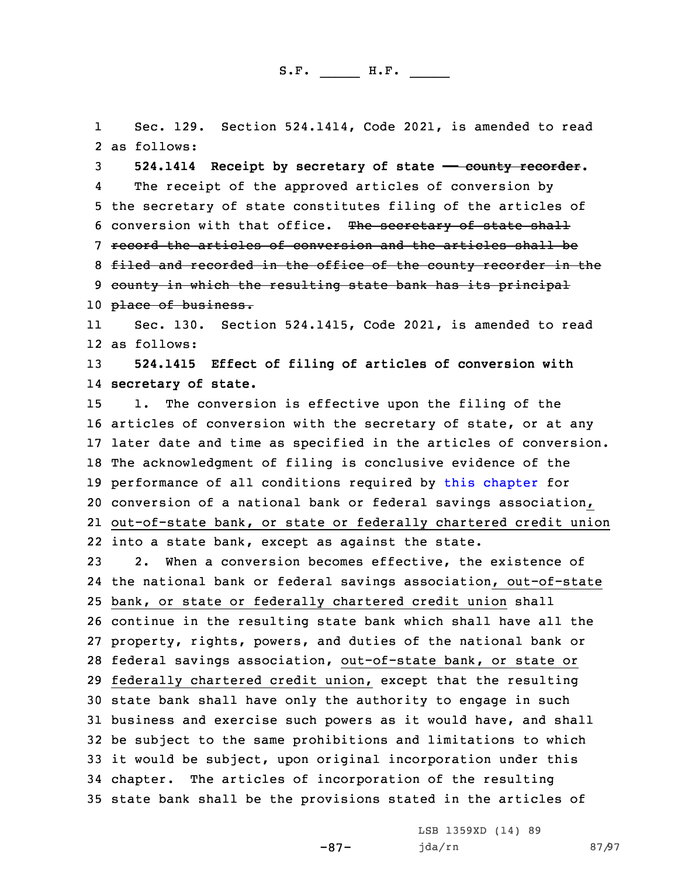1 Sec. 129. Section 524.1414, Code 2021, is amended to read 2 as follows:

3 **524.1414 Receipt by secretary of state —— county recorder.** 4 The receipt of the approved articles of conversion by 5 the secretary of state constitutes filing of the articles of 6 conversion with that office. The secretary of state shall 7 record the articles of conversion and the articles shall be 8 filed and recorded in the office of the county recorder in the 9 county in which the resulting state bank has its principal 10 place of business.

11 Sec. 130. Section 524.1415, Code 2021, is amended to read 12 as follows:

13 **524.1415 Effect of filing of articles of conversion with** 14 **secretary of state.**

 1. The conversion is effective upon the filing of the articles of conversion with the secretary of state, or at any later date and time as specified in the articles of conversion. The acknowledgment of filing is conclusive evidence of the performance of all conditions required by this [chapter](https://www.legis.iowa.gov/docs/code/2021/524.pdf) for conversion of <sup>a</sup> national bank or federal savings association, out-of-state bank, or state or federally chartered credit union into <sup>a</sup> state bank, except as against the state.

 2. When <sup>a</sup> conversion becomes effective, the existence of the national bank or federal savings association, out-of-state bank, or state or federally chartered credit union shall continue in the resulting state bank which shall have all the property, rights, powers, and duties of the national bank or federal savings association, out-of-state bank, or state or federally chartered credit union, except that the resulting state bank shall have only the authority to engage in such business and exercise such powers as it would have, and shall be subject to the same prohibitions and limitations to which it would be subject, upon original incorporation under this chapter. The articles of incorporation of the resulting state bank shall be the provisions stated in the articles of

-87-

LSB 1359XD (14) 89 jda/rn 87/97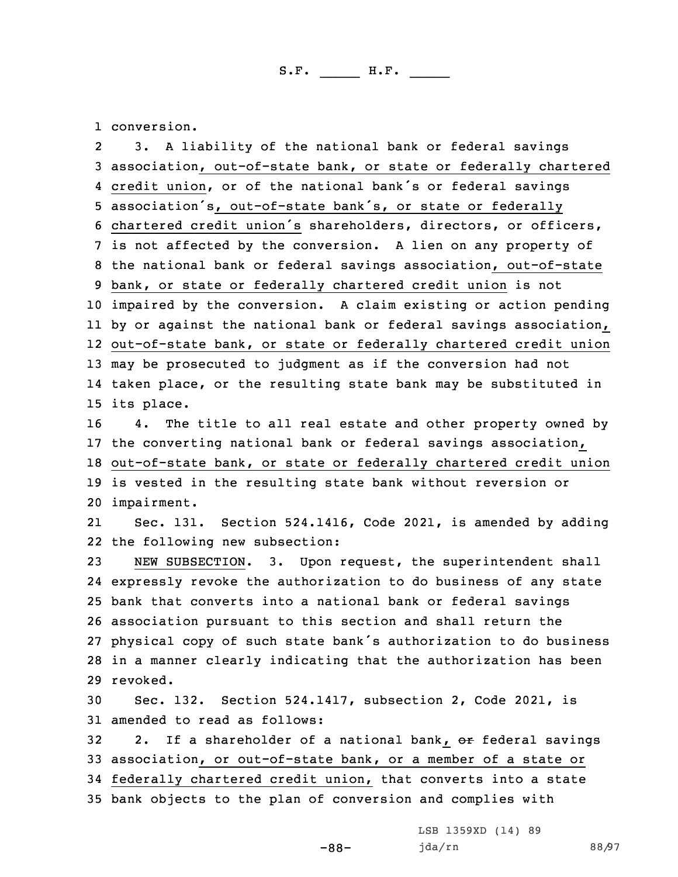1 conversion.

2 3. <sup>A</sup> liability of the national bank or federal savings association, out-of-state bank, or state or federally chartered credit union, or of the national bank's or federal savings association's, out-of-state bank's, or state or federally chartered credit union's shareholders, directors, or officers, is not affected by the conversion. <sup>A</sup> lien on any property of the national bank or federal savings association, out-of-state bank, or state or federally chartered credit union is not impaired by the conversion. <sup>A</sup> claim existing or action pending by or against the national bank or federal savings association, out-of-state bank, or state or federally chartered credit union may be prosecuted to judgment as if the conversion had not taken place, or the resulting state bank may be substituted in its place. 4. The title to all real estate and other property owned by the converting national bank or federal savings association, out-of-state bank, or state or federally chartered credit union is vested in the resulting state bank without reversion or impairment. 21 Sec. 131. Section 524.1416, Code 2021, is amended by adding the following new subsection: NEW SUBSECTION. 3. Upon request, the superintendent shall expressly revoke the authorization to do business of any state bank that converts into <sup>a</sup> national bank or federal savings association pursuant to this section and shall return the physical copy of such state bank's authorization to do business in <sup>a</sup> manner clearly indicating that the authorization has been 29 revoked. Sec. 132. Section 524.1417, subsection 2, Code 2021, is amended to read as follows: 32 2. If a shareholder of a national bank, or federal savings association, or out-of-state bank, or <sup>a</sup> member of <sup>a</sup> state or federally chartered credit union, that converts into <sup>a</sup> state bank objects to the plan of conversion and complies with

-88-

LSB 1359XD (14) 89 jda/rn 88/97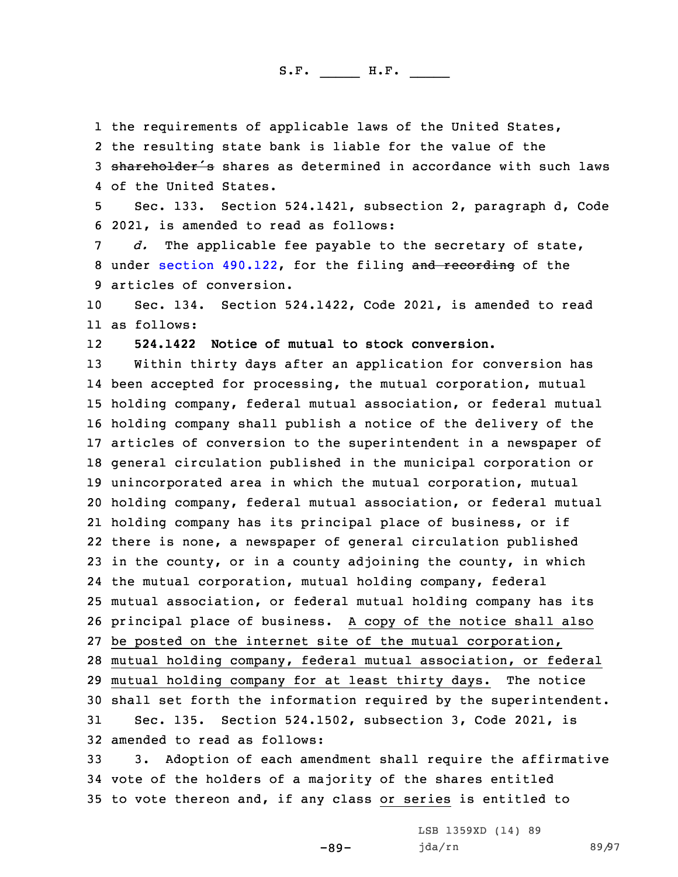the requirements of applicable laws of the United States, the resulting state bank is liable for the value of the 3 shareholder's shares as determined in accordance with such laws of the United States.

5 Sec. 133. Section 524.1421, subsection 2, paragraph d, Code 6 2021, is amended to read as follows:

7 *d.* The applicable fee payable to the secretary of state, 8 under section [490.122](https://www.legis.iowa.gov/docs/code/2021/490.122.pdf), for the filing and recording of the 9 articles of conversion.

10 Sec. 134. Section 524.1422, Code 2021, is amended to read 11 as follows:

12**524.1422 Notice of mutual to stock conversion.**

 Within thirty days after an application for conversion has been accepted for processing, the mutual corporation, mutual holding company, federal mutual association, or federal mutual holding company shall publish <sup>a</sup> notice of the delivery of the articles of conversion to the superintendent in <sup>a</sup> newspaper of general circulation published in the municipal corporation or unincorporated area in which the mutual corporation, mutual holding company, federal mutual association, or federal mutual holding company has its principal place of business, or if there is none, <sup>a</sup> newspaper of general circulation published in the county, or in <sup>a</sup> county adjoining the county, in which the mutual corporation, mutual holding company, federal mutual association, or federal mutual holding company has its principal place of business. <sup>A</sup> copy of the notice shall also be posted on the internet site of the mutual corporation, mutual holding company, federal mutual association, or federal mutual holding company for at least thirty days. The notice shall set forth the information required by the superintendent. Sec. 135. Section 524.1502, subsection 3, Code 2021, is amended to read as follows:

33 3. Adoption of each amendment shall require the affirmative 34 vote of the holders of <sup>a</sup> majority of the shares entitled 35 to vote thereon and, if any class or series is entitled to

-89-

LSB 1359XD (14) 89 jda/rn 89/97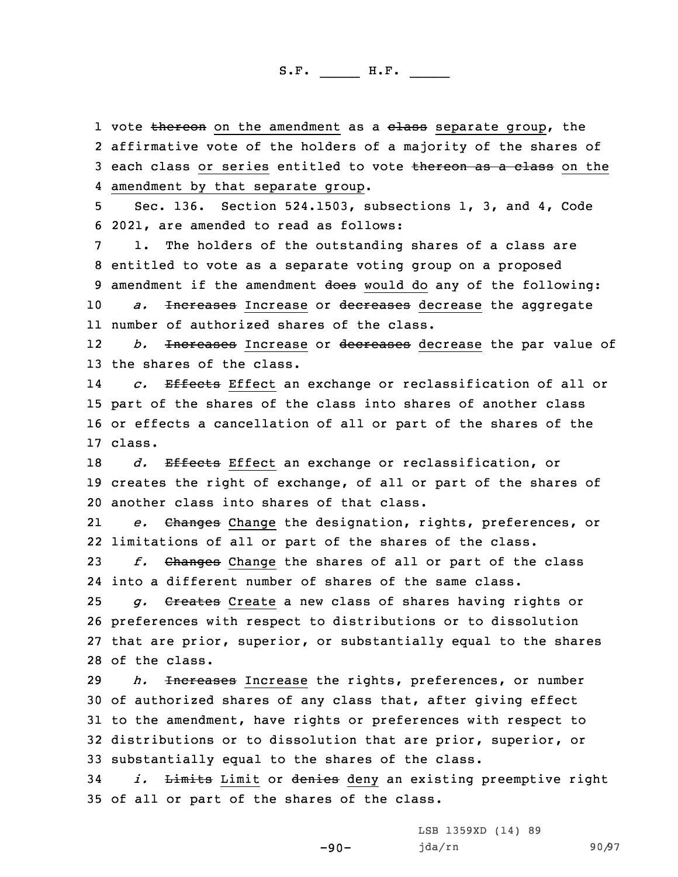1 vote <del>thereon</del> on the amendment as a <del>class</del> separate group, the 2 affirmative vote of the holders of <sup>a</sup> majority of the shares of 3 each class or series entitled to vote thereon as a class on the 4 amendment by that separate group.

5 Sec. 136. Section 524.1503, subsections 1, 3, and 4, Code 6 2021, are amended to read as follows:

 1. The holders of the outstanding shares of <sup>a</sup> class are entitled to vote as <sup>a</sup> separate voting group on <sup>a</sup> proposed 9 amendment if the amendment does would do any of the following: *a.* Increases Increase or decreases decrease the aggregate number of authorized shares of the class.

12 *b.* Increases Increase or decreases decrease the par value of 13 the shares of the class.

14 *c.* Effects Effect an exchange or reclassification of all or 15 part of the shares of the class into shares of another class 16 or effects <sup>a</sup> cancellation of all or part of the shares of the 17 class.

18 *d.* Effects Effect an exchange or reclassification, or 19 creates the right of exchange, of all or part of the shares of 20 another class into shares of that class.

21 *e.* Changes Change the designation, rights, preferences, or 22 limitations of all or part of the shares of the class.

23 *f.* Changes Change the shares of all or part of the class 24 into <sup>a</sup> different number of shares of the same class.

 *g.* Creates Create <sup>a</sup> new class of shares having rights or preferences with respect to distributions or to dissolution that are prior, superior, or substantially equal to the shares of the class.

 *h.* Increases Increase the rights, preferences, or number of authorized shares of any class that, after giving effect to the amendment, have rights or preferences with respect to distributions or to dissolution that are prior, superior, or substantially equal to the shares of the class.

34 *i.* Limits Limit or denies deny an existing preemptive right 35 of all or part of the shares of the class.

-90-

LSB 1359XD (14) 89 jda/rn 90/97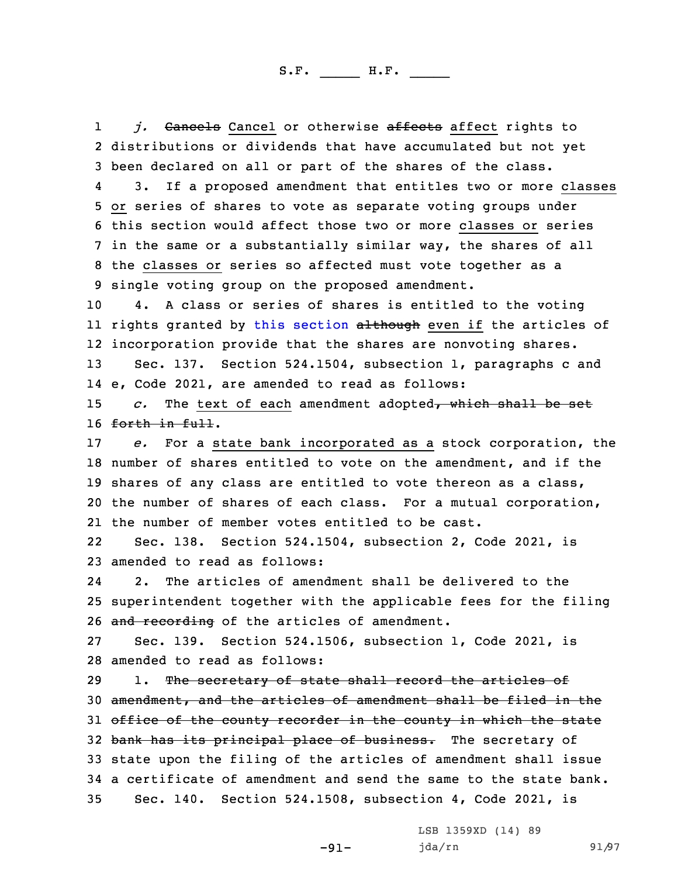1j. Cancels Cancel or otherwise affects affect rights to 2 distributions or dividends that have accumulated but not yet 3 been declared on all or part of the shares of the class.

4 3. If <sup>a</sup> proposed amendment that entitles two or more classes or series of shares to vote as separate voting groups under this section would affect those two or more classes or series in the same or <sup>a</sup> substantially similar way, the shares of all the classes or series so affected must vote together as <sup>a</sup> single voting group on the proposed amendment.

10 4. <sup>A</sup> class or series of shares is entitled to the voting ll rights granted by this [section](https://www.legis.iowa.gov/docs/code/2021/524.1503.pdf) <del>although</del> even if the articles of 12 incorporation provide that the shares are nonvoting shares.

13 Sec. 137. Section 524.1504, subsection 1, paragraphs <sup>c</sup> and 14 e, Code 2021, are amended to read as follows:

15 *c.* The text of each amendment adopted, which shall be set 16 forth in full.

 *e.* For <sup>a</sup> state bank incorporated as <sup>a</sup> stock corporation, the number of shares entitled to vote on the amendment, and if the shares of any class are entitled to vote thereon as <sup>a</sup> class, the number of shares of each class. For <sup>a</sup> mutual corporation, the number of member votes entitled to be cast.

22 Sec. 138. Section 524.1504, subsection 2, Code 2021, is 23 amended to read as follows:

24 2. The articles of amendment shall be delivered to the 25 superintendent together with the applicable fees for the filing 26 and recording of the articles of amendment.

27 Sec. 139. Section 524.1506, subsection 1, Code 2021, is 28 amended to read as follows:

29 1. The secretary of state shall record the articles of 30 amendment, and the articles of amendment shall be filed in the 31 office of the county recorder in the county in which the state 32 bank has its principal place of business. The secretary of 33 state upon the filing of the articles of amendment shall issue 34 <sup>a</sup> certificate of amendment and send the same to the state bank. 35 Sec. 140. Section 524.1508, subsection 4, Code 2021, is

-91-

LSB 1359XD (14) 89 jda/rn 91/97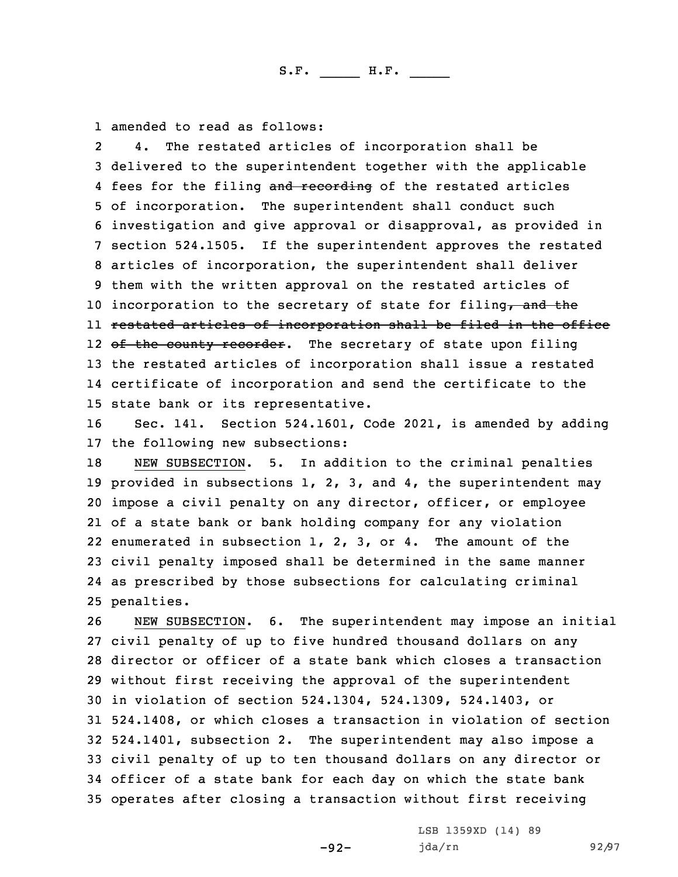1 amended to read as follows:

2 4. The restated articles of incorporation shall be delivered to the superintendent together with the applicable 4 fees for the filing and recording of the restated articles of incorporation. The superintendent shall conduct such investigation and give approval or disapproval, as provided in section 524.1505. If the superintendent approves the restated articles of incorporation, the superintendent shall deliver them with the written approval on the restated articles of 10 incorporation to the secretary of state for filing, and the restated articles of incorporation shall be filed in the office 12 <del>of the county recorder</del>. The secretary of state upon filing the restated articles of incorporation shall issue <sup>a</sup> restated certificate of incorporation and send the certificate to the state bank or its representative.

16 Sec. 141. Section 524.1601, Code 2021, is amended by adding 17 the following new subsections:

 NEW SUBSECTION. 5. In addition to the criminal penalties provided in subsections 1, 2, 3, and 4, the superintendent may impose <sup>a</sup> civil penalty on any director, officer, or employee of <sup>a</sup> state bank or bank holding company for any violation enumerated in subsection 1, 2, 3, or 4. The amount of the civil penalty imposed shall be determined in the same manner as prescribed by those subsections for calculating criminal penalties.

 NEW SUBSECTION. 6. The superintendent may impose an initial civil penalty of up to five hundred thousand dollars on any director or officer of <sup>a</sup> state bank which closes <sup>a</sup> transaction without first receiving the approval of the superintendent in violation of section 524.1304, 524.1309, 524.1403, or 524.1408, or which closes <sup>a</sup> transaction in violation of section 524.1401, subsection 2. The superintendent may also impose <sup>a</sup> civil penalty of up to ten thousand dollars on any director or officer of <sup>a</sup> state bank for each day on which the state bank operates after closing <sup>a</sup> transaction without first receiving

-92-

LSB 1359XD (14) 89 jda/rn 92/97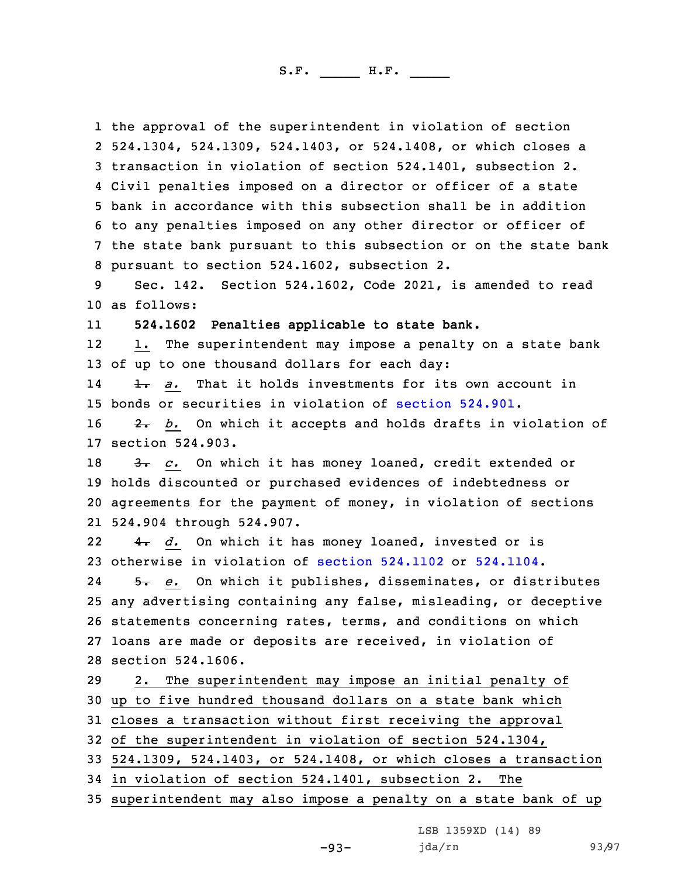the approval of the superintendent in violation of section 524.1304, 524.1309, 524.1403, or 524.1408, or which closes <sup>a</sup> transaction in violation of section 524.1401, subsection 2. Civil penalties imposed on <sup>a</sup> director or officer of <sup>a</sup> state bank in accordance with this subsection shall be in addition to any penalties imposed on any other director or officer of the state bank pursuant to this subsection or on the state bank pursuant to section 524.1602, subsection 2.

9 Sec. 142. Section 524.1602, Code 2021, is amended to read 10 as follows:

11**524.1602 Penalties applicable to state bank.**

12 1. The superintendent may impose <sup>a</sup> penalty on <sup>a</sup> state bank 13 of up to one thousand dollars for each day:

14 1. *a.* That it holds investments for its own account in 15 bonds or securities in violation of [section](https://www.legis.iowa.gov/docs/code/2021/524.901.pdf) 524.901.

16 2. *b.* On which it accepts and holds drafts in violation of 17 section 524.903.

18 3. *c.* On which it has money loaned, credit extended or holds discounted or purchased evidences of indebtedness or agreements for the payment of money, in violation of sections 524.904 through 524.907.

22 4. *d.* On which it has money loaned, invested or is 23 otherwise in violation of section [524.1102](https://www.legis.iowa.gov/docs/code/2021/524.1102.pdf) or [524.1104](https://www.legis.iowa.gov/docs/code/2021/524.1104.pdf).

24 5. *e.* On which it publishes, disseminates, or distributes any advertising containing any false, misleading, or deceptive statements concerning rates, terms, and conditions on which loans are made or deposits are received, in violation of section 524.1606.

 2. The superintendent may impose an initial penalty of up to five hundred thousand dollars on <sup>a</sup> state bank which closes <sup>a</sup> transaction without first receiving the approval of the superintendent in violation of section 524.1304,

33 524.1309, 524.1403, or 524.1408, or which closes <sup>a</sup> transaction

34 in violation of section 524.1401, subsection 2. The

35 superintendent may also impose <sup>a</sup> penalty on <sup>a</sup> state bank of up

LSB 1359XD (14) 89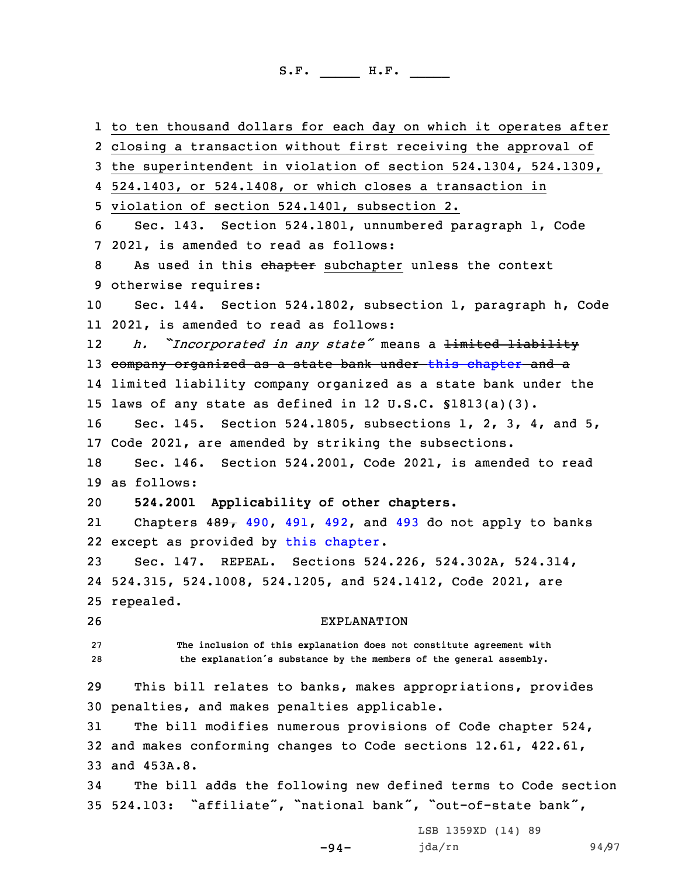to ten thousand dollars for each day on which it operates after closing <sup>a</sup> transaction without first receiving the approval of the superintendent in violation of section 524.1304, 524.1309, 524.1403, or 524.1408, or which closes <sup>a</sup> transaction in violation of section 524.1401, subsection 2. Sec. 143. Section 524.1801, unnumbered paragraph 1, Code 2021, is amended to read as follows: 8 As used in this chapter subchapter unless the context otherwise requires: Sec. 144. Section 524.1802, subsection 1, paragraph h, Code 2021, is amended to read as follows: 12 *h. "Incorporated in any state"* means <sup>a</sup> limited liability 13 company organized as a state bank under this [chapter](https://www.legis.iowa.gov/docs/code/2021/524.pdf) and a limited liability company organized as <sup>a</sup> state bank under the laws of any state as defined in 12 U.S.C. §1813(a)(3). Sec. 145. Section 524.1805, subsections 1, 2, 3, 4, and 5, Code 2021, are amended by striking the subsections. Sec. 146. Section 524.2001, Code 2021, is amended to read as follows: **524.2001 Applicability of other chapters.** 21Chapters  $489$ ,  $490$ ,  $491$ ,  $492$ , and  $493$  do not apply to banks except as provided by this [chapter](https://www.legis.iowa.gov/docs/code/2021/524.pdf). Sec. 147. REPEAL. Sections 524.226, 524.302A, 524.314, 524.315, 524.1008, 524.1205, and 524.1412, Code 2021, are repealed. EXPLANATION **The inclusion of this explanation does not constitute agreement with the explanation's substance by the members of the general assembly.** This bill relates to banks, makes appropriations, provides penalties, and makes penalties applicable. The bill modifies numerous provisions of Code chapter 524, and makes conforming changes to Code sections 12.61, 422.61, and 453A.8. The bill adds the following new defined terms to Code section 524.103: "affiliate", "national bank", "out-of-state bank", LSB 1359XD (14) 89

-94-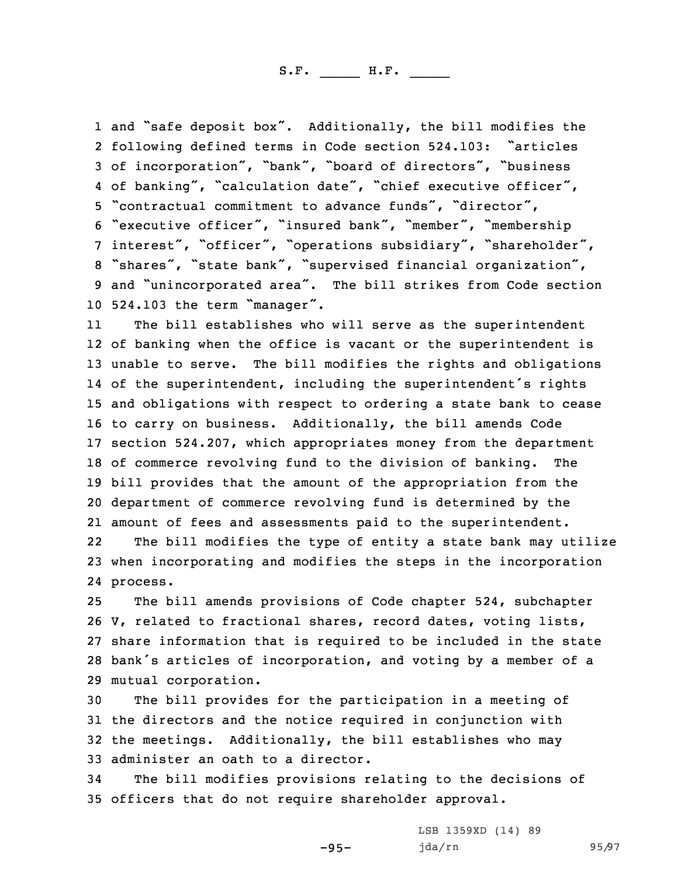and "safe deposit box". Additionally, the bill modifies the following defined terms in Code section 524.103: "articles of incorporation", "bank", "board of directors", "business 4 of banking", "calculation date", "chief executive officer", "contractual commitment to advance funds", "director", "executive officer", "insured bank", "member", "membership interest", "officer", "operations subsidiary", "shareholder", "shares", "state bank", "supervised financial organization", and "unincorporated area". The bill strikes from Code section 524.103 the term "manager".

11 The bill establishes who will serve as the superintendent of banking when the office is vacant or the superintendent is unable to serve. The bill modifies the rights and obligations of the superintendent, including the superintendent's rights and obligations with respect to ordering <sup>a</sup> state bank to cease to carry on business. Additionally, the bill amends Code section 524.207, which appropriates money from the department of commerce revolving fund to the division of banking. The bill provides that the amount of the appropriation from the department of commerce revolving fund is determined by the amount of fees and assessments paid to the superintendent.

22 The bill modifies the type of entity <sup>a</sup> state bank may utilize 23 when incorporating and modifies the steps in the incorporation 24 process.

 The bill amends provisions of Code chapter 524, subchapter V, related to fractional shares, record dates, voting lists, share information that is required to be included in the state bank's articles of incorporation, and voting by <sup>a</sup> member of <sup>a</sup> mutual corporation.

 The bill provides for the participation in <sup>a</sup> meeting of the directors and the notice required in conjunction with the meetings. Additionally, the bill establishes who may administer an oath to <sup>a</sup> director.

34 The bill modifies provisions relating to the decisions of 35 officers that do not require shareholder approval.

-95-

LSB 1359XD (14) 89 jda/rn 95/97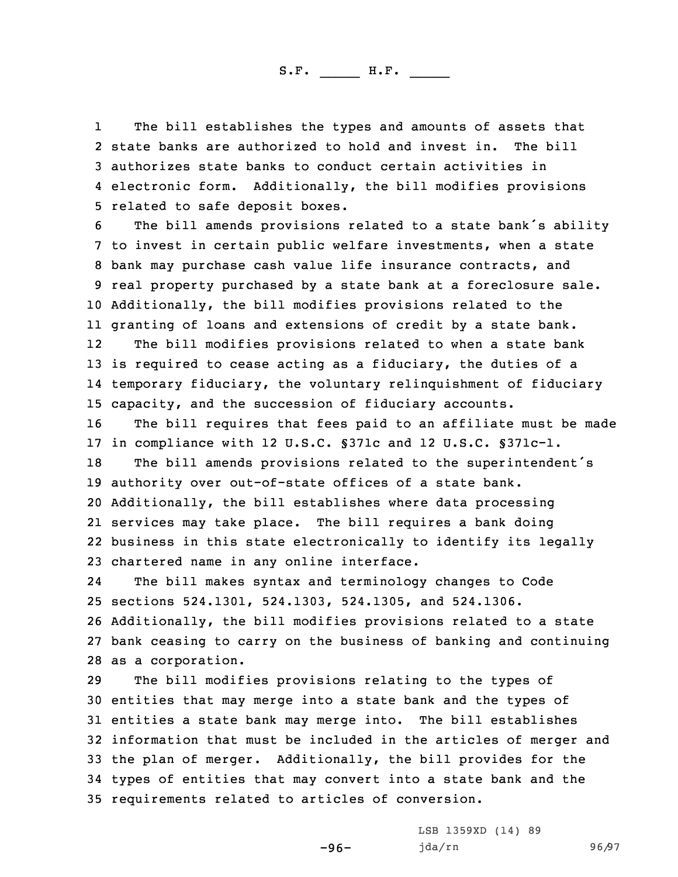1 The bill establishes the types and amounts of assets that state banks are authorized to hold and invest in. The bill authorizes state banks to conduct certain activities in electronic form. Additionally, the bill modifies provisions related to safe deposit boxes.

 The bill amends provisions related to <sup>a</sup> state bank's ability to invest in certain public welfare investments, when <sup>a</sup> state bank may purchase cash value life insurance contracts, and real property purchased by <sup>a</sup> state bank at <sup>a</sup> foreclosure sale. Additionally, the bill modifies provisions related to the granting of loans and extensions of credit by <sup>a</sup> state bank. 12The bill modifies provisions related to when <sup>a</sup> state bank

13 is required to cease acting as a fiduciary, the duties of a 14 temporary fiduciary, the voluntary relinquishment of fiduciary 15 capacity, and the succession of fiduciary accounts.

16 The bill requires that fees paid to an affiliate must be made 17 in compliance with 12 U.S.C. §371c and 12 U.S.C. §371c-1.

 The bill amends provisions related to the superintendent's authority over out-of-state offices of <sup>a</sup> state bank. Additionally, the bill establishes where data processing services may take place. The bill requires <sup>a</sup> bank doing business in this state electronically to identify its legally chartered name in any online interface.

24 The bill makes syntax and terminology changes to Code sections 524.1301, 524.1303, 524.1305, and 524.1306. Additionally, the bill modifies provisions related to <sup>a</sup> state bank ceasing to carry on the business of banking and continuing as <sup>a</sup> corporation.

 The bill modifies provisions relating to the types of entities that may merge into <sup>a</sup> state bank and the types of entities <sup>a</sup> state bank may merge into. The bill establishes information that must be included in the articles of merger and the plan of merger. Additionally, the bill provides for the types of entities that may convert into <sup>a</sup> state bank and the requirements related to articles of conversion.

-96-

LSB 1359XD (14) 89 jda/rn 96/97